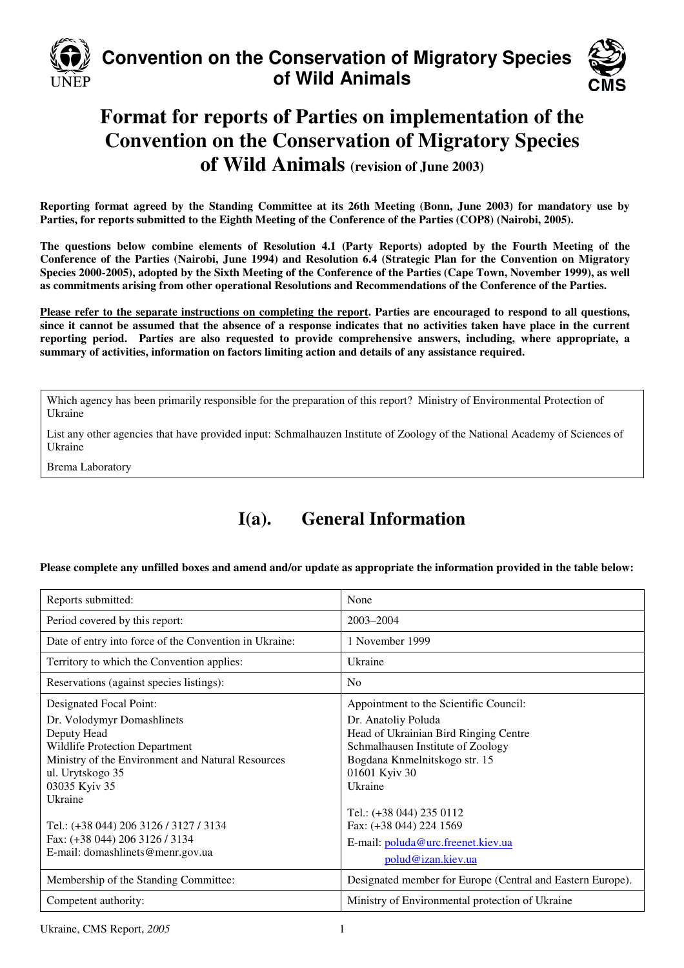

# **Convention on the Conservation of Migratory Species of Wild Animals**



# **Format for reports of Parties on implementation of the Convention on the Conservation of Migratory Species of Wild Animals (revision of June 2003)**

**Reporting format agreed by the Standing Committee at its 26th Meeting (Bonn, June 2003) for mandatory use by Parties, for reports submitted to the Eighth Meeting of the Conference of the Parties (COP8) (Nairobi, 2005).** 

**The questions below combine elements of Resolution 4.1 (Party Reports) adopted by the Fourth Meeting of the Conference of the Parties (Nairobi, June 1994) and Resolution 6.4 (Strategic Plan for the Convention on Migratory Species 2000-2005), adopted by the Sixth Meeting of the Conference of the Parties (Cape Town, November 1999), as well as commitments arising from other operational Resolutions and Recommendations of the Conference of the Parties.** 

**Please refer to the separate instructions on completing the report. Parties are encouraged to respond to all questions, since it cannot be assumed that the absence of a response indicates that no activities taken have place in the current reporting period. Parties are also requested to provide comprehensive answers, including, where appropriate, a summary of activities, information on factors limiting action and details of any assistance required.**

Which agency has been primarily responsible for the preparation of this report? Ministry of Environmental Protection of Ukraine

List any other agencies that have provided input: Schmalhauzen Institute of Zoology of the National Academy of Sciences of Ukraine

Brema Laboratory

# **I(a). General Information**

**Please complete any unfilled boxes and amend and/or update as appropriate the information provided in the table below:** 

| Reports submitted:                                                                                                                                                                                                                                                                                      | None                                                                                                                                                                                                                                                                              |
|---------------------------------------------------------------------------------------------------------------------------------------------------------------------------------------------------------------------------------------------------------------------------------------------------------|-----------------------------------------------------------------------------------------------------------------------------------------------------------------------------------------------------------------------------------------------------------------------------------|
| Period covered by this report:                                                                                                                                                                                                                                                                          | 2003-2004                                                                                                                                                                                                                                                                         |
| Date of entry into force of the Convention in Ukraine:                                                                                                                                                                                                                                                  | 1 November 1999                                                                                                                                                                                                                                                                   |
| Territory to which the Convention applies:                                                                                                                                                                                                                                                              | Ukraine                                                                                                                                                                                                                                                                           |
| Reservations (against species listings):                                                                                                                                                                                                                                                                | N <sub>o</sub>                                                                                                                                                                                                                                                                    |
| Designated Focal Point:                                                                                                                                                                                                                                                                                 | Appointment to the Scientific Council:                                                                                                                                                                                                                                            |
| Dr. Volodymyr Domashlinets<br>Deputy Head<br><b>Wildlife Protection Department</b><br>Ministry of the Environment and Natural Resources<br>ul. Urytskogo 35<br>03035 Kyiv 35<br>Ukraine<br>Tel.: (+38 044) 206 3126 / 3127 / 3134<br>Fax: (+38 044) 206 3126 / 3134<br>E-mail: domashlinets@menr.gov.ua | Dr. Anatoliy Poluda<br>Head of Ukrainian Bird Ringing Centre<br>Schmalhausen Institute of Zoology<br>Bogdana Knmelnitskogo str. 15<br>01601 Kyiv 30<br>Ukraine<br>Tel.: (+38 044) 235 0112<br>Fax: (+38 044) 224 1569<br>E-mail: poluda@urc.freenet.kiev.ua<br>polud@izan.kiev.ua |
| Membership of the Standing Committee:                                                                                                                                                                                                                                                                   | Designated member for Europe (Central and Eastern Europe).                                                                                                                                                                                                                        |
| Competent authority:                                                                                                                                                                                                                                                                                    | Ministry of Environmental protection of Ukraine                                                                                                                                                                                                                                   |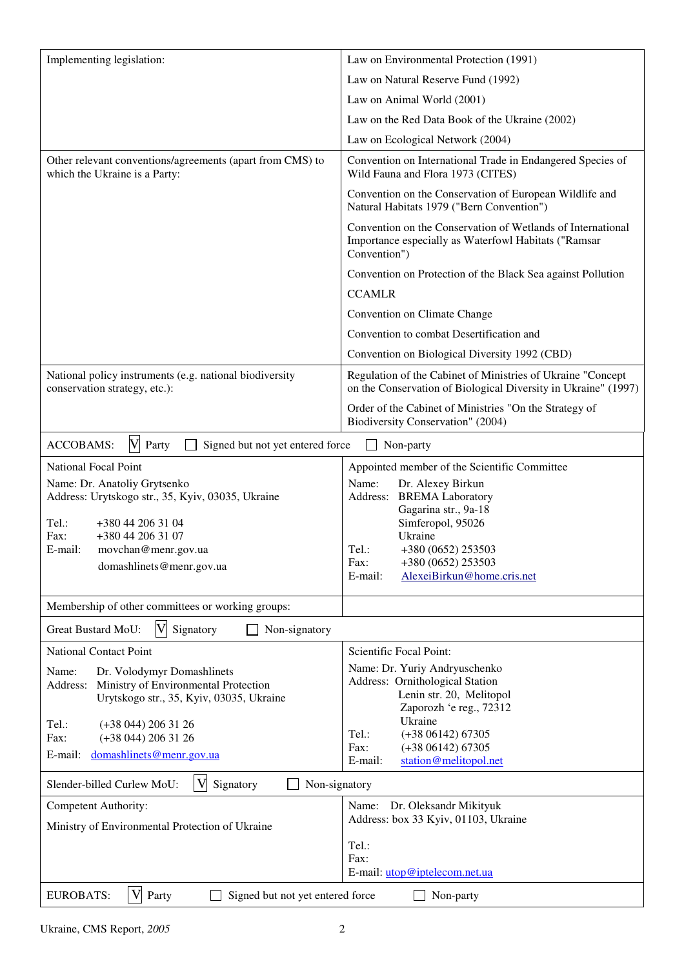| Implementing legislation:                                                                  | Law on Environmental Protection (1991)                                                                                              |
|--------------------------------------------------------------------------------------------|-------------------------------------------------------------------------------------------------------------------------------------|
|                                                                                            | Law on Natural Reserve Fund (1992)                                                                                                  |
|                                                                                            | Law on Animal World (2001)                                                                                                          |
|                                                                                            | Law on the Red Data Book of the Ukraine (2002)                                                                                      |
|                                                                                            | Law on Ecological Network (2004)                                                                                                    |
| Other relevant conventions/agreements (apart from CMS) to<br>which the Ukraine is a Party: | Convention on International Trade in Endangered Species of<br>Wild Fauna and Flora 1973 (CITES)                                     |
|                                                                                            | Convention on the Conservation of European Wildlife and<br>Natural Habitats 1979 ("Bern Convention")                                |
|                                                                                            | Convention on the Conservation of Wetlands of International<br>Importance especially as Waterfowl Habitats ("Ramsar<br>Convention") |
|                                                                                            | Convention on Protection of the Black Sea against Pollution                                                                         |
|                                                                                            | <b>CCAMLR</b>                                                                                                                       |
|                                                                                            | Convention on Climate Change                                                                                                        |
|                                                                                            | Convention to combat Desertification and                                                                                            |
|                                                                                            | Convention on Biological Diversity 1992 (CBD)                                                                                       |
| National policy instruments (e.g. national biodiversity<br>conservation strategy, etc.):   | Regulation of the Cabinet of Ministries of Ukraine "Concept<br>on the Conservation of Biological Diversity in Ukraine" (1997)       |
|                                                                                            | Order of the Cabinet of Ministries "On the Strategy of<br>Biodiversity Conservation" (2004)                                         |
| $\boldsymbol{\mathrm{V}}$<br><b>ACCOBAMS:</b><br>Party<br>Signed but not yet entered force | Non-party                                                                                                                           |
| <b>National Focal Point</b>                                                                | Appointed member of the Scientific Committee                                                                                        |
| Name: Dr. Anatoliy Grytsenko<br>Address: Urytskogo str., 35, Kyiv, 03035, Ukraine          | Name:<br>Dr. Alexey Birkun<br><b>BREMA</b> Laboratory<br>Address:                                                                   |
|                                                                                            | Gagarina str., 9a-18                                                                                                                |
| Tel.:<br>+380 44 206 31 04<br>Fax:<br>+380 44 206 31 07                                    | Simferopol, 95026<br>Ukraine                                                                                                        |
| E-mail:<br>movchan@menr.gov.ua                                                             | Tel.:<br>+380 (0652) 253503                                                                                                         |
| domashlinets@menr.gov.ua                                                                   | Fax:<br>+380 (0652) 253503<br>AlexeiBirkun@home.cris.net<br>E-mail:                                                                 |
|                                                                                            |                                                                                                                                     |
| Membership of other committees or working groups:                                          |                                                                                                                                     |
| Great Bustard MoU:<br>Signatory<br>Non-signatory                                           |                                                                                                                                     |
| <b>National Contact Point</b>                                                              | Scientific Focal Point:                                                                                                             |
| Dr. Volodymyr Domashlinets<br>Name:                                                        | Name: Dr. Yuriy Andryuschenko<br>Address: Ornithological Station                                                                    |
| Address: Ministry of Environmental Protection<br>Urytskogo str., 35, Kyiv, 03035, Ukraine  | Lenin str. 20, Melitopol                                                                                                            |
|                                                                                            | Zaporozh 'e reg., 72312<br>Ukraine                                                                                                  |
| Tel.:<br>$(+38044)$ 206 31 26<br>$(+38044)$ 206 31 26<br>Fax:                              | Tel.:<br>$(+3806142)67305$                                                                                                          |
| domashlinets@menr.gov.ua<br>E-mail:                                                        | $(+3806142)67305$<br>Fax:<br>station@melitopol.net<br>E-mail:                                                                       |
|                                                                                            |                                                                                                                                     |
| V<br>Slender-billed Curlew MoU:<br>Signatory<br>Non-signatory                              |                                                                                                                                     |
| Competent Authority:                                                                       | Dr. Oleksandr Mikityuk<br>Name:<br>Address: box 33 Kyiv, 01103, Ukraine                                                             |
| Ministry of Environmental Protection of Ukraine                                            |                                                                                                                                     |
|                                                                                            | Tel.:<br>Fax:                                                                                                                       |
|                                                                                            | E-mail: utop@iptelecom.net.ua                                                                                                       |
| V<br><b>EUROBATS:</b><br>Party<br>Signed but not yet entered force                         | Non-party                                                                                                                           |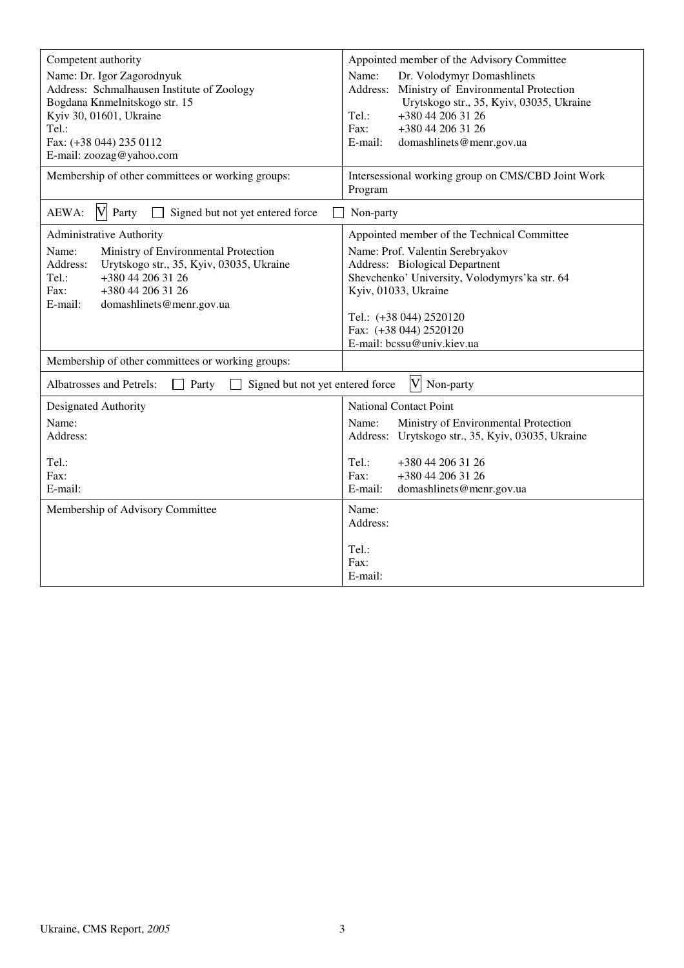| Competent authority<br>Name: Dr. Igor Zagorodnyuk<br>Address: Schmalhausen Institute of Zoology<br>Bogdana Knmelnitskogo str. 15<br>Kyiv 30, 01601, Ukraine<br>Tel.:<br>Fax: (+38 044) 235 0112<br>E-mail: zoozag@yahoo.com                                                                                                                                                                                                                                                                                          | Appointed member of the Advisory Committee<br>Dr. Volodymyr Domashlinets<br>Name:<br>Address: Ministry of Environmental Protection<br>Urytskogo str., 35, Kyiv, 03035, Ukraine<br>+380 44 206 31 26<br>Tel.:<br>Fax:<br>+380 44 206 31 26<br>E-mail:<br>domashlinets@menr.gov.ua |
|----------------------------------------------------------------------------------------------------------------------------------------------------------------------------------------------------------------------------------------------------------------------------------------------------------------------------------------------------------------------------------------------------------------------------------------------------------------------------------------------------------------------|----------------------------------------------------------------------------------------------------------------------------------------------------------------------------------------------------------------------------------------------------------------------------------|
| Membership of other committees or working groups:                                                                                                                                                                                                                                                                                                                                                                                                                                                                    | Intersessional working group on CMS/CBD Joint Work<br>Program                                                                                                                                                                                                                    |
| V Party<br>AEWA:<br>Signed but not yet entered force                                                                                                                                                                                                                                                                                                                                                                                                                                                                 | Non-party                                                                                                                                                                                                                                                                        |
| Appointed member of the Technical Committee<br>Administrative Authority<br>Ministry of Environmental Protection<br>Name: Prof. Valentin Serebryakov<br>Name:<br>Address:<br>Urytskogo str., 35, Kyiv, 03035, Ukraine<br>Address: Biological Departnent<br>Shevchenko' University, Volodymyrs'ka str. 64<br>Tel.:<br>+380 44 206 31 26<br>Fax:<br>+380 44 206 31 26<br>Kyiv, 01033, Ukraine<br>E-mail:<br>domashlinets@menr.gov.ua<br>Tel.: (+38 044) 2520120<br>Fax: (+38 044) 2520120<br>E-mail: bcssu@univ.kiev.ua |                                                                                                                                                                                                                                                                                  |
| Membership of other committees or working groups:                                                                                                                                                                                                                                                                                                                                                                                                                                                                    |                                                                                                                                                                                                                                                                                  |
| Albatrosses and Petrels:<br>Signed but not yet entered force<br>Party<br>$\mathbf{1}$                                                                                                                                                                                                                                                                                                                                                                                                                                | $\overline{\mathsf{V}}$<br>Non-party                                                                                                                                                                                                                                             |
| Designated Authority<br>Name:<br>Address:<br>Tel.:<br>Fax:<br>E-mail:                                                                                                                                                                                                                                                                                                                                                                                                                                                | <b>National Contact Point</b><br>Name:<br>Ministry of Environmental Protection<br>Address: Urytskogo str., 35, Kyiv, 03035, Ukraine<br>Tel.:<br>+380 44 206 31 26<br>Fax:<br>+380 44 206 31 26<br>E-mail:<br>domashlinets@menr.gov.ua                                            |
| Membership of Advisory Committee                                                                                                                                                                                                                                                                                                                                                                                                                                                                                     | Name:<br>Address:<br>Tel.:<br>Fax:<br>E-mail:                                                                                                                                                                                                                                    |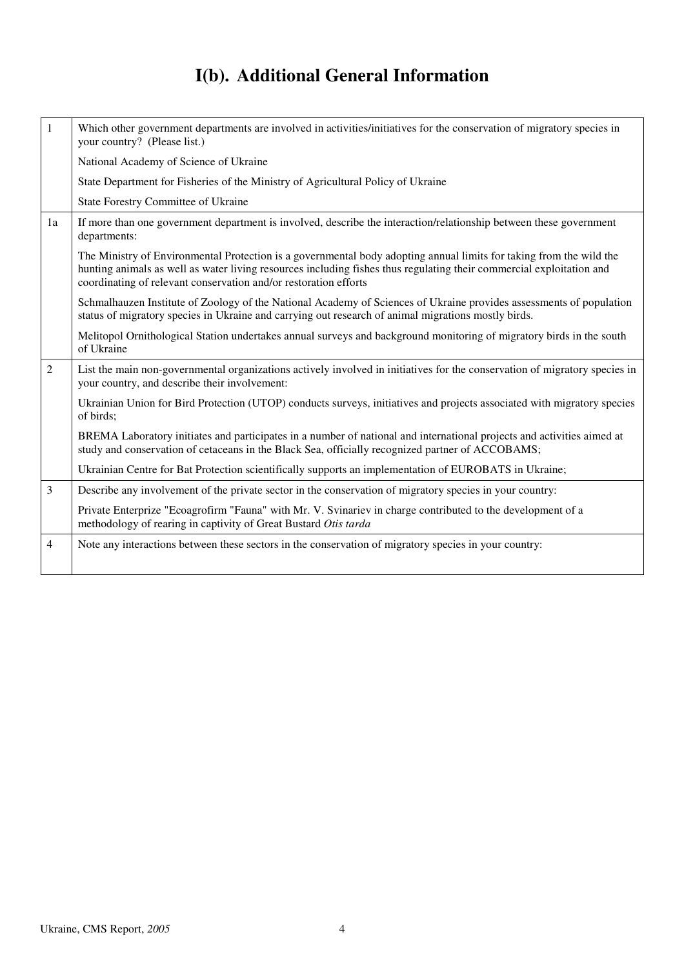# **I(b). Additional General Information**

| $\mathbf{1}$   | Which other government departments are involved in activities/initiatives for the conservation of migratory species in                                                                                                                                                                                          |
|----------------|-----------------------------------------------------------------------------------------------------------------------------------------------------------------------------------------------------------------------------------------------------------------------------------------------------------------|
|                | your country? (Please list.)                                                                                                                                                                                                                                                                                    |
|                | National Academy of Science of Ukraine                                                                                                                                                                                                                                                                          |
|                | State Department for Fisheries of the Ministry of Agricultural Policy of Ukraine                                                                                                                                                                                                                                |
|                | State Forestry Committee of Ukraine                                                                                                                                                                                                                                                                             |
| 1a             | If more than one government department is involved, describe the interaction/relationship between these government<br>departments:                                                                                                                                                                              |
|                | The Ministry of Environmental Protection is a governmental body adopting annual limits for taking from the wild the<br>hunting animals as well as water living resources including fishes thus regulating their commercial exploitation and<br>coordinating of relevant conservation and/or restoration efforts |
|                | Schmalhauzen Institute of Zoology of the National Academy of Sciences of Ukraine provides assessments of population<br>status of migratory species in Ukraine and carrying out research of animal migrations mostly birds.                                                                                      |
|                | Melitopol Ornithological Station undertakes annual surveys and background monitoring of migratory birds in the south<br>of Ukraine                                                                                                                                                                              |
| $\overline{2}$ | List the main non-governmental organizations actively involved in initiatives for the conservation of migratory species in<br>your country, and describe their involvement:                                                                                                                                     |
|                | Ukrainian Union for Bird Protection (UTOP) conducts surveys, initiatives and projects associated with migratory species<br>of birds;                                                                                                                                                                            |
|                | BREMA Laboratory initiates and participates in a number of national and international projects and activities aimed at<br>study and conservation of cetaceans in the Black Sea, officially recognized partner of ACCOBAMS;                                                                                      |
|                | Ukrainian Centre for Bat Protection scientifically supports an implementation of EUROBATS in Ukraine;                                                                                                                                                                                                           |
| 3              | Describe any involvement of the private sector in the conservation of migratory species in your country:                                                                                                                                                                                                        |
|                | Private Enterprize "Ecoagrofirm "Fauna" with Mr. V. Svinariev in charge contributed to the development of a<br>methodology of rearing in captivity of Great Bustard Otis tarda                                                                                                                                  |
| 4              | Note any interactions between these sectors in the conservation of migratory species in your country:                                                                                                                                                                                                           |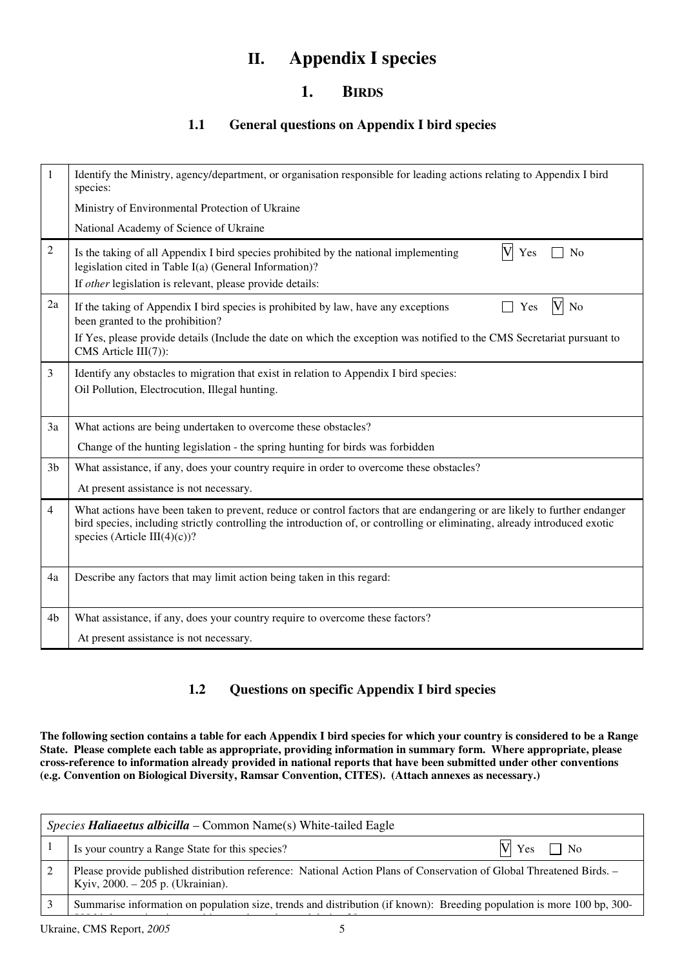# **II. Appendix I species**

## **1. BIRDS**

### **1.1 General questions on Appendix I bird species**

| 1              | Identify the Ministry, agency/department, or organisation responsible for leading actions relating to Appendix I bird<br>species:                                                                                                                                                       |
|----------------|-----------------------------------------------------------------------------------------------------------------------------------------------------------------------------------------------------------------------------------------------------------------------------------------|
|                | Ministry of Environmental Protection of Ukraine                                                                                                                                                                                                                                         |
|                | National Academy of Science of Ukraine                                                                                                                                                                                                                                                  |
| $\overline{2}$ | V<br>Is the taking of all Appendix I bird species prohibited by the national implementing<br>Yes<br>N <sub>o</sub><br>legislation cited in Table I(a) (General Information)?<br>If other legislation is relevant, please provide details:                                               |
| 2a             | $\rm{V}$<br>If the taking of Appendix I bird species is prohibited by law, have any exceptions<br>No<br>Yes<br>been granted to the prohibition?                                                                                                                                         |
|                | If Yes, please provide details (Include the date on which the exception was notified to the CMS Secretariat pursuant to<br>CMS Article III(7)):                                                                                                                                         |
| 3              | Identify any obstacles to migration that exist in relation to Appendix I bird species:<br>Oil Pollution, Electrocution, Illegal hunting.                                                                                                                                                |
| 3a             | What actions are being undertaken to overcome these obstacles?                                                                                                                                                                                                                          |
|                | Change of the hunting legislation - the spring hunting for birds was forbidden                                                                                                                                                                                                          |
| 3 <sub>b</sub> | What assistance, if any, does your country require in order to overcome these obstacles?                                                                                                                                                                                                |
|                | At present assistance is not necessary.                                                                                                                                                                                                                                                 |
| $\overline{4}$ | What actions have been taken to prevent, reduce or control factors that are endangering or are likely to further endanger<br>bird species, including strictly controlling the introduction of, or controlling or eliminating, already introduced exotic<br>species (Article III(4)(c))? |
| 4a             | Describe any factors that may limit action being taken in this regard:                                                                                                                                                                                                                  |
| 4 <sub>b</sub> | What assistance, if any, does your country require to overcome these factors?                                                                                                                                                                                                           |
|                | At present assistance is not necessary.                                                                                                                                                                                                                                                 |

### **1.2 Questions on specific Appendix I bird species**

**The following section contains a table for each Appendix I bird species for which your country is considered to be a Range State. Please complete each table as appropriate, providing information in summary form. Where appropriate, please cross-reference to information already provided in national reports that have been submitted under other conventions (e.g. Convention on Biological Diversity, Ramsar Convention, CITES). (Attach annexes as necessary.)** 

| <i>Species <b>Haliaeetus albicilla</b> –</i> Common Name(s) White-tailed Eagle                                                                            |                          |
|-----------------------------------------------------------------------------------------------------------------------------------------------------------|--------------------------|
| Is your country a Range State for this species?                                                                                                           | $V \rvert$ Yes $\Box$ No |
| Please provide published distribution reference: National Action Plans of Conservation of Global Threatened Birds. –<br>Kyiv, 2000. – 205 p. (Ukrainian). |                          |
| Summarise information on population size, trends and distribution (if known): Breeding population is more 100 bp, 300-                                    |                          |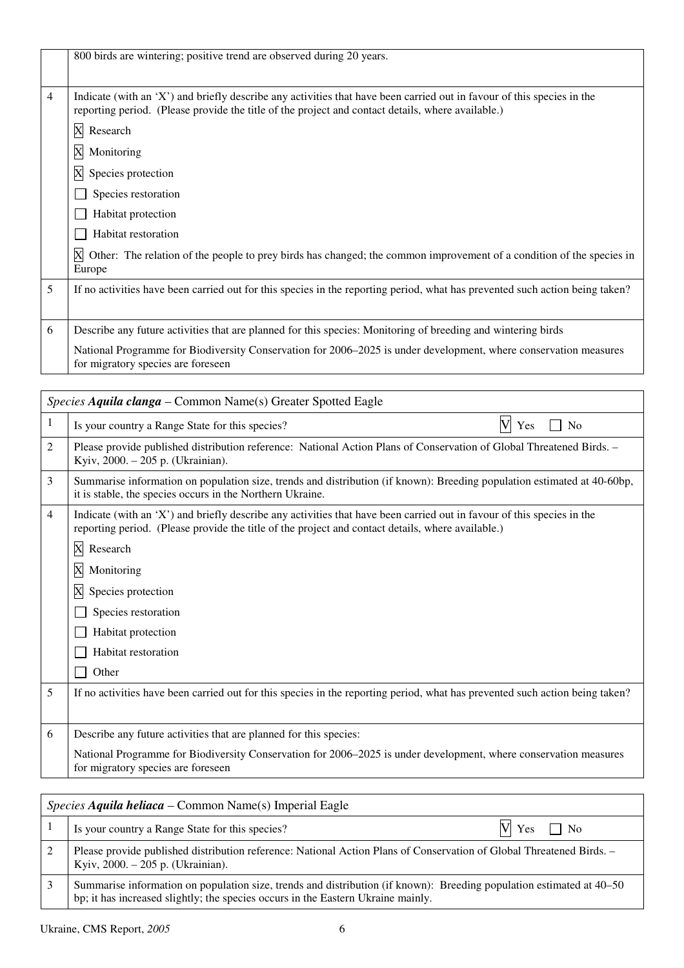|   | 800 birds are wintering; positive trend are observed during 20 years.                                                                                                                                                       |
|---|-----------------------------------------------------------------------------------------------------------------------------------------------------------------------------------------------------------------------------|
| 4 | Indicate (with an 'X') and briefly describe any activities that have been carried out in favour of this species in the<br>reporting period. (Please provide the title of the project and contact details, where available.) |
|   | X Research                                                                                                                                                                                                                  |
|   | X<br>Monitoring                                                                                                                                                                                                             |
|   | X<br>Species protection                                                                                                                                                                                                     |
|   | Species restoration                                                                                                                                                                                                         |
|   | Habitat protection                                                                                                                                                                                                          |
|   | Habitat restoration                                                                                                                                                                                                         |
|   | X<br>Other: The relation of the people to prey birds has changed; the common improvement of a condition of the species in<br>Europe                                                                                         |
| 5 | If no activities have been carried out for this species in the reporting period, what has prevented such action being taken?                                                                                                |
| 6 | Describe any future activities that are planned for this species: Monitoring of breeding and wintering birds                                                                                                                |
|   | National Programme for Biodiversity Conservation for 2006–2025 is under development, where conservation measures<br>for migratory species are foreseen                                                                      |

|                | Species Aquila clanga – Common Name(s) Greater Spotted Eagle                                                                                                                                                                |  |
|----------------|-----------------------------------------------------------------------------------------------------------------------------------------------------------------------------------------------------------------------------|--|
| 1              | V<br>Is your country a Range State for this species?<br>Yes<br>N <sub>0</sub>                                                                                                                                               |  |
| 2              | Please provide published distribution reference: National Action Plans of Conservation of Global Threatened Birds. -<br>Kyiv, 2000. - 205 p. (Ukrainian).                                                                   |  |
| 3              | Summarise information on population size, trends and distribution (if known): Breeding population estimated at 40-60bp,<br>it is stable, the species occurs in the Northern Ukraine.                                        |  |
| $\overline{4}$ | Indicate (with an 'X') and briefly describe any activities that have been carried out in favour of this species in the<br>reporting period. (Please provide the title of the project and contact details, where available.) |  |
|                | X<br>Research                                                                                                                                                                                                               |  |
|                | X<br>Monitoring                                                                                                                                                                                                             |  |
|                | X<br>Species protection                                                                                                                                                                                                     |  |
|                | Species restoration                                                                                                                                                                                                         |  |
|                | Habitat protection                                                                                                                                                                                                          |  |
|                | <b>Habitat</b> restoration                                                                                                                                                                                                  |  |
|                | Other                                                                                                                                                                                                                       |  |
| 5              | If no activities have been carried out for this species in the reporting period, what has prevented such action being taken?                                                                                                |  |
|                |                                                                                                                                                                                                                             |  |
| 6              | Describe any future activities that are planned for this species:                                                                                                                                                           |  |
|                | National Programme for Biodiversity Conservation for 2006–2025 is under development, where conservation measures<br>for migratory species are foreseen                                                                      |  |
|                |                                                                                                                                                                                                                             |  |

|   | <i>Species Aquila heliaca – Common Name(s)</i> Imperial Eagle                                                                                                                                            |  |
|---|----------------------------------------------------------------------------------------------------------------------------------------------------------------------------------------------------------|--|
|   | $V \rvert Y$ es $\Box$ No<br>Is your country a Range State for this species?                                                                                                                             |  |
|   | Please provide published distribution reference: National Action Plans of Conservation of Global Threatened Birds. -<br>Kyiv, 2000. – 205 p. (Ukrainian).                                                |  |
| 3 | Summarise information on population size, trends and distribution (if known): Breeding population estimated at 40–50<br>bp; it has increased slightly; the species occurs in the Eastern Ukraine mainly. |  |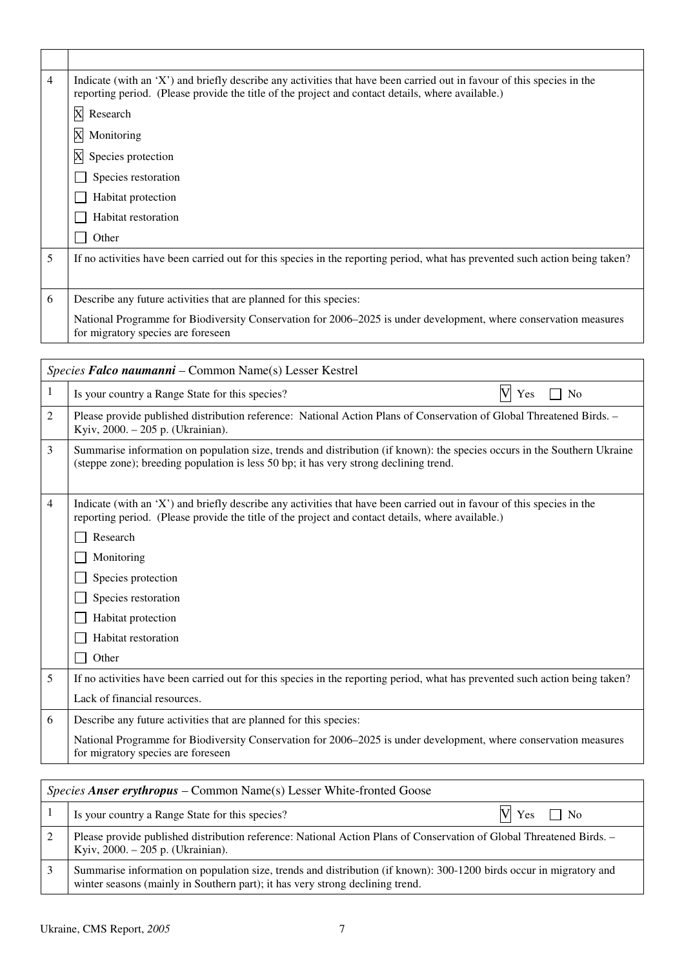| 4 | Indicate (with an 'X') and briefly describe any activities that have been carried out in favour of this species in the<br>reporting period. (Please provide the title of the project and contact details, where available.) |
|---|-----------------------------------------------------------------------------------------------------------------------------------------------------------------------------------------------------------------------------|
|   | $\mathbf X$<br>Research                                                                                                                                                                                                     |
|   | $\mathbf X$<br>Monitoring                                                                                                                                                                                                   |
|   | X<br>Species protection                                                                                                                                                                                                     |
|   | Species restoration                                                                                                                                                                                                         |
|   | Habitat protection                                                                                                                                                                                                          |
|   | Habitat restoration                                                                                                                                                                                                         |
|   | Other                                                                                                                                                                                                                       |
| 5 | If no activities have been carried out for this species in the reporting period, what has prevented such action being taken?                                                                                                |
|   |                                                                                                                                                                                                                             |
| 6 | Describe any future activities that are planned for this species:                                                                                                                                                           |
|   | National Programme for Biodiversity Conservation for 2006–2025 is under development, where conservation measures<br>for migratory species are foreseen                                                                      |

|                | Species Falco naumanni - Common Name(s) Lesser Kestrel                                                                                                                                                                      |
|----------------|-----------------------------------------------------------------------------------------------------------------------------------------------------------------------------------------------------------------------------|
| 1              | $\overline{\mathsf{V}}$<br>Is your country a Range State for this species?<br>No<br>Yes                                                                                                                                     |
| $\overline{2}$ | Please provide published distribution reference: National Action Plans of Conservation of Global Threatened Birds. -<br>Kyiv, 2000. - 205 p. (Ukrainian).                                                                   |
| 3              | Summarise information on population size, trends and distribution (if known): the species occurs in the Southern Ukraine<br>(steppe zone); breeding population is less 50 bp; it has very strong declining trend.           |
| $\overline{4}$ | Indicate (with an 'X') and briefly describe any activities that have been carried out in favour of this species in the<br>reporting period. (Please provide the title of the project and contact details, where available.) |
|                | Research                                                                                                                                                                                                                    |
|                | Monitoring                                                                                                                                                                                                                  |
|                | Species protection                                                                                                                                                                                                          |
|                | Species restoration                                                                                                                                                                                                         |
|                | Habitat protection                                                                                                                                                                                                          |
|                | Habitat restoration                                                                                                                                                                                                         |
|                | Other                                                                                                                                                                                                                       |
| 5              | If no activities have been carried out for this species in the reporting period, what has prevented such action being taken?                                                                                                |
|                | Lack of financial resources.                                                                                                                                                                                                |
| 6              | Describe any future activities that are planned for this species:                                                                                                                                                           |
|                | National Programme for Biodiversity Conservation for 2006–2025 is under development, where conservation measures<br>for migratory species are foreseen                                                                      |
|                |                                                                                                                                                                                                                             |

| <i>Species Anser erythropus – Common Name(s) Lesser White-fronted Goose</i>                                                                                                                          |  |
|------------------------------------------------------------------------------------------------------------------------------------------------------------------------------------------------------|--|
| Is your country a Range State for this species?<br>$\gamma$ Yes $\Box$ No                                                                                                                            |  |
| Please provide published distribution reference: National Action Plans of Conservation of Global Threatened Birds. -<br>Kyiv, 2000. - 205 p. (Ukrainian).                                            |  |
| Summarise information on population size, trends and distribution (if known): 300-1200 birds occur in migratory and<br>winter seasons (mainly in Southern part); it has very strong declining trend. |  |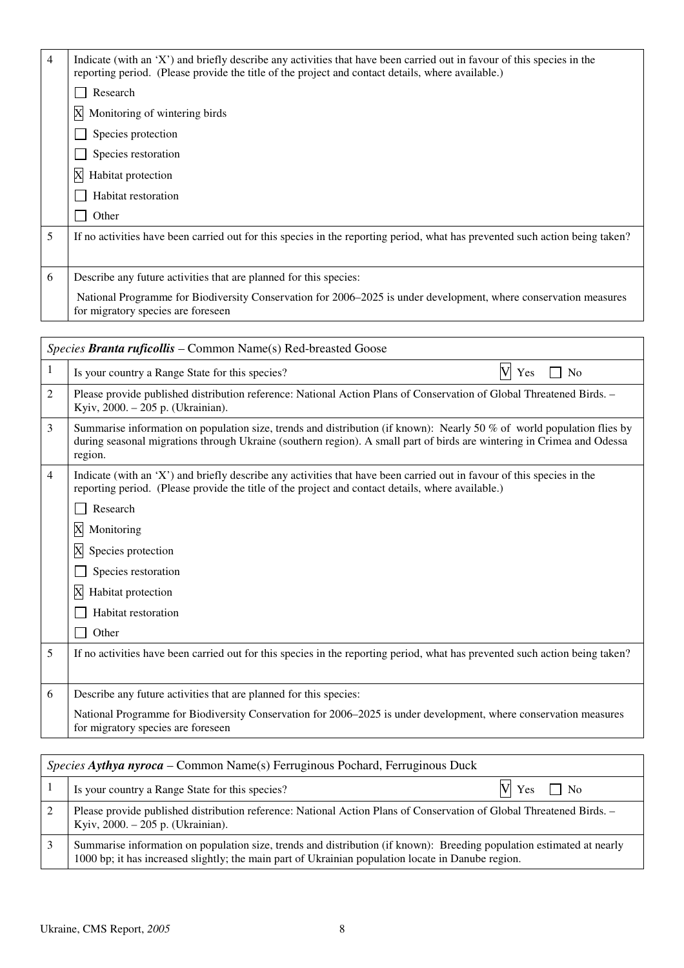| $\overline{4}$ | Indicate (with an 'X') and briefly describe any activities that have been carried out in favour of this species in the<br>reporting period. (Please provide the title of the project and contact details, where available.) |
|----------------|-----------------------------------------------------------------------------------------------------------------------------------------------------------------------------------------------------------------------------|
|                | Research                                                                                                                                                                                                                    |
|                | X Monitoring of wintering birds                                                                                                                                                                                             |
|                | Species protection                                                                                                                                                                                                          |
|                | Species restoration                                                                                                                                                                                                         |
|                | X<br>Habitat protection                                                                                                                                                                                                     |
|                | Habitat restoration                                                                                                                                                                                                         |
|                | Other                                                                                                                                                                                                                       |
| 5              | If no activities have been carried out for this species in the reporting period, what has prevented such action being taken?                                                                                                |
|                |                                                                                                                                                                                                                             |
| 6              | Describe any future activities that are planned for this species:                                                                                                                                                           |
|                | National Programme for Biodiversity Conservation for 2006–2025 is under development, where conservation measures<br>for migratory species are foreseen                                                                      |

| Species Branta ruficollis – Common Name(s) Red-breasted Goose                                                                                                                                                                                               |  |  |
|-------------------------------------------------------------------------------------------------------------------------------------------------------------------------------------------------------------------------------------------------------------|--|--|
| N <sub>0</sub>                                                                                                                                                                                                                                              |  |  |
| Please provide published distribution reference: National Action Plans of Conservation of Global Threatened Birds. -                                                                                                                                        |  |  |
| Summarise information on population size, trends and distribution (if known): Nearly 50 % of world population flies by<br>during seasonal migrations through Ukraine (southern region). A small part of birds are wintering in Crimea and Odessa<br>region. |  |  |
| Indicate (with an 'X') and briefly describe any activities that have been carried out in favour of this species in the                                                                                                                                      |  |  |
|                                                                                                                                                                                                                                                             |  |  |
|                                                                                                                                                                                                                                                             |  |  |
|                                                                                                                                                                                                                                                             |  |  |
|                                                                                                                                                                                                                                                             |  |  |
|                                                                                                                                                                                                                                                             |  |  |
|                                                                                                                                                                                                                                                             |  |  |
|                                                                                                                                                                                                                                                             |  |  |
| If no activities have been carried out for this species in the reporting period, what has prevented such action being taken?                                                                                                                                |  |  |
|                                                                                                                                                                                                                                                             |  |  |
|                                                                                                                                                                                                                                                             |  |  |
| National Programme for Biodiversity Conservation for 2006–2025 is under development, where conservation measures                                                                                                                                            |  |  |
|                                                                                                                                                                                                                                                             |  |  |

| <i>Species Aythya nyroca</i> – Common Name(s) Ferruginous Pochard, Ferruginous Duck                                                                                                                                         |  |
|-----------------------------------------------------------------------------------------------------------------------------------------------------------------------------------------------------------------------------|--|
| $V\vert$ Yes $\Box$ No<br>Is your country a Range State for this species?                                                                                                                                                   |  |
| Please provide published distribution reference: National Action Plans of Conservation of Global Threatened Birds. -<br>Kyiv, 2000. - 205 p. (Ukrainian).                                                                   |  |
| Summarise information on population size, trends and distribution (if known): Breeding population estimated at nearly<br>1000 bp; it has increased slightly; the main part of Ukrainian population locate in Danube region. |  |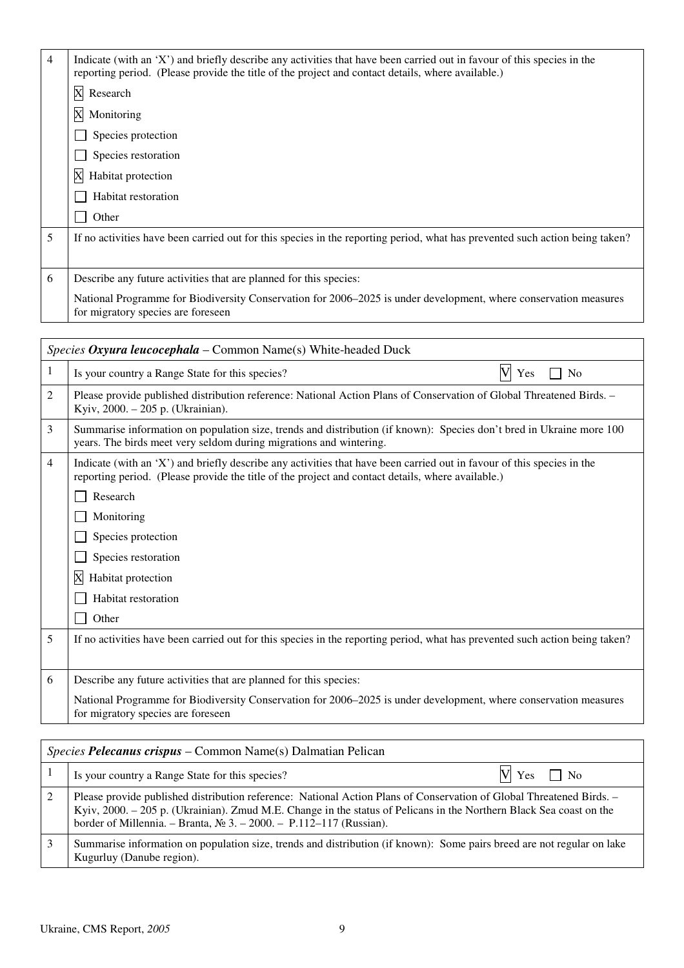| $\overline{4}$ | Indicate (with an 'X') and briefly describe any activities that have been carried out in favour of this species in the<br>reporting period. (Please provide the title of the project and contact details, where available.) |
|----------------|-----------------------------------------------------------------------------------------------------------------------------------------------------------------------------------------------------------------------------|
|                | X Research                                                                                                                                                                                                                  |
|                | X Monitoring                                                                                                                                                                                                                |
|                | Species protection                                                                                                                                                                                                          |
|                | Species restoration                                                                                                                                                                                                         |
|                | X<br>Habitat protection                                                                                                                                                                                                     |
|                | Habitat restoration                                                                                                                                                                                                         |
|                | Other                                                                                                                                                                                                                       |
| 5              | If no activities have been carried out for this species in the reporting period, what has prevented such action being taken?                                                                                                |
|                |                                                                                                                                                                                                                             |
| 6              | Describe any future activities that are planned for this species:                                                                                                                                                           |
|                | National Programme for Biodiversity Conservation for 2006–2025 is under development, where conservation measures<br>for migratory species are foreseen                                                                      |

|   | Species Oxyura leucocephala – Common Name(s) White-headed Duck                                                                                                                                                              |  |
|---|-----------------------------------------------------------------------------------------------------------------------------------------------------------------------------------------------------------------------------|--|
| 1 | $\overline{\text{V}}$<br>Is your country a Range State for this species?<br>No<br>Yes                                                                                                                                       |  |
| 2 | Please provide published distribution reference: National Action Plans of Conservation of Global Threatened Birds. -<br>Kyiv, 2000. - 205 p. (Ukrainian).                                                                   |  |
| 3 | Summarise information on population size, trends and distribution (if known): Species don't bred in Ukraine more 100<br>years. The birds meet very seldom during migrations and wintering.                                  |  |
| 4 | Indicate (with an 'X') and briefly describe any activities that have been carried out in favour of this species in the<br>reporting period. (Please provide the title of the project and contact details, where available.) |  |
|   | Research                                                                                                                                                                                                                    |  |
|   | Monitoring                                                                                                                                                                                                                  |  |
|   | Species protection                                                                                                                                                                                                          |  |
|   | Species restoration                                                                                                                                                                                                         |  |
|   | X<br>Habitat protection                                                                                                                                                                                                     |  |
|   | Habitat restoration                                                                                                                                                                                                         |  |
|   | Other                                                                                                                                                                                                                       |  |
| 5 | If no activities have been carried out for this species in the reporting period, what has prevented such action being taken?                                                                                                |  |
|   |                                                                                                                                                                                                                             |  |
| 6 | Describe any future activities that are planned for this species:                                                                                                                                                           |  |
|   | National Programme for Biodiversity Conservation for 2006–2025 is under development, where conservation measures<br>for migratory species are foreseen                                                                      |  |
|   |                                                                                                                                                                                                                             |  |

| <i>Species Pelecanus crispus – Common Name(s) Dalmatian Pelican</i> |                                                                                                                                                                                                                                                                                                                       |
|---------------------------------------------------------------------|-----------------------------------------------------------------------------------------------------------------------------------------------------------------------------------------------------------------------------------------------------------------------------------------------------------------------|
|                                                                     | $V \rvert$ Yes $\Box$ No<br>Is your country a Range State for this species?                                                                                                                                                                                                                                           |
|                                                                     | Please provide published distribution reference: National Action Plans of Conservation of Global Threatened Birds. -<br>Kyiv, 2000. – 205 p. (Ukrainian). Zmud M.E. Change in the status of Pelicans in the Northern Black Sea coast on the<br>border of Millennia. – Branta, $N_2$ 3. – 2000. – P.112–117 (Russian). |
| 3                                                                   | Summarise information on population size, trends and distribution (if known): Some pairs breed are not regular on lake<br>Kugurluy (Danube region).                                                                                                                                                                   |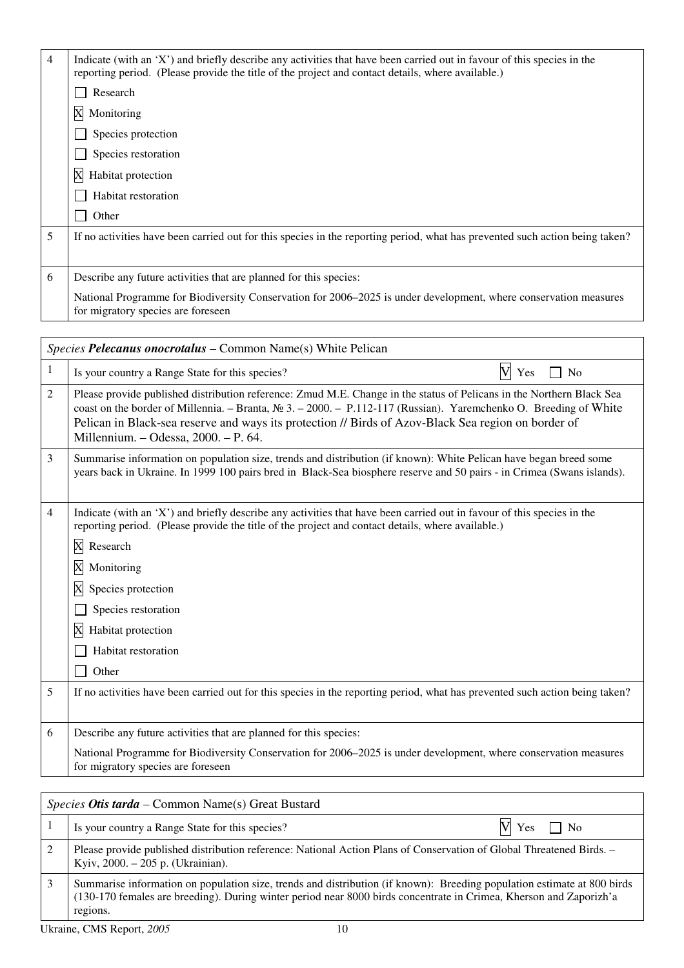| $\overline{4}$ | Indicate (with an 'X') and briefly describe any activities that have been carried out in favour of this species in the<br>reporting period. (Please provide the title of the project and contact details, where available.) |
|----------------|-----------------------------------------------------------------------------------------------------------------------------------------------------------------------------------------------------------------------------|
|                | Research                                                                                                                                                                                                                    |
|                | X Monitoring                                                                                                                                                                                                                |
|                | Species protection                                                                                                                                                                                                          |
|                | Species restoration                                                                                                                                                                                                         |
|                | X<br>Habitat protection                                                                                                                                                                                                     |
|                | Habitat restoration                                                                                                                                                                                                         |
|                | Other                                                                                                                                                                                                                       |
| 5              | If no activities have been carried out for this species in the reporting period, what has prevented such action being taken?                                                                                                |
|                |                                                                                                                                                                                                                             |
| 6              | Describe any future activities that are planned for this species:                                                                                                                                                           |
|                | National Programme for Biodiversity Conservation for 2006–2025 is under development, where conservation measures<br>for migratory species are foreseen                                                                      |

|   | Species Pelecanus onocrotalus - Common Name(s) White Pelican                                                                                                                                                                                                                                                                                                                                                   |  |  |
|---|----------------------------------------------------------------------------------------------------------------------------------------------------------------------------------------------------------------------------------------------------------------------------------------------------------------------------------------------------------------------------------------------------------------|--|--|
| 1 | $\overline{\mathsf{V}}$<br>Is your country a Range State for this species?<br>Yes<br>N <sub>0</sub>                                                                                                                                                                                                                                                                                                            |  |  |
| 2 | Please provide published distribution reference: Zmud M.E. Change in the status of Pelicans in the Northern Black Sea<br>coast on the border of Millennia. - Branta, $N_2$ 3. - 2000. - P.112-117 (Russian). Yaremchenko O. Breeding of White<br>Pelican in Black-sea reserve and ways its protection // Birds of Azov-Black Sea region on border of<br>Millennium. - Odessa, 2000. - P. 64.                   |  |  |
| 3 | Summarise information on population size, trends and distribution (if known): White Pelican have began breed some<br>years back in Ukraine. In 1999 100 pairs bred in Black-Sea biosphere reserve and 50 pairs - in Crimea (Swans islands).                                                                                                                                                                    |  |  |
| 4 | Indicate (with an 'X') and briefly describe any activities that have been carried out in favour of this species in the<br>reporting period. (Please provide the title of the project and contact details, where available.)<br>Research<br>$\boldsymbol{\mathrm{X}}$<br>Monitoring<br>Species protection<br>$\overline{\text{X}}$<br>Species restoration<br>Habitat protection<br>Habitat restoration<br>Other |  |  |
| 5 | If no activities have been carried out for this species in the reporting period, what has prevented such action being taken?                                                                                                                                                                                                                                                                                   |  |  |
| 6 | Describe any future activities that are planned for this species:                                                                                                                                                                                                                                                                                                                                              |  |  |
|   | National Programme for Biodiversity Conservation for 2006–2025 is under development, where conservation measures<br>for migratory species are foreseen                                                                                                                                                                                                                                                         |  |  |

|   | <i>Species Otis tarda –</i> Common Name(s) Great Bustard                                                                                                                                                                                                  |                          |  |
|---|-----------------------------------------------------------------------------------------------------------------------------------------------------------------------------------------------------------------------------------------------------------|--------------------------|--|
|   | Is your country a Range State for this species?                                                                                                                                                                                                           | $V \rvert$ Yes $\Box$ No |  |
|   | Please provide published distribution reference: National Action Plans of Conservation of Global Threatened Birds. -<br>Kyiv, 2000. - 205 p. (Ukrainian).                                                                                                 |                          |  |
| 3 | Summarise information on population size, trends and distribution (if known): Breeding population estimate at 800 birds<br>(130-170 females are breeding). During winter period near 8000 birds concentrate in Crimea, Kherson and Zaporizh'a<br>regions. |                          |  |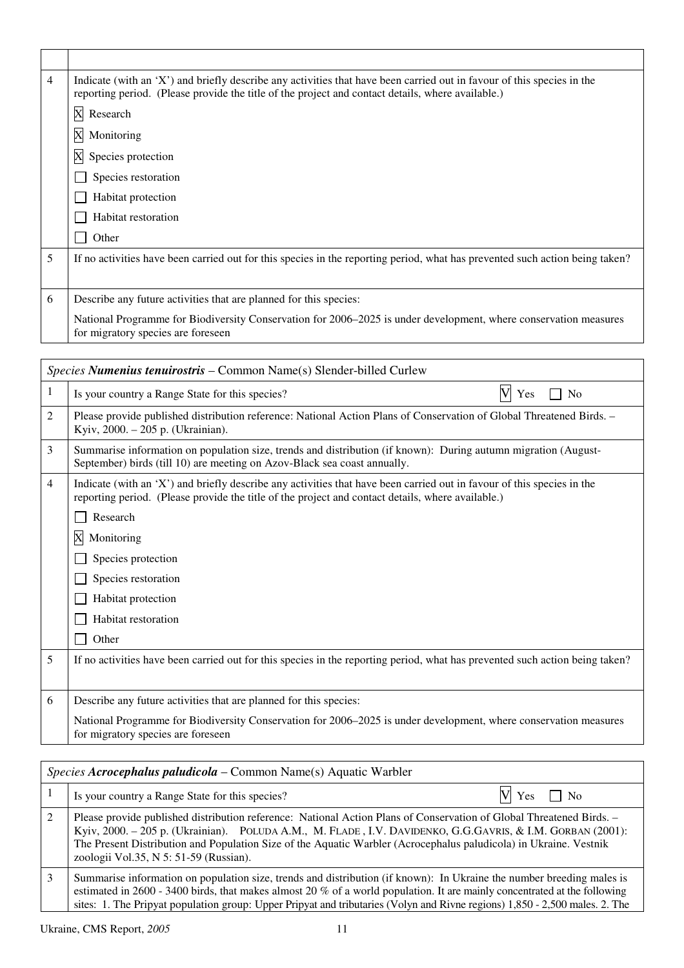| 4 | Indicate (with an 'X') and briefly describe any activities that have been carried out in favour of this species in the<br>reporting period. (Please provide the title of the project and contact details, where available.) |  |
|---|-----------------------------------------------------------------------------------------------------------------------------------------------------------------------------------------------------------------------------|--|
|   | $\mathbf X$<br>Research                                                                                                                                                                                                     |  |
|   | X<br>Monitoring                                                                                                                                                                                                             |  |
|   | X<br>Species protection                                                                                                                                                                                                     |  |
|   | Species restoration                                                                                                                                                                                                         |  |
|   | Habitat protection                                                                                                                                                                                                          |  |
|   | Habitat restoration                                                                                                                                                                                                         |  |
|   | Other                                                                                                                                                                                                                       |  |
| 5 | If no activities have been carried out for this species in the reporting period, what has prevented such action being taken?                                                                                                |  |
|   |                                                                                                                                                                                                                             |  |
| 6 | Describe any future activities that are planned for this species:                                                                                                                                                           |  |
|   | National Programme for Biodiversity Conservation for 2006–2025 is under development, where conservation measures<br>for migratory species are foreseen                                                                      |  |

| Species Numenius tenuirostris - Common Name(s) Slender-billed Curlew |                                                                                                                                                                                                                                                                                                                                                      |  |
|----------------------------------------------------------------------|------------------------------------------------------------------------------------------------------------------------------------------------------------------------------------------------------------------------------------------------------------------------------------------------------------------------------------------------------|--|
| 1                                                                    | $\overline{\text{V}}$<br>Is your country a Range State for this species?<br>Yes<br>N <sub>0</sub>                                                                                                                                                                                                                                                    |  |
| 2                                                                    | Please provide published distribution reference: National Action Plans of Conservation of Global Threatened Birds. -<br>Kyiv, 2000. - 205 p. (Ukrainian).                                                                                                                                                                                            |  |
| 3                                                                    | Summarise information on population size, trends and distribution (if known): During autumn migration (August-<br>September) birds (till 10) are meeting on Azov-Black sea coast annually.                                                                                                                                                           |  |
| 4                                                                    | Indicate (with an 'X') and briefly describe any activities that have been carried out in favour of this species in the<br>reporting period. (Please provide the title of the project and contact details, where available.)<br>Research<br>X<br>Monitoring<br>Species protection<br>Species restoration<br>Habitat protection<br>Habitat restoration |  |
|                                                                      | Other                                                                                                                                                                                                                                                                                                                                                |  |
| 5                                                                    | If no activities have been carried out for this species in the reporting period, what has prevented such action being taken?                                                                                                                                                                                                                         |  |
| 6                                                                    | Describe any future activities that are planned for this species:                                                                                                                                                                                                                                                                                    |  |
|                                                                      | National Programme for Biodiversity Conservation for 2006–2025 is under development, where conservation measures<br>for migratory species are foreseen                                                                                                                                                                                               |  |
|                                                                      |                                                                                                                                                                                                                                                                                                                                                      |  |

| <i>Species Acrocephalus paludicola – Common Name(s) Aquatic Warbler</i>                                                                                                                                                                                                                                                                                                                           |  |  |
|---------------------------------------------------------------------------------------------------------------------------------------------------------------------------------------------------------------------------------------------------------------------------------------------------------------------------------------------------------------------------------------------------|--|--|
| $V \t{ Yes} \square No$<br>Is your country a Range State for this species?                                                                                                                                                                                                                                                                                                                        |  |  |
| Please provide published distribution reference: National Action Plans of Conservation of Global Threatened Birds. -<br>Kyiv, 2000. - 205 p. (Ukrainian). POLUDA A.M., M. FLADE, I.V. DAVIDENKO, G.G.GAVRIS, & I.M. GORBAN (2001):<br>The Present Distribution and Population Size of the Aquatic Warbler (Acrocephalus paludicola) in Ukraine. Vestnik<br>zoologii Vol.35, N 5: 51-59 (Russian). |  |  |
| Summarise information on population size, trends and distribution (if known): In Ukraine the number breeding males is<br>estimated in 2600 - 3400 birds, that makes almost 20 $%$ of a world population. It are mainly concentrated at the following<br>sites: 1. The Pripyat population group: Upper Pripyat and tributaries (Volyn and Rivne regions) 1,850 - 2,500 males. 2. The               |  |  |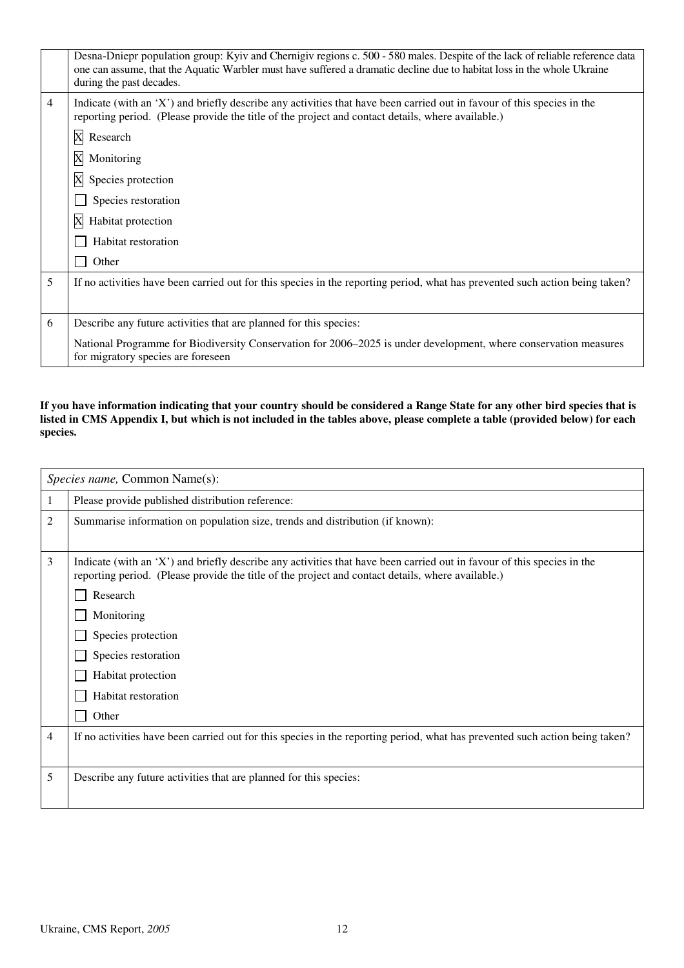|   | Desna-Dniepr population group: Kyiv and Chernigiv regions c. 500 - 580 males. Despite of the lack of reliable reference data<br>one can assume, that the Aquatic Warbler must have suffered a dramatic decline due to habitat loss in the whole Ukraine<br>during the past decades. |
|---|-------------------------------------------------------------------------------------------------------------------------------------------------------------------------------------------------------------------------------------------------------------------------------------|
| 4 | Indicate (with an 'X') and briefly describe any activities that have been carried out in favour of this species in the<br>reporting period. (Please provide the title of the project and contact details, where available.)                                                         |
|   | X Research                                                                                                                                                                                                                                                                          |
|   | X<br>Monitoring                                                                                                                                                                                                                                                                     |
|   | X<br>Species protection                                                                                                                                                                                                                                                             |
|   | Species restoration                                                                                                                                                                                                                                                                 |
|   | X<br>Habitat protection                                                                                                                                                                                                                                                             |
|   | Habitat restoration                                                                                                                                                                                                                                                                 |
|   | Other                                                                                                                                                                                                                                                                               |
| 5 | If no activities have been carried out for this species in the reporting period, what has prevented such action being taken?                                                                                                                                                        |
|   |                                                                                                                                                                                                                                                                                     |
| 6 | Describe any future activities that are planned for this species:                                                                                                                                                                                                                   |
|   | National Programme for Biodiversity Conservation for 2006–2025 is under development, where conservation measures<br>for migratory species are foreseen                                                                                                                              |

#### **If you have information indicating that your country should be considered a Range State for any other bird species that is listed in CMS Appendix I, but which is not included in the tables above, please complete a table (provided below) for each species.**

|   | Species name, Common Name(s):                                                                                                                                                                                                                                                                                                                            |
|---|----------------------------------------------------------------------------------------------------------------------------------------------------------------------------------------------------------------------------------------------------------------------------------------------------------------------------------------------------------|
| 1 | Please provide published distribution reference:                                                                                                                                                                                                                                                                                                         |
| 2 | Summarise information on population size, trends and distribution (if known):                                                                                                                                                                                                                                                                            |
| 3 | Indicate (with an 'X') and briefly describe any activities that have been carried out in favour of this species in the<br>reporting period. (Please provide the title of the project and contact details, where available.)<br>Research<br>Monitoring<br>Species protection<br>Species restoration<br>Habitat protection<br>Habitat restoration<br>Other |
| 4 | If no activities have been carried out for this species in the reporting period, what has prevented such action being taken?                                                                                                                                                                                                                             |
|   |                                                                                                                                                                                                                                                                                                                                                          |
| 5 | Describe any future activities that are planned for this species:                                                                                                                                                                                                                                                                                        |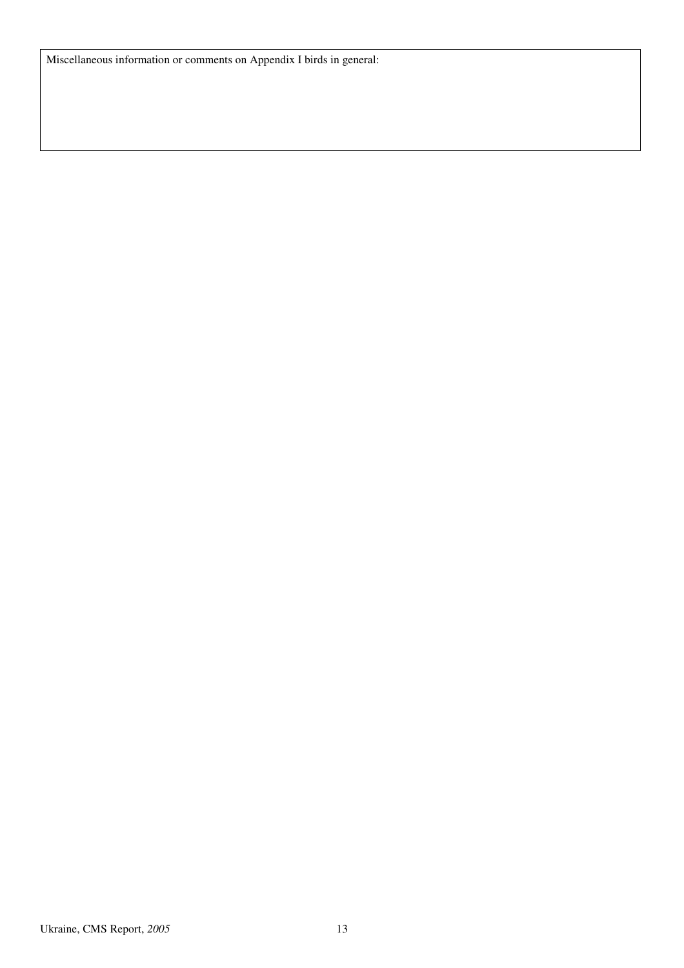Miscellaneous information or comments on Appendix I birds in general: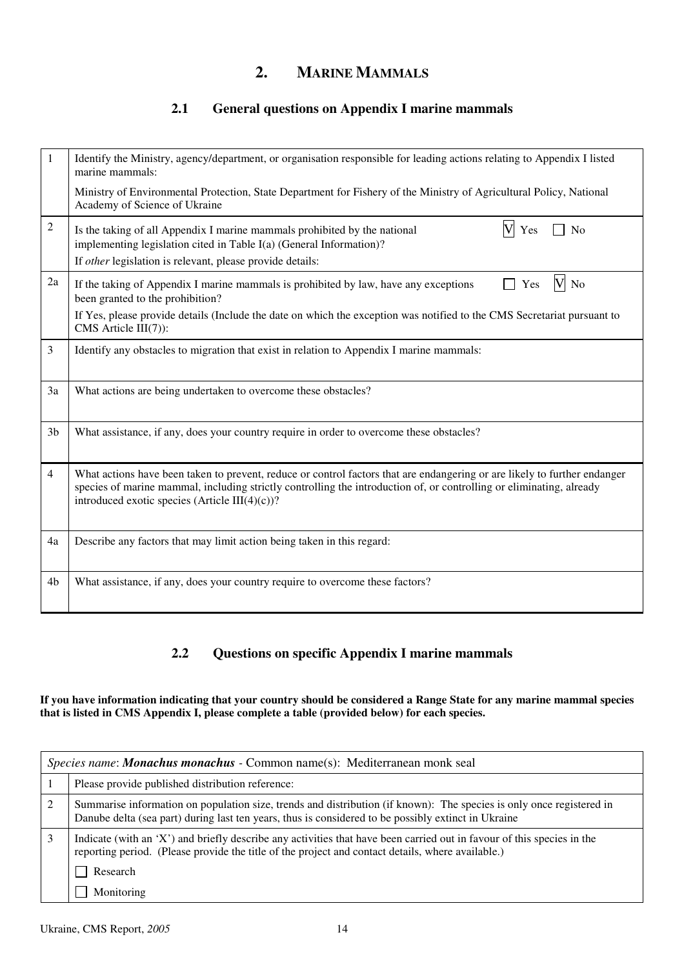# **2. MARINE MAMMALS**

## **2.1 General questions on Appendix I marine mammals**

| 1              | Identify the Ministry, agency/department, or organisation responsible for leading actions relating to Appendix I listed<br>marine mammals:<br>Ministry of Environmental Protection, State Department for Fishery of the Ministry of Agricultural Policy, National<br>Academy of Science of Ukraine      |
|----------------|---------------------------------------------------------------------------------------------------------------------------------------------------------------------------------------------------------------------------------------------------------------------------------------------------------|
|                |                                                                                                                                                                                                                                                                                                         |
| $\overline{2}$ | Is the taking of all Appendix I marine mammals prohibited by the national<br>Yes<br>N <sub>o</sub><br>implementing legislation cited in Table I(a) (General Information)?<br>If other legislation is relevant, please provide details:                                                                  |
| 2a             | V<br>If the taking of Appendix I marine mammals is prohibited by law, have any exceptions<br>Yes<br>No<br>been granted to the prohibition?                                                                                                                                                              |
|                | If Yes, please provide details (Include the date on which the exception was notified to the CMS Secretariat pursuant to<br>CMS Article III(7)):                                                                                                                                                         |
| 3              | Identify any obstacles to migration that exist in relation to Appendix I marine mammals:                                                                                                                                                                                                                |
| 3a             | What actions are being undertaken to overcome these obstacles?                                                                                                                                                                                                                                          |
| 3 <sub>b</sub> | What assistance, if any, does your country require in order to overcome these obstacles?                                                                                                                                                                                                                |
| 4              | What actions have been taken to prevent, reduce or control factors that are endangering or are likely to further endanger<br>species of marine mammal, including strictly controlling the introduction of, or controlling or eliminating, already<br>introduced exotic species (Article III $(4)(c)$ )? |
| 4a             | Describe any factors that may limit action being taken in this regard:                                                                                                                                                                                                                                  |
| 4b             | What assistance, if any, does your country require to overcome these factors?                                                                                                                                                                                                                           |

## **2.2 Questions on specific Appendix I marine mammals**

**If you have information indicating that your country should be considered a Range State for any marine mammal species that is listed in CMS Appendix I, please complete a table (provided below) for each species.** 

| Species name: <b>Monachus monachus</b> - Common name(s): Mediterranean monk seal                                                                                                                                            |  |  |
|-----------------------------------------------------------------------------------------------------------------------------------------------------------------------------------------------------------------------------|--|--|
| Please provide published distribution reference:                                                                                                                                                                            |  |  |
| Summarise information on population size, trends and distribution (if known): The species is only once registered in<br>Danube delta (sea part) during last ten years, thus is considered to be possibly extinct in Ukraine |  |  |
| Indicate (with an 'X') and briefly describe any activities that have been carried out in favour of this species in the<br>reporting period. (Please provide the title of the project and contact details, where available.) |  |  |
| Research                                                                                                                                                                                                                    |  |  |
| Monitoring                                                                                                                                                                                                                  |  |  |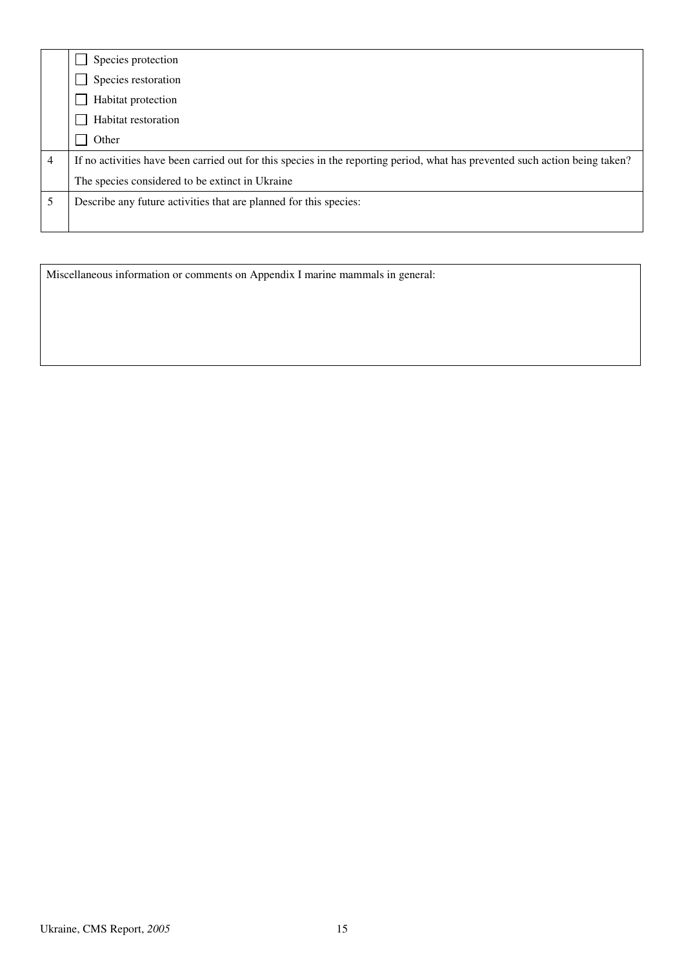|   | Species protection                                                                                                           |
|---|------------------------------------------------------------------------------------------------------------------------------|
|   | Species restoration                                                                                                          |
|   | Habitat protection                                                                                                           |
|   | Habitat restoration                                                                                                          |
|   | Other                                                                                                                        |
| 4 | If no activities have been carried out for this species in the reporting period, what has prevented such action being taken? |
|   | The species considered to be extinct in Ukraine                                                                              |
|   | Describe any future activities that are planned for this species:                                                            |
|   |                                                                                                                              |

Miscellaneous information or comments on Appendix I marine mammals in general: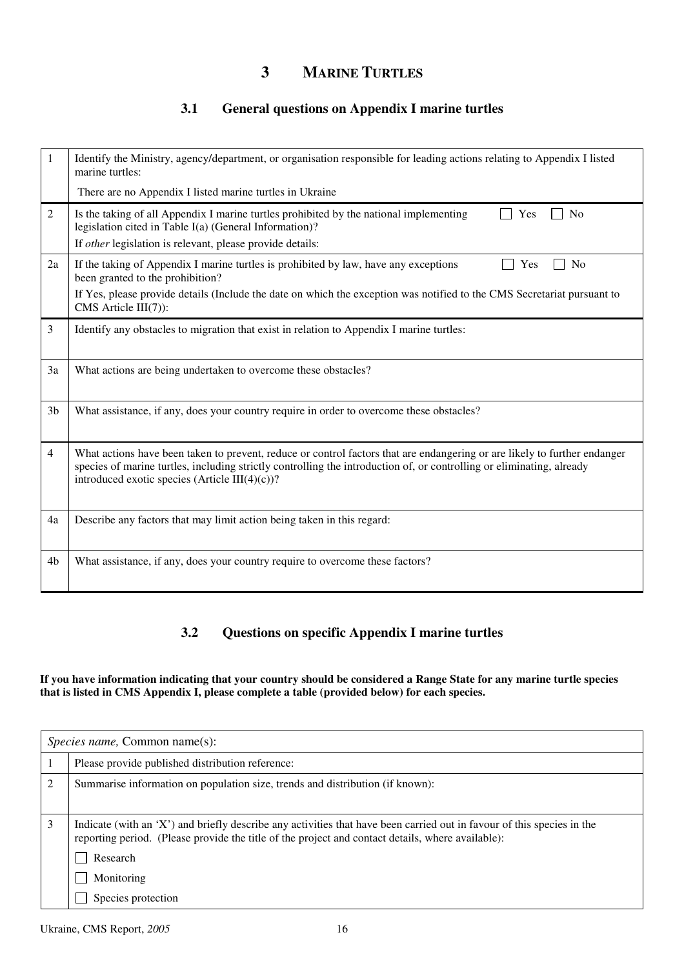# **3 MARINE TURTLES**

## **3.1 General questions on Appendix I marine turtles**

| 1              | Identify the Ministry, agency/department, or organisation responsible for leading actions relating to Appendix I listed<br>marine turtles:                                                                                                                                                               |
|----------------|----------------------------------------------------------------------------------------------------------------------------------------------------------------------------------------------------------------------------------------------------------------------------------------------------------|
|                | There are no Appendix I listed marine turtles in Ukraine                                                                                                                                                                                                                                                 |
| $\overline{2}$ | Is the taking of all Appendix I marine turtles prohibited by the national implementing<br>N <sub>0</sub><br>Yes<br>legislation cited in Table I(a) (General Information)?                                                                                                                                |
|                | If other legislation is relevant, please provide details:                                                                                                                                                                                                                                                |
| 2a             | If the taking of Appendix I marine turtles is prohibited by law, have any exceptions<br>N <sub>o</sub><br>Yes<br>been granted to the prohibition?                                                                                                                                                        |
|                | If Yes, please provide details (Include the date on which the exception was notified to the CMS Secretariat pursuant to<br>CMS Article III(7)):                                                                                                                                                          |
| 3              | Identify any obstacles to migration that exist in relation to Appendix I marine turtles:                                                                                                                                                                                                                 |
| 3a             | What actions are being undertaken to overcome these obstacles?                                                                                                                                                                                                                                           |
| 3 <sub>b</sub> | What assistance, if any, does your country require in order to overcome these obstacles?                                                                                                                                                                                                                 |
| $\overline{4}$ | What actions have been taken to prevent, reduce or control factors that are endangering or are likely to further endanger<br>species of marine turtles, including strictly controlling the introduction of, or controlling or eliminating, already<br>introduced exotic species (Article III $(4)(c)$ )? |
| 4a             | Describe any factors that may limit action being taken in this regard:                                                                                                                                                                                                                                   |
| 4b             | What assistance, if any, does your country require to overcome these factors?                                                                                                                                                                                                                            |

### **3.2 Questions on specific Appendix I marine turtles**

#### **If you have information indicating that your country should be considered a Range State for any marine turtle species that is listed in CMS Appendix I, please complete a table (provided below) for each species.**

|   | <i>Species name, Common name(s):</i>                                                                                                                                                                                        |  |  |
|---|-----------------------------------------------------------------------------------------------------------------------------------------------------------------------------------------------------------------------------|--|--|
|   | Please provide published distribution reference:                                                                                                                                                                            |  |  |
| 2 | Summarise information on population size, trends and distribution (if known):                                                                                                                                               |  |  |
| 3 | Indicate (with an 'X') and briefly describe any activities that have been carried out in favour of this species in the<br>reporting period. (Please provide the title of the project and contact details, where available): |  |  |
|   | Research                                                                                                                                                                                                                    |  |  |
|   | Monitoring                                                                                                                                                                                                                  |  |  |
|   | Species protection                                                                                                                                                                                                          |  |  |

Ukraine, CMS Report, *2005* 16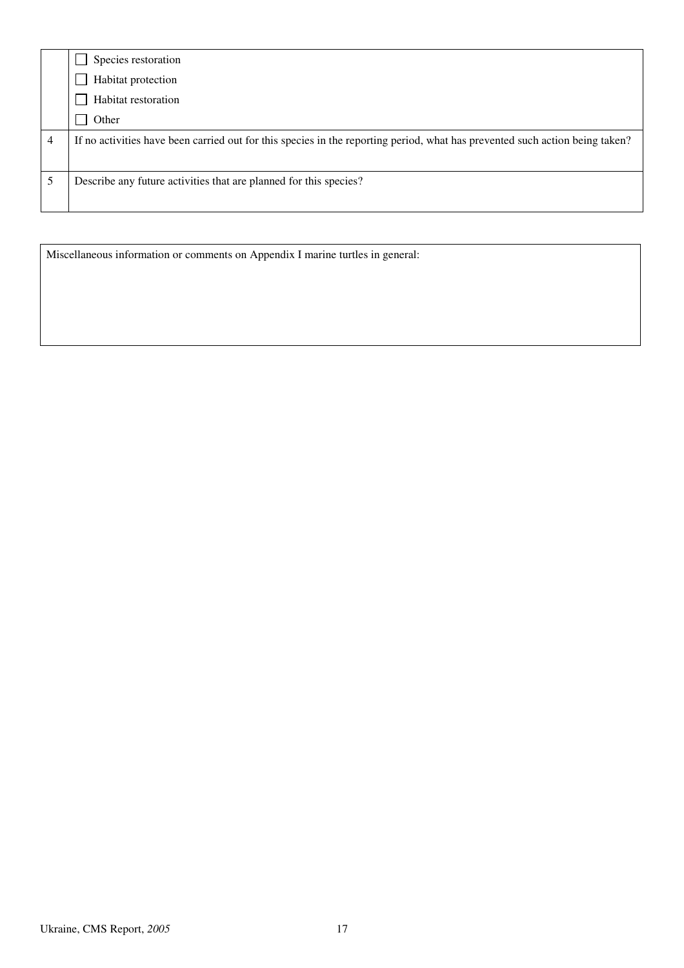|   | Species restoration                                                                                                          |
|---|------------------------------------------------------------------------------------------------------------------------------|
|   | Habitat protection                                                                                                           |
|   | Habitat restoration                                                                                                          |
|   | Other                                                                                                                        |
| 4 | If no activities have been carried out for this species in the reporting period, what has prevented such action being taken? |
|   | Describe any future activities that are planned for this species?                                                            |
|   |                                                                                                                              |

Miscellaneous information or comments on Appendix I marine turtles in general: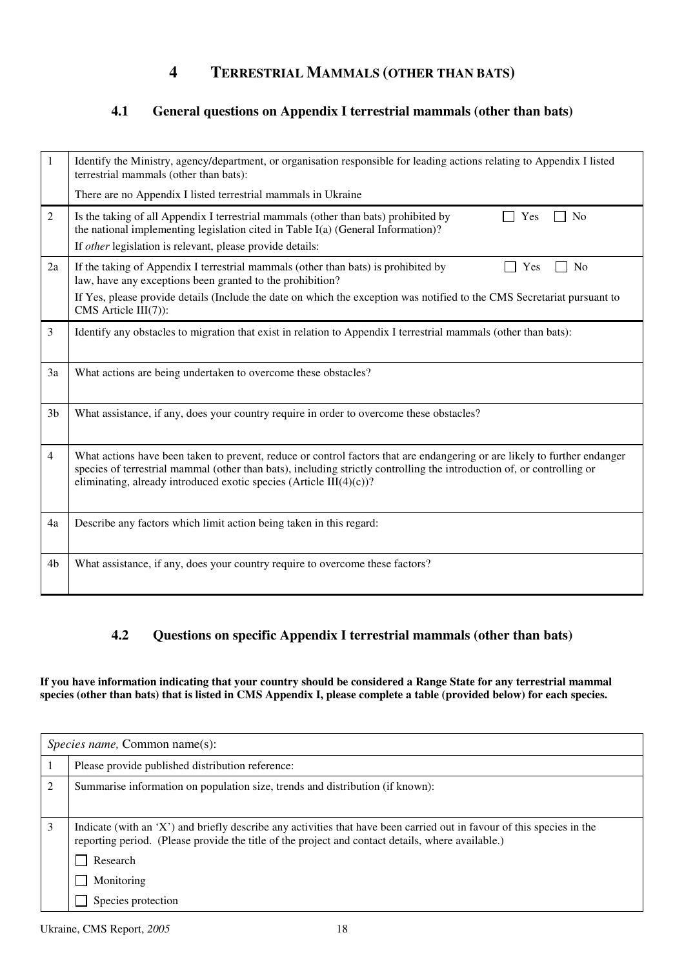## **4 TERRESTRIAL MAMMALS (OTHER THAN BATS)**

### **4.1 General questions on Appendix I terrestrial mammals (other than bats)**

| 1              | Identify the Ministry, agency/department, or organisation responsible for leading actions relating to Appendix I listed<br>terrestrial mammals (other than bats):                                                                                                                                                              |
|----------------|--------------------------------------------------------------------------------------------------------------------------------------------------------------------------------------------------------------------------------------------------------------------------------------------------------------------------------|
|                | There are no Appendix I listed terrestrial mammals in Ukraine                                                                                                                                                                                                                                                                  |
| 2              | Is the taking of all Appendix I terrestrial mammals (other than bats) prohibited by<br>Yes<br>N <sub>0</sub><br>the national implementing legislation cited in Table I(a) (General Information)?<br>If other legislation is relevant, please provide details:                                                                  |
| 2a             | If the taking of Appendix I terrestrial mammals (other than bats) is prohibited by<br>N <sub>o</sub><br>Yes<br>law, have any exceptions been granted to the prohibition?                                                                                                                                                       |
|                | If Yes, please provide details (Include the date on which the exception was notified to the CMS Secretariat pursuant to<br>CMS Article III(7)):                                                                                                                                                                                |
| 3              | Identify any obstacles to migration that exist in relation to Appendix I terrestrial mammals (other than bats):                                                                                                                                                                                                                |
| 3a             | What actions are being undertaken to overcome these obstacles?                                                                                                                                                                                                                                                                 |
| 3 <sub>b</sub> | What assistance, if any, does your country require in order to overcome these obstacles?                                                                                                                                                                                                                                       |
| $\overline{4}$ | What actions have been taken to prevent, reduce or control factors that are endangering or are likely to further endanger<br>species of terrestrial mammal (other than bats), including strictly controlling the introduction of, or controlling or<br>eliminating, already introduced exotic species (Article III $(4)(c)$ )? |
| 4a             | Describe any factors which limit action being taken in this regard:                                                                                                                                                                                                                                                            |
| 4b             | What assistance, if any, does your country require to overcome these factors?                                                                                                                                                                                                                                                  |

#### **4.2 Questions on specific Appendix I terrestrial mammals (other than bats)**

**If you have information indicating that your country should be considered a Range State for any terrestrial mammal species (other than bats) that is listed in CMS Appendix I, please complete a table (provided below) for each species.** 

|                | <i>Species name,</i> Common name(s):                                                                                                                                                                                        |  |  |
|----------------|-----------------------------------------------------------------------------------------------------------------------------------------------------------------------------------------------------------------------------|--|--|
|                | Please provide published distribution reference:                                                                                                                                                                            |  |  |
| $\overline{2}$ | Summarise information on population size, trends and distribution (if known):                                                                                                                                               |  |  |
| 3              | Indicate (with an 'X') and briefly describe any activities that have been carried out in favour of this species in the<br>reporting period. (Please provide the title of the project and contact details, where available.) |  |  |
|                | Research                                                                                                                                                                                                                    |  |  |
|                | Monitoring                                                                                                                                                                                                                  |  |  |
|                | Species protection                                                                                                                                                                                                          |  |  |

Ukraine, CMS Report, *2005* 18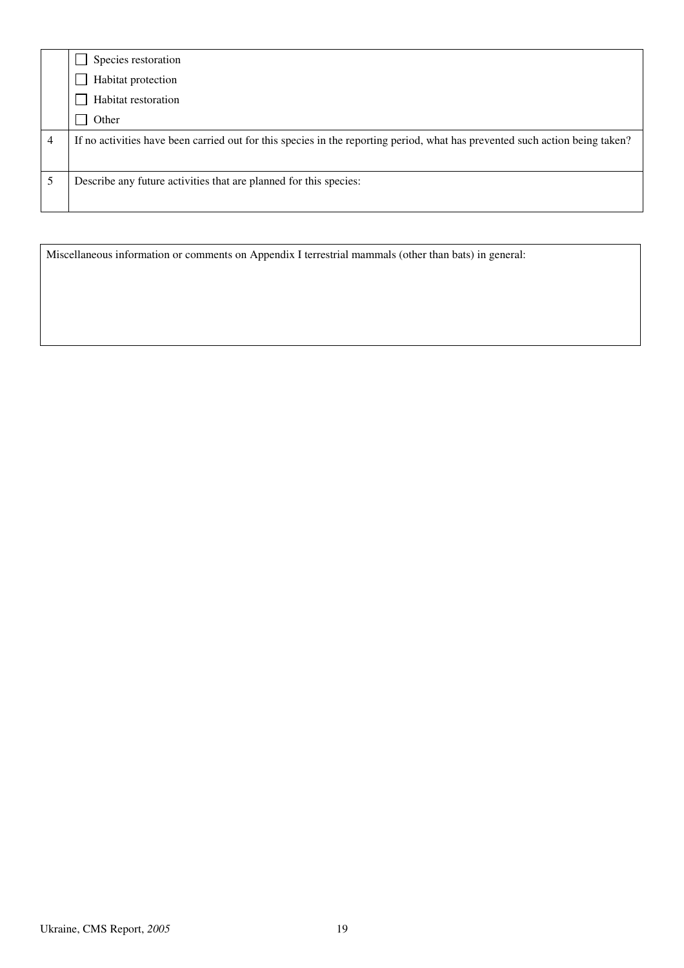|   | Species restoration                                                                                                          |
|---|------------------------------------------------------------------------------------------------------------------------------|
|   | Habitat protection                                                                                                           |
|   | Habitat restoration                                                                                                          |
|   | Other                                                                                                                        |
| 4 | If no activities have been carried out for this species in the reporting period, what has prevented such action being taken? |
|   | Describe any future activities that are planned for this species:                                                            |
|   |                                                                                                                              |

Miscellaneous information or comments on Appendix I terrestrial mammals (other than bats) in general: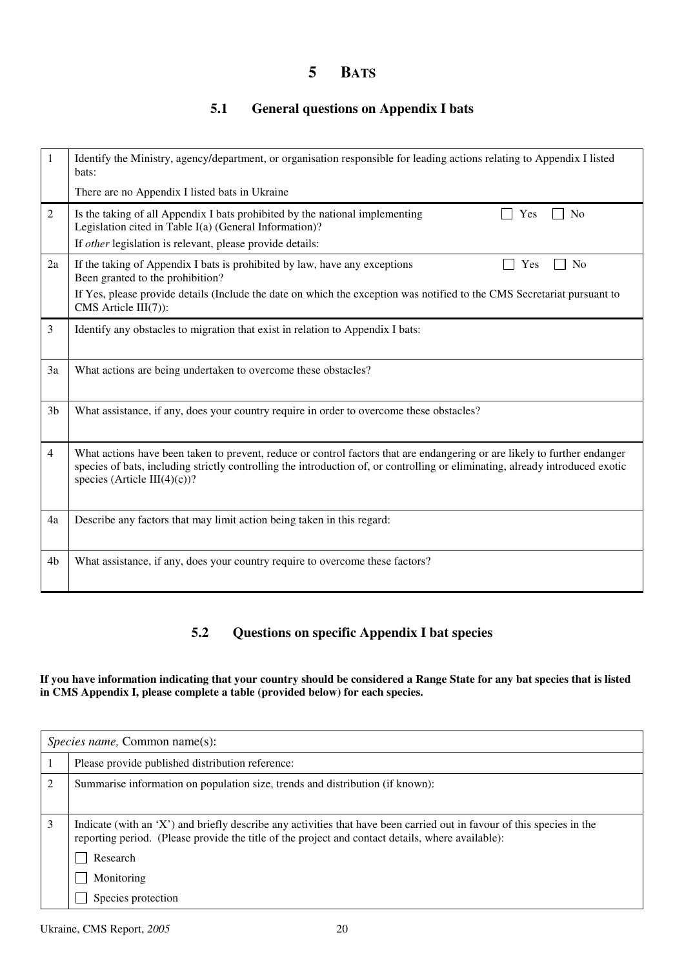# **5 BATS**

### **5.1 General questions on Appendix I bats**

| 1              | Identify the Ministry, agency/department, or organisation responsible for leading actions relating to Appendix I listed<br>bats:                                                                                                                                                           |
|----------------|--------------------------------------------------------------------------------------------------------------------------------------------------------------------------------------------------------------------------------------------------------------------------------------------|
|                | There are no Appendix I listed bats in Ukraine                                                                                                                                                                                                                                             |
| 2              | Is the taking of all Appendix I bats prohibited by the national implementing<br>N <sub>0</sub><br>Yes<br>Legislation cited in Table I(a) (General Information)?                                                                                                                            |
|                | If other legislation is relevant, please provide details:                                                                                                                                                                                                                                  |
| 2a             | If the taking of Appendix I bats is prohibited by law, have any exceptions<br>N <sub>o</sub><br>Yes<br>Been granted to the prohibition?                                                                                                                                                    |
|                | If Yes, please provide details (Include the date on which the exception was notified to the CMS Secretariat pursuant to<br>$CMS$ Article $III(7)$ :                                                                                                                                        |
| 3              | Identify any obstacles to migration that exist in relation to Appendix I bats:                                                                                                                                                                                                             |
| 3a             | What actions are being undertaken to overcome these obstacles?                                                                                                                                                                                                                             |
| 3 <sub>b</sub> | What assistance, if any, does your country require in order to overcome these obstacles?                                                                                                                                                                                                   |
| 4              | What actions have been taken to prevent, reduce or control factors that are endangering or are likely to further endanger<br>species of bats, including strictly controlling the introduction of, or controlling or eliminating, already introduced exotic<br>species (Article III(4)(c))? |
| 4a             | Describe any factors that may limit action being taken in this regard:                                                                                                                                                                                                                     |
| 4b             | What assistance, if any, does your country require to overcome these factors?                                                                                                                                                                                                              |

#### **5.2 Questions on specific Appendix I bat species**

#### **If you have information indicating that your country should be considered a Range State for any bat species that is listed in CMS Appendix I, please complete a table (provided below) for each species.**

|   | <i>Species name, Common name(s):</i>                                                                                                                                                                                        |  |  |  |
|---|-----------------------------------------------------------------------------------------------------------------------------------------------------------------------------------------------------------------------------|--|--|--|
|   | Please provide published distribution reference:                                                                                                                                                                            |  |  |  |
| 2 | Summarise information on population size, trends and distribution (if known):                                                                                                                                               |  |  |  |
| 3 | Indicate (with an 'X') and briefly describe any activities that have been carried out in favour of this species in the<br>reporting period. (Please provide the title of the project and contact details, where available): |  |  |  |
|   | Research                                                                                                                                                                                                                    |  |  |  |
|   | Monitoring                                                                                                                                                                                                                  |  |  |  |
|   | Species protection                                                                                                                                                                                                          |  |  |  |

Ukraine, CMS Report, 2005 20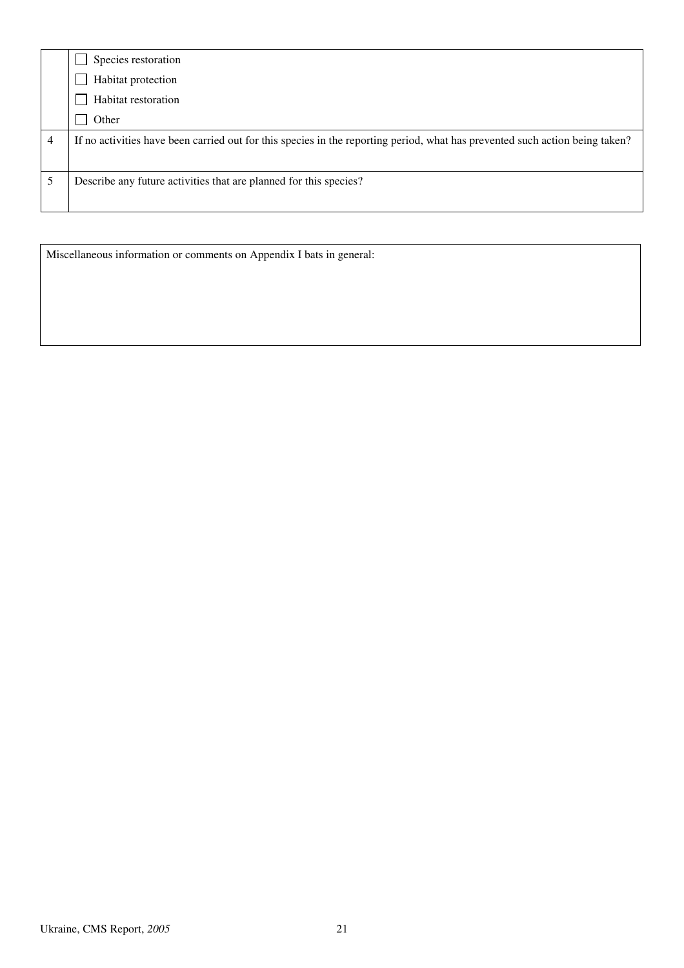| If no activities have been carried out for this species in the reporting period, what has prevented such action being taken? |
|------------------------------------------------------------------------------------------------------------------------------|
|                                                                                                                              |
|                                                                                                                              |

Miscellaneous information or comments on Appendix I bats in general: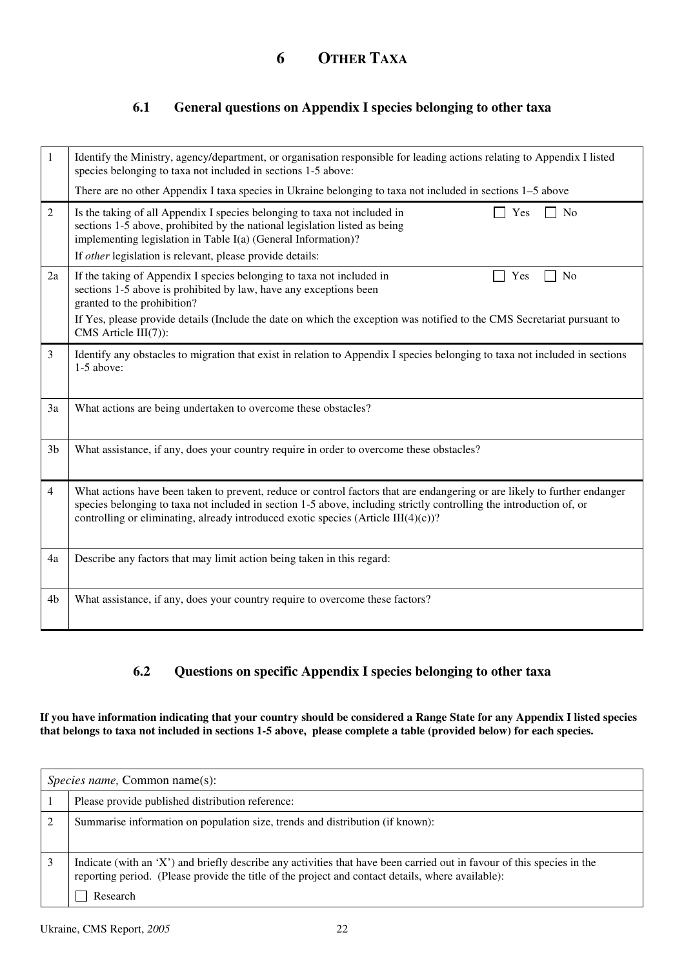#### **6.1 General questions on Appendix I species belonging to other taxa**

| 1              | Identify the Ministry, agency/department, or organisation responsible for leading actions relating to Appendix I listed<br>species belonging to taxa not included in sections 1-5 above:                                                                                                                                                   |
|----------------|--------------------------------------------------------------------------------------------------------------------------------------------------------------------------------------------------------------------------------------------------------------------------------------------------------------------------------------------|
|                | There are no other Appendix I taxa species in Ukraine belonging to taxa not included in sections 1–5 above                                                                                                                                                                                                                                 |
| $\overline{2}$ | Is the taking of all Appendix I species belonging to taxa not included in<br>Yes<br>No<br>sections 1-5 above, prohibited by the national legislation listed as being<br>implementing legislation in Table I(a) (General Information)?<br>If other legislation is relevant, please provide details:                                         |
| 2a             | If the taking of Appendix I species belonging to taxa not included in<br>Yes<br>N <sub>0</sub><br>sections 1-5 above is prohibited by law, have any exceptions been<br>granted to the prohibition?                                                                                                                                         |
|                | If Yes, please provide details (Include the date on which the exception was notified to the CMS Secretariat pursuant to<br>CMS Article $III(7)$ :                                                                                                                                                                                          |
| 3              | Identify any obstacles to migration that exist in relation to Appendix I species belonging to taxa not included in sections<br>$1-5$ above:                                                                                                                                                                                                |
| 3a             | What actions are being undertaken to overcome these obstacles?                                                                                                                                                                                                                                                                             |
| 3 <sub>b</sub> | What assistance, if any, does your country require in order to overcome these obstacles?                                                                                                                                                                                                                                                   |
| 4              | What actions have been taken to prevent, reduce or control factors that are endangering or are likely to further endanger<br>species belonging to taxa not included in section 1-5 above, including strictly controlling the introduction of, or<br>controlling or eliminating, already introduced exotic species (Article III $(4)(c)$ )? |
| 4a             | Describe any factors that may limit action being taken in this regard:                                                                                                                                                                                                                                                                     |
| 4 <sub>b</sub> | What assistance, if any, does your country require to overcome these factors?                                                                                                                                                                                                                                                              |

### **6.2 Questions on specific Appendix I species belonging to other taxa**

**If you have information indicating that your country should be considered a Range State for any Appendix I listed species that belongs to taxa not included in sections 1-5 above, please complete a table (provided below) for each species.** 

| <i>Species name,</i> Common name(s):                                                                                                                                                                                                    |  |  |
|-----------------------------------------------------------------------------------------------------------------------------------------------------------------------------------------------------------------------------------------|--|--|
| Please provide published distribution reference:                                                                                                                                                                                        |  |  |
| Summarise information on population size, trends and distribution (if known):                                                                                                                                                           |  |  |
| Indicate (with an 'X') and briefly describe any activities that have been carried out in favour of this species in the<br>reporting period. (Please provide the title of the project and contact details, where available):<br>Research |  |  |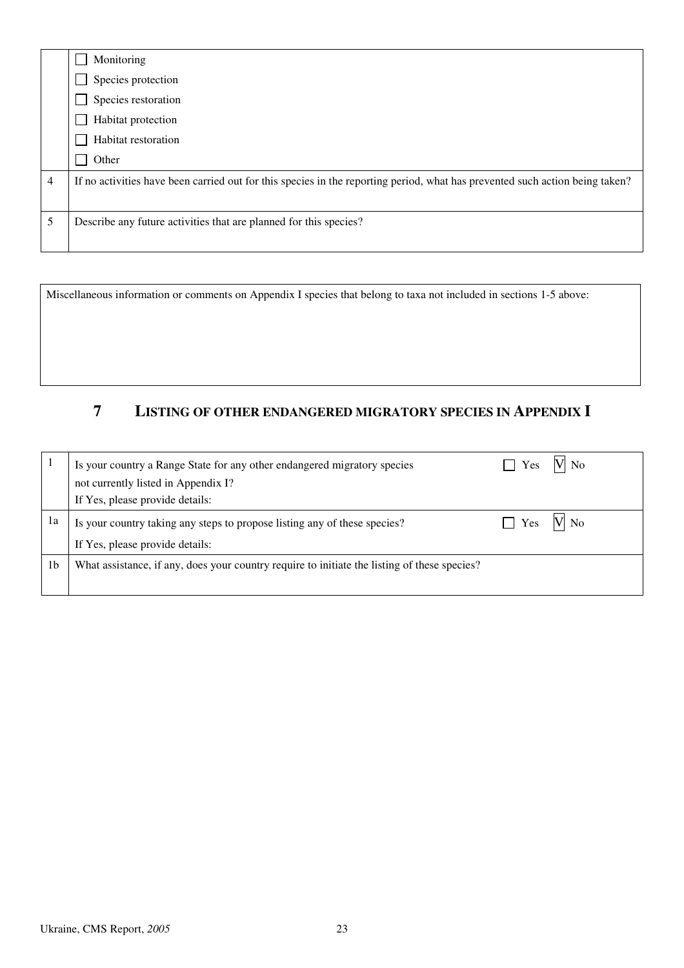|   | Monitoring                                                                                                                   |  |
|---|------------------------------------------------------------------------------------------------------------------------------|--|
|   | Species protection                                                                                                           |  |
|   | Species restoration                                                                                                          |  |
|   | Habitat protection                                                                                                           |  |
|   | Habitat restoration                                                                                                          |  |
|   | Other                                                                                                                        |  |
| 4 | If no activities have been carried out for this species in the reporting period, what has prevented such action being taken? |  |
|   |                                                                                                                              |  |
| 5 | Describe any future activities that are planned for this species?                                                            |  |
|   |                                                                                                                              |  |

Miscellaneous information or comments on Appendix I species that belong to taxa not included in sections 1-5 above:

# **7 LISTING OF OTHER ENDANGERED MIGRATORY SPECIES IN APPENDIX I**

|                | Is your country a Range State for any other endangered migratory species                     | Yes            | V No |
|----------------|----------------------------------------------------------------------------------------------|----------------|------|
|                | not currently listed in Appendix I?                                                          |                |      |
|                | If Yes, please provide details:                                                              |                |      |
| 1a             | Is your country taking any steps to propose listing any of these species?                    | $\sqrt{7}$ Yes | V No |
|                | If Yes, please provide details:                                                              |                |      |
| 1 <sub>b</sub> | What assistance, if any, does your country require to initiate the listing of these species? |                |      |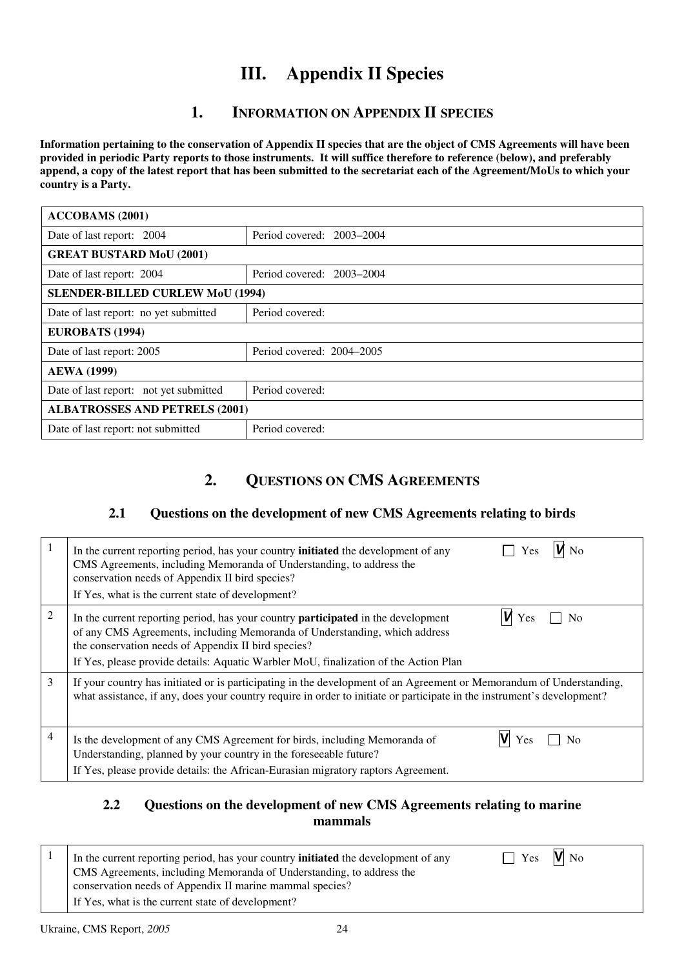# **III. Appendix II Species**

## **1. INFORMATION ON APPENDIX II SPECIES**

**Information pertaining to the conservation of Appendix II species that are the object of CMS Agreements will have been provided in periodic Party reports to those instruments. It will suffice therefore to reference (below), and preferably append, a copy of the latest report that has been submitted to the secretariat each of the Agreement/MoUs to which your country is a Party.** 

| <b>ACCOBAMS</b> (2001)                  |                           |  |  |
|-----------------------------------------|---------------------------|--|--|
| Date of last report: 2004               | Period covered: 2003–2004 |  |  |
| <b>GREAT BUSTARD MoU (2001)</b>         |                           |  |  |
| Date of last report: 2004               | Period covered: 2003–2004 |  |  |
| <b>SLENDER-BILLED CURLEW MoU (1994)</b> |                           |  |  |
| Date of last report: no yet submitted   | Period covered:           |  |  |
| <b>EUROBATS (1994)</b>                  |                           |  |  |
| Date of last report: 2005               | Period covered: 2004–2005 |  |  |
| <b>AEWA (1999)</b>                      |                           |  |  |
| Date of last report: not yet submitted  | Period covered:           |  |  |
| <b>ALBATROSSES AND PETRELS (2001)</b>   |                           |  |  |
| Date of last report: not submitted      | Period covered:           |  |  |

## **2. QUESTIONS ON CMS AGREEMENTS**

### **2.1 Questions on the development of new CMS Agreements relating to birds**

|   | $M_{\text{No}}$<br>$\Box$ Yes<br>In the current reporting period, has your country <b>initiated</b> the development of any<br>CMS Agreements, including Memoranda of Understanding, to address the<br>conservation needs of Appendix II bird species?<br>If Yes, what is the current state of development?                                         |
|---|----------------------------------------------------------------------------------------------------------------------------------------------------------------------------------------------------------------------------------------------------------------------------------------------------------------------------------------------------|
| 2 | $W$ Yes<br>N <sub>0</sub><br>In the current reporting period, has your country <b>participated</b> in the development<br>of any CMS Agreements, including Memoranda of Understanding, which address<br>the conservation needs of Appendix II bird species?<br>If Yes, please provide details: Aquatic Warbler MoU, finalization of the Action Plan |
| 3 | If your country has initiated or is participating in the development of an Agreement or Memorandum of Understanding,<br>what assistance, if any, does your country require in order to initiate or participate in the instrument's development?                                                                                                    |
| 4 | $\overline{N}$<br>Is the development of any CMS Agreement for birds, including Memoranda of<br>Understanding, planned by your country in the foreseeable future?<br>If Yes, please provide details: the African-Eurasian migratory raptors Agreement.                                                                                              |

#### **2.2 Questions on the development of new CMS Agreements relating to marine mammals**

| In the current reporting period, has your country <b>initiated</b> the development of any | $\Box$ Yes $\blacksquare$ No |  |
|-------------------------------------------------------------------------------------------|------------------------------|--|
| CMS Agreements, including Memoranda of Understanding, to address the                      |                              |  |
| conservation needs of Appendix II marine mammal species?                                  |                              |  |
| If Yes, what is the current state of development?                                         |                              |  |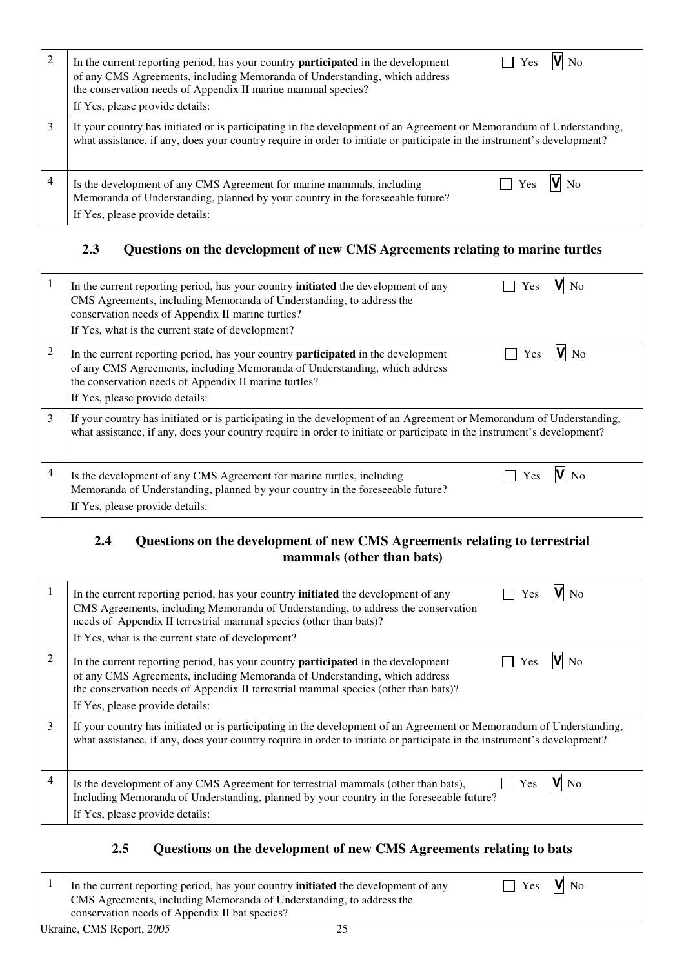| 2 | VI No<br>In the current reporting period, has your country <b>participated</b> in the development<br>Yes<br>of any CMS Agreements, including Memoranda of Understanding, which address<br>the conservation needs of Appendix II marine mammal species?<br>If Yes, please provide details: |
|---|-------------------------------------------------------------------------------------------------------------------------------------------------------------------------------------------------------------------------------------------------------------------------------------------|
| 3 | If your country has initiated or is participating in the development of an Agreement or Memorandum of Understanding,<br>what assistance, if any, does your country require in order to initiate or participate in the instrument's development?                                           |
| 4 | N <sub>0</sub><br>Is the development of any CMS Agreement for marine mammals, including<br>Yes<br>Memoranda of Understanding, planned by your country in the foreseeable future?<br>If Yes, please provide details:                                                                       |

## **2.3 Questions on the development of new CMS Agreements relating to marine turtles**

|                | Yes<br>In the current reporting period, has your country <b>initiated</b> the development of any<br>CMS Agreements, including Memoranda of Understanding, to address the<br>conservation needs of Appendix II marine turtles?<br>If Yes, what is the current state of development?      |
|----------------|-----------------------------------------------------------------------------------------------------------------------------------------------------------------------------------------------------------------------------------------------------------------------------------------|
| $\overline{2}$ | $\sqrt{N}$<br>In the current reporting period, has your country <b>participated</b> in the development<br>Yes<br>of any CMS Agreements, including Memoranda of Understanding, which address<br>the conservation needs of Appendix II marine turtles?<br>If Yes, please provide details: |
| 3              | If your country has initiated or is participating in the development of an Agreement or Memorandum of Understanding,<br>what assistance, if any, does your country require in order to initiate or participate in the instrument's development?                                         |
| $\overline{4}$ | Is the development of any CMS Agreement for marine turtles, including<br>Memoranda of Understanding, planned by your country in the foreseeable future?<br>If Yes, please provide details:                                                                                              |

### **2.4 Questions on the development of new CMS Agreements relating to terrestrial mammals (other than bats)**

|                | In the current reporting period, has your country <b>initiated</b> the development of any<br>Yes<br>CMS Agreements, including Memoranda of Understanding, to address the conservation<br>needs of Appendix II terrestrial mammal species (other than bats)?<br>If Yes, what is the current state of development? |
|----------------|------------------------------------------------------------------------------------------------------------------------------------------------------------------------------------------------------------------------------------------------------------------------------------------------------------------|
| $\overline{2}$ | Yes<br>In the current reporting period, has your country <b>participated</b> in the development<br>of any CMS Agreements, including Memoranda of Understanding, which address<br>the conservation needs of Appendix II terrestrial mammal species (other than bats)?<br>If Yes, please provide details:          |
| 3              | If your country has initiated or is participating in the development of an Agreement or Memorandum of Understanding,<br>what assistance, if any, does your country require in order to initiate or participate in the instrument's development?                                                                  |
| 4              | Yes<br>N <sub>0</sub><br>Is the development of any CMS Agreement for terrestrial mammals (other than bats),<br>Including Memoranda of Understanding, planned by your country in the foreseeable future?<br>If Yes, please provide details:                                                                       |

## **2.5 Questions on the development of new CMS Agreements relating to bats**

| In the current reporting period, has your country <b>initiated</b> the development of any | $\Box$ Yes $V$ No |
|-------------------------------------------------------------------------------------------|-------------------|
| CMS Agreements, including Memoranda of Understanding, to address the                      |                   |
| conservation needs of Appendix II bat species?                                            |                   |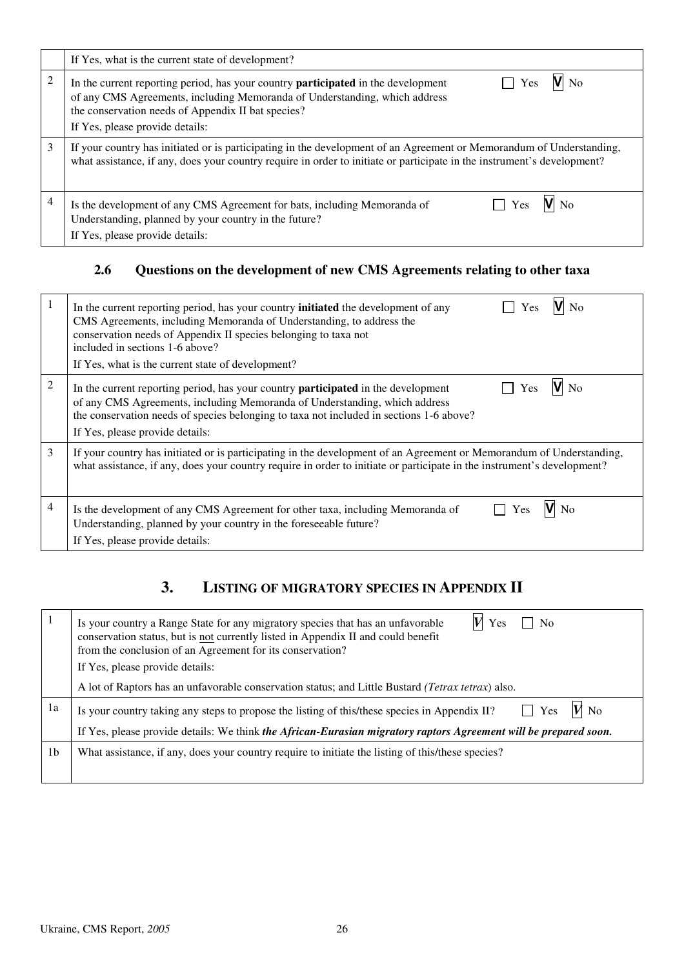|   | If Yes, what is the current state of development?                                                                                                                                                                                                                              |
|---|--------------------------------------------------------------------------------------------------------------------------------------------------------------------------------------------------------------------------------------------------------------------------------|
| 2 | V No<br>Yes<br>In the current reporting period, has your country <b>participated</b> in the development<br>of any CMS Agreements, including Memoranda of Understanding, which address<br>the conservation needs of Appendix II bat species?<br>If Yes, please provide details: |
| 3 | If your country has initiated or is participating in the development of an Agreement or Memorandum of Understanding,<br>what assistance, if any, does your country require in order to initiate or participate in the instrument's development?                                |
| 4 | Is the development of any CMS Agreement for bats, including Memoranda of<br>Yes<br>Understanding, planned by your country in the future?<br>If Yes, please provide details:                                                                                                    |

### **2.6 Questions on the development of new CMS Agreements relating to other taxa**

|   | In the current reporting period, has your country <b>initiated</b> the development of any<br>CMS Agreements, including Memoranda of Understanding, to address the<br>conservation needs of Appendix II species belonging to taxa not<br>included in sections 1-6 above?<br>If Yes, what is the current state of development? |
|---|------------------------------------------------------------------------------------------------------------------------------------------------------------------------------------------------------------------------------------------------------------------------------------------------------------------------------|
| 2 | $V_{\rm No}$<br>Yes<br>In the current reporting period, has your country <b>participated</b> in the development<br>of any CMS Agreements, including Memoranda of Understanding, which address<br>the conservation needs of species belonging to taxa not included in sections 1-6 above?<br>If Yes, please provide details:  |
| 3 | If your country has initiated or is participating in the development of an Agreement or Memorandum of Understanding,<br>what assistance, if any, does your country require in order to initiate or participate in the instrument's development?                                                                              |
| 4 | Is the development of any CMS Agreement for other taxa, including Memoranda of<br>Yes<br>Understanding, planned by your country in the foreseeable future?<br>If Yes, please provide details:                                                                                                                                |

# **3. LISTING OF MIGRATORY SPECIES IN APPENDIX II**

|                | Is your country a Range State for any migratory species that has an unfavorable<br>Yes<br>No<br>conservation status, but is not currently listed in Appendix II and could benefit<br>from the conclusion of an Agreement for its conservation?<br>If Yes, please provide details: |
|----------------|-----------------------------------------------------------------------------------------------------------------------------------------------------------------------------------------------------------------------------------------------------------------------------------|
|                | A lot of Raptors has an unfavorable conservation status; and Little Bustard (Tetrax tetrax) also.                                                                                                                                                                                 |
| 1a             | $V$ No<br>Yes<br>Is your country taking any steps to propose the listing of this/these species in Appendix II?                                                                                                                                                                    |
|                | If Yes, please provide details: We think the African-Eurasian migratory raptors Agreement will be prepared soon.                                                                                                                                                                  |
| 1 <sub>b</sub> | What assistance, if any, does your country require to initiate the listing of this/these species?                                                                                                                                                                                 |
|                |                                                                                                                                                                                                                                                                                   |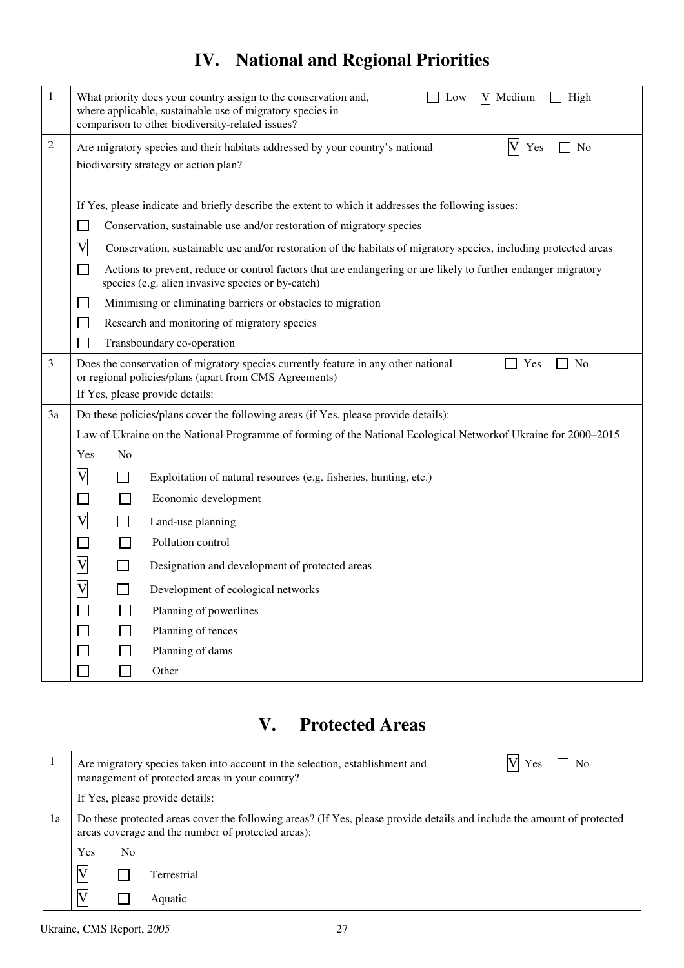# **IV. National and Regional Priorities**

| 1  | V Medium<br>High<br>What priority does your country assign to the conservation and,<br>Low<br>where applicable, sustainable use of migratory species in<br>comparison to other biodiversity-related issues? |
|----|-------------------------------------------------------------------------------------------------------------------------------------------------------------------------------------------------------------|
| 2  | $\mathbf V$<br>Yes<br>No<br>Are migratory species and their habitats addressed by your country's national                                                                                                   |
|    | biodiversity strategy or action plan?                                                                                                                                                                       |
|    |                                                                                                                                                                                                             |
|    | If Yes, please indicate and briefly describe the extent to which it addresses the following issues:                                                                                                         |
|    | Conservation, sustainable use and/or restoration of migratory species                                                                                                                                       |
|    | $\overline{\mathsf{V}}$<br>Conservation, sustainable use and/or restoration of the habitats of migratory species, including protected areas                                                                 |
|    | Actions to prevent, reduce or control factors that are endangering or are likely to further endanger migratory<br>species (e.g. alien invasive species or by-catch)                                         |
|    | Minimising or eliminating barriers or obstacles to migration                                                                                                                                                |
|    | Research and monitoring of migratory species                                                                                                                                                                |
|    | Transboundary co-operation                                                                                                                                                                                  |
| 3  | No<br>Does the conservation of migratory species currently feature in any other national<br>Yes                                                                                                             |
|    | or regional policies/plans (apart from CMS Agreements)<br>If Yes, please provide details:                                                                                                                   |
| 3a | Do these policies/plans cover the following areas (if Yes, please provide details):                                                                                                                         |
|    | Law of Ukraine on the National Programme of forming of the National Ecological Network of Ukraine for 2000–2015                                                                                             |
|    | N <sub>0</sub><br>Yes                                                                                                                                                                                       |
|    | $\overline{\mathsf{V}}$<br>$\Box$<br>Exploitation of natural resources (e.g. fisheries, hunting, etc.)                                                                                                      |
|    | $\mathbf{I}$<br>Economic development                                                                                                                                                                        |
|    | $\overline{\mathsf{V}}$<br>Land-use planning                                                                                                                                                                |
|    | Pollution control                                                                                                                                                                                           |
|    | $\overline{\mathsf{V}}$<br>Designation and development of protected areas                                                                                                                                   |
|    | $\overline{\mathsf{V}}$<br>$\mathsf{L}$<br>Development of ecological networks                                                                                                                               |
|    | Planning of powerlines                                                                                                                                                                                      |
|    | Planning of fences                                                                                                                                                                                          |
|    | Planning of dams                                                                                                                                                                                            |
|    | Other                                                                                                                                                                                                       |
|    |                                                                                                                                                                                                             |

# **V. Protected Areas**

|    |                                                                                                                                                                               |                | Are migratory species taken into account in the selection, establishment and<br>Yes<br>No<br>management of protected areas in your country? |
|----|-------------------------------------------------------------------------------------------------------------------------------------------------------------------------------|----------------|---------------------------------------------------------------------------------------------------------------------------------------------|
|    |                                                                                                                                                                               |                | If Yes, please provide details:                                                                                                             |
| 1a | Do these protected areas cover the following areas? (If Yes, please provide details and include the amount of protected<br>areas coverage and the number of protected areas): |                |                                                                                                                                             |
|    | Yes                                                                                                                                                                           | N <sub>0</sub> |                                                                                                                                             |
|    | $\boldsymbol{\mathrm{V}}$                                                                                                                                                     |                | Terrestrial                                                                                                                                 |
|    | V                                                                                                                                                                             |                | Aquatic                                                                                                                                     |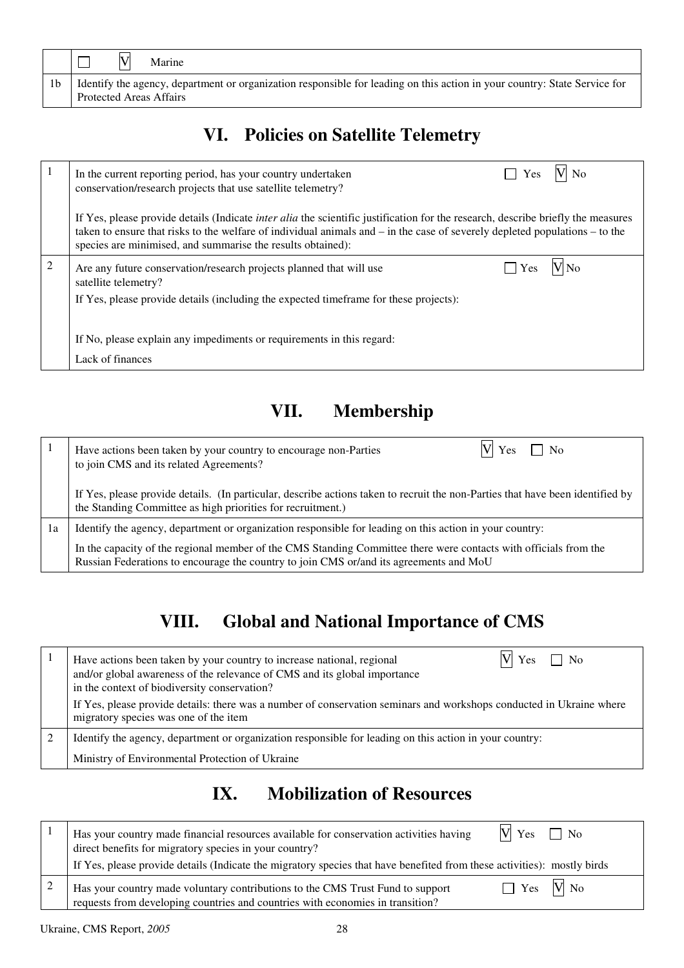|                | Marine                                                                                                                                                        |
|----------------|---------------------------------------------------------------------------------------------------------------------------------------------------------------|
| 1 <sub>b</sub> | I Identify the agency, department or organization responsible for leading on this action in your country: State Service for<br><b>Protected Areas Affairs</b> |

# **VI. Policies on Satellite Telemetry**

|   | V No<br>$\Box$ Yes<br>In the current reporting period, has your country undertaken<br>conservation/research projects that use satellite telemetry?                                                                                                                                                                                        |
|---|-------------------------------------------------------------------------------------------------------------------------------------------------------------------------------------------------------------------------------------------------------------------------------------------------------------------------------------------|
|   | If Yes, please provide details (Indicate <i>inter alia</i> the scientific justification for the research, describe briefly the measures<br>taken to ensure that risks to the welfare of individual animals and $-$ in the case of severely depleted populations $-$ to the<br>species are minimised, and summarise the results obtained): |
| 2 | $\Box$ Yes<br>Are any future conservation/research projects planned that will use<br>satellite telemetry?<br>If Yes, please provide details (including the expected timeframe for these projects):                                                                                                                                        |
|   | If No, please explain any impediments or requirements in this regard:<br>Lack of finances                                                                                                                                                                                                                                                 |

# **VII. Membership**

|    | Yes<br>Have actions been taken by your country to encourage non-Parties<br>N <sub>0</sub><br>to join CMS and its related Agreements?                                                                       |
|----|------------------------------------------------------------------------------------------------------------------------------------------------------------------------------------------------------------|
|    | If Yes, please provide details. (In particular, describe actions taken to recruit the non-Parties that have been identified by<br>the Standing Committee as high priorities for recruitment.)              |
| 1a | Identify the agency, department or organization responsible for leading on this action in your country:                                                                                                    |
|    | In the capacity of the regional member of the CMS Standing Committee there were contacts with officials from the<br>Russian Federations to encourage the country to join CMS or/and its agreements and MoU |

# **VIII. Global and National Importance of CMS**

| Yes<br>Have actions been taken by your country to increase national, regional<br>No<br>and/or global awareness of the relevance of CMS and its global importance<br>in the context of biodiversity conservation? |
|------------------------------------------------------------------------------------------------------------------------------------------------------------------------------------------------------------------|
| If Yes, please provide details: there was a number of conservation seminars and workshops conducted in Ukraine where<br>migratory species was one of the item                                                    |
| Identify the agency, department or organization responsible for leading on this action in your country:                                                                                                          |
| Ministry of Environmental Protection of Ukraine                                                                                                                                                                  |

# **IX. Mobilization of Resources**

| $V$ Yes $\Box$ No<br>Has your country made financial resources available for conservation activities having<br>direct benefits for migratory species in your country?            |
|----------------------------------------------------------------------------------------------------------------------------------------------------------------------------------|
| If Yes, please provide details (Indicate the migratory species that have benefited from these activities): mostly birds                                                          |
| $Yes$ $N$ No<br>Has your country made voluntary contributions to the CMS Trust Fund to support<br>requests from developing countries and countries with economies in transition? |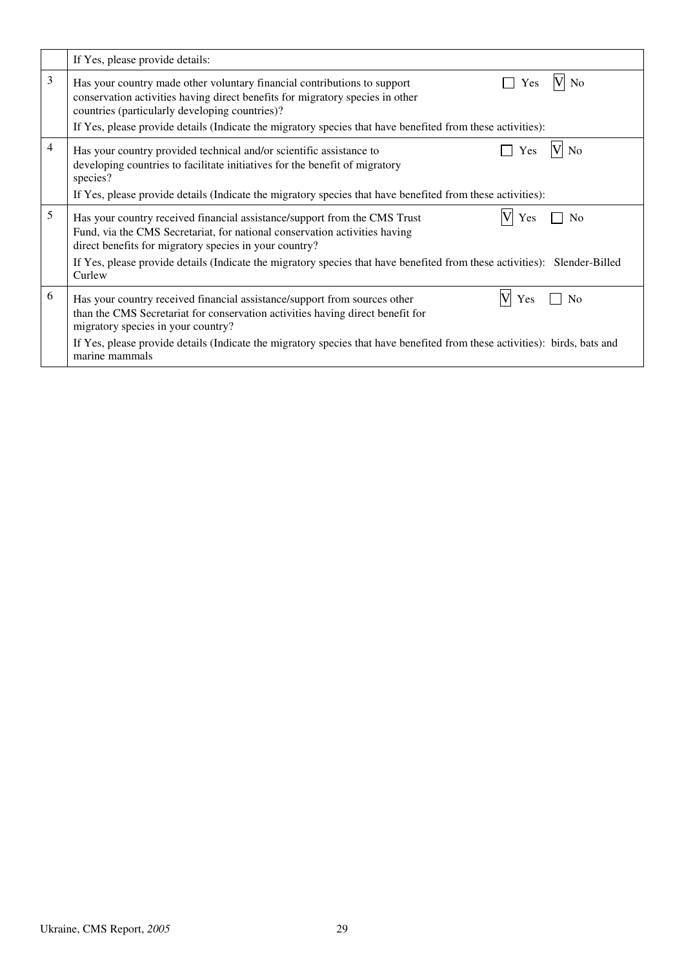|   | If Yes, please provide details:                                                                                                                                                                                                            |
|---|--------------------------------------------------------------------------------------------------------------------------------------------------------------------------------------------------------------------------------------------|
| 3 | Has your country made other voluntary financial contributions to support<br>N <sub>0</sub><br>Yes<br>conservation activities having direct benefits for migratory species in other<br>countries (particularly developing countries)?       |
|   | If Yes, please provide details (Indicate the migratory species that have benefited from these activities):                                                                                                                                 |
| 4 | Has your country provided technical and/or scientific assistance to<br>Yes<br>No<br>developing countries to facilitate initiatives for the benefit of migratory<br>species?                                                                |
|   | If Yes, please provide details (Indicate the migratory species that have benefited from these activities):                                                                                                                                 |
| 5 | Has your country received financial assistance/support from the CMS Trust<br>N <sub>0</sub><br>Yes<br>Fund, via the CMS Secretariat, for national conservation activities having<br>direct benefits for migratory species in your country? |
|   | If Yes, please provide details (Indicate the migratory species that have benefited from these activities): Slender-Billed<br>Curlew                                                                                                        |
| 6 | Has your country received financial assistance/support from sources other<br>N٥<br>Yes<br>than the CMS Secretariat for conservation activities having direct benefit for<br>migratory species in your country?                             |
|   | If Yes, please provide details (Indicate the migratory species that have benefited from these activities): birds, bats and<br>marine mammals                                                                                               |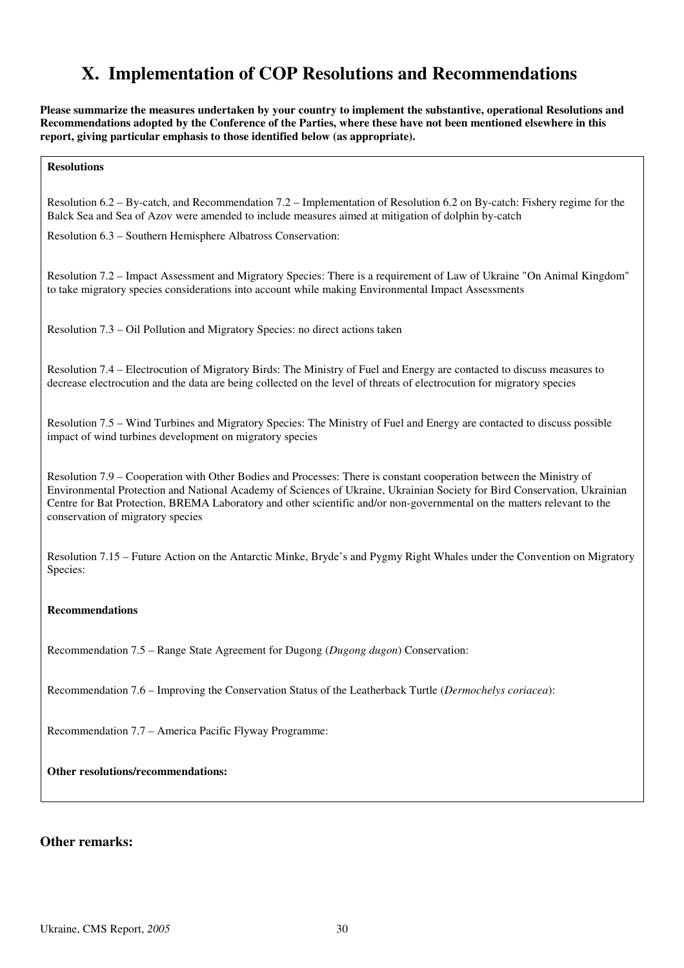# **X. Implementation of COP Resolutions and Recommendations**

**Please summarize the measures undertaken by your country to implement the substantive, operational Resolutions and Recommendations adopted by the Conference of the Parties, where these have not been mentioned elsewhere in this report, giving particular emphasis to those identified below (as appropriate).**

**Resolutions** 

Resolution 6.2 – By-catch, and Recommendation 7.2 – Implementation of Resolution 6.2 on By-catch: Fishery regime for the Balck Sea and Sea of Azov were amended to include measures aimed at mitigation of dolphin by-catch

Resolution 6.3 – Southern Hemisphere Albatross Conservation:

Resolution 7.2 – Impact Assessment and Migratory Species: There is a requirement of Law of Ukraine "On Animal Kingdom" to take migratory species considerations into account while making Environmental Impact Assessments

Resolution 7.3 – Oil Pollution and Migratory Species: no direct actions taken

Resolution 7.4 – Electrocution of Migratory Birds: The Ministry of Fuel and Energy are contacted to discuss measures to decrease electrocution and the data are being collected on the level of threats of electrocution for migratory species

Resolution 7.5 – Wind Turbines and Migratory Species: The Ministry of Fuel and Energy are contacted to discuss possible impact of wind turbines development on migratory species

Resolution 7.9 – Cooperation with Other Bodies and Processes: There is constant cooperation between the Ministry of Environmental Protection and National Academy of Sciences of Ukraine, Ukrainian Society for Bird Conservation, Ukrainian Centre for Bat Protection, BREMA Laboratory and other scientific and/or non-governmental on the matters relevant to the conservation of migratory species

Resolution 7.15 – Future Action on the Antarctic Minke, Bryde's and Pygmy Right Whales under the Convention on Migratory Species:

#### **Recommendations**

Recommendation 7.5 – Range State Agreement for Dugong (*Dugong dugon*) Conservation:

Recommendation 7.6 – Improving the Conservation Status of the Leatherback Turtle (*Dermochelys coriacea*):

Recommendation 7.7 – America Pacific Flyway Programme:

**Other resolutions/recommendations:** 

#### **Other remarks:**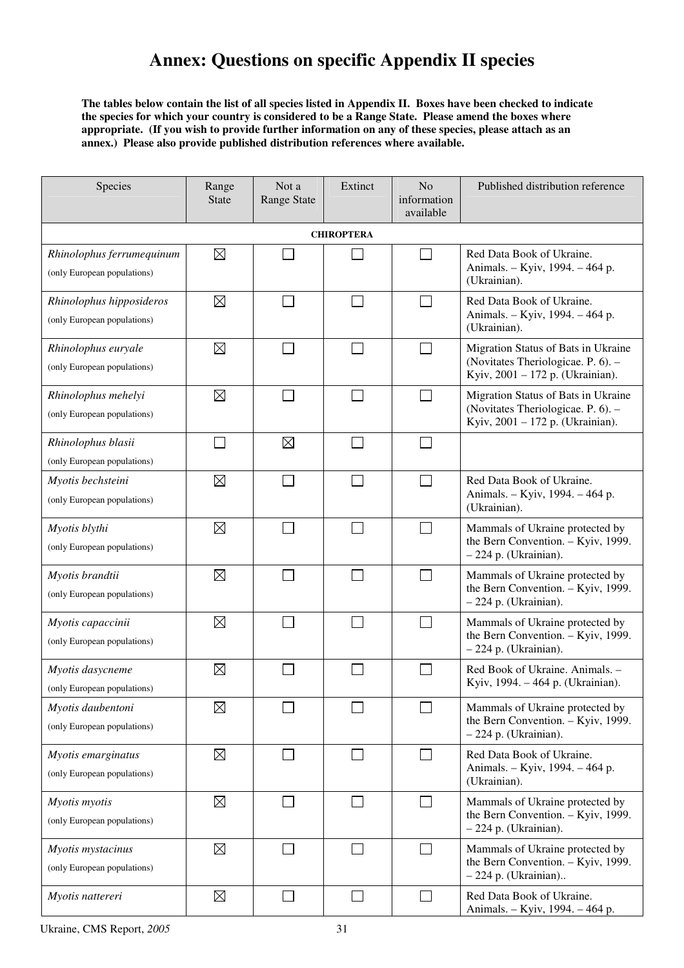# **Annex: Questions on specific Appendix II species**

**The tables below contain the list of all species listed in Appendix II. Boxes have been checked to indicate the species for which your country is considered to be a Range State. Please amend the boxes where appropriate. (If you wish to provide further information on any of these species, please attach as an annex.) Please also provide published distribution references where available.** 

| Species                                                  | Range<br><b>State</b> | Not a<br><b>Range State</b> | Extinct | N <sub>o</sub><br>information<br>available | Published distribution reference                                                                              |  |  |  |  |  |
|----------------------------------------------------------|-----------------------|-----------------------------|---------|--------------------------------------------|---------------------------------------------------------------------------------------------------------------|--|--|--|--|--|
| <b>CHIROPTERA</b>                                        |                       |                             |         |                                            |                                                                                                               |  |  |  |  |  |
| Rhinolophus ferrumequinum<br>(only European populations) | $\boxtimes$           |                             |         |                                            | Red Data Book of Ukraine.<br>Animals. - Kyiv, 1994. - 464 p.<br>(Ukrainian).                                  |  |  |  |  |  |
| Rhinolophus hipposideros<br>(only European populations)  | $\boxtimes$           |                             |         | $\mathcal{L}$                              | Red Data Book of Ukraine.<br>Animals. - Kyiv, 1994. - 464 p.<br>(Ukrainian).                                  |  |  |  |  |  |
| Rhinolophus euryale<br>(only European populations)       | $\boxtimes$           |                             |         |                                            | Migration Status of Bats in Ukraine<br>(Novitates Theriologicae. P. 6). -<br>Kyiv, 2001 - 172 p. (Ukrainian). |  |  |  |  |  |
| Rhinolophus mehelyi<br>(only European populations)       | $\boxtimes$           |                             |         |                                            | Migration Status of Bats in Ukraine<br>(Novitates Theriologicae. P. 6). -<br>Kyiv, 2001 - 172 p. (Ukrainian). |  |  |  |  |  |
| Rhinolophus blasii<br>(only European populations)        | $\Box$                | $\boxtimes$                 |         |                                            |                                                                                                               |  |  |  |  |  |
| Myotis bechsteini<br>(only European populations)         | $\boxtimes$           |                             |         | $\sim$                                     | Red Data Book of Ukraine.<br>Animals. - Kyiv, 1994. - 464 p.<br>(Ukrainian).                                  |  |  |  |  |  |
| Myotis blythi<br>(only European populations)             | $\boxtimes$           |                             |         |                                            | Mammals of Ukraine protected by<br>the Bern Convention. - Kyiv, 1999.<br>- 224 p. (Ukrainian).                |  |  |  |  |  |
| Myotis brandtii<br>(only European populations)           | $\boxtimes$           |                             |         | ┓                                          | Mammals of Ukraine protected by<br>the Bern Convention. - Kyiv, 1999.<br>- 224 p. (Ukrainian).                |  |  |  |  |  |
| Myotis capaccinii<br>(only European populations)         | $\boxtimes$           |                             |         |                                            | Mammals of Ukraine protected by<br>the Bern Convention. - Kyiv, 1999.<br>- 224 p. (Ukrainian).                |  |  |  |  |  |
| Myotis dasycneme<br>(only European populations)          | $\boxtimes$           |                             |         |                                            | Red Book of Ukraine. Animals. -<br>Kyiv, 1994. - 464 p. (Ukrainian).                                          |  |  |  |  |  |
| Myotis daubentoni<br>(only European populations)         | $\boxtimes$           |                             |         |                                            | Mammals of Ukraine protected by<br>the Bern Convention. - Kyiv, 1999.<br>$-224$ p. (Ukrainian).               |  |  |  |  |  |
| Myotis emarginatus<br>(only European populations)        | $\boxtimes$           |                             |         |                                            | Red Data Book of Ukraine.<br>Animals. - Kyiv, 1994. - 464 p.<br>(Ukrainian).                                  |  |  |  |  |  |
| Myotis myotis<br>(only European populations)             | $\boxtimes$           |                             |         |                                            | Mammals of Ukraine protected by<br>the Bern Convention. - Kyiv, 1999.<br>$-224$ p. (Ukrainian).               |  |  |  |  |  |
| Myotis mystacinus<br>(only European populations)         | $\boxtimes$           |                             |         | $\overline{\phantom{0}}$                   | Mammals of Ukraine protected by<br>the Bern Convention. - Kyiv, 1999.<br>$-224$ p. (Ukrainian)                |  |  |  |  |  |
| Myotis nattereri                                         | $\boxtimes$           | $\mathbb{R}^n$              |         | $\sim$                                     | Red Data Book of Ukraine.<br>Animals. - Kyiv, 1994. - 464 p.                                                  |  |  |  |  |  |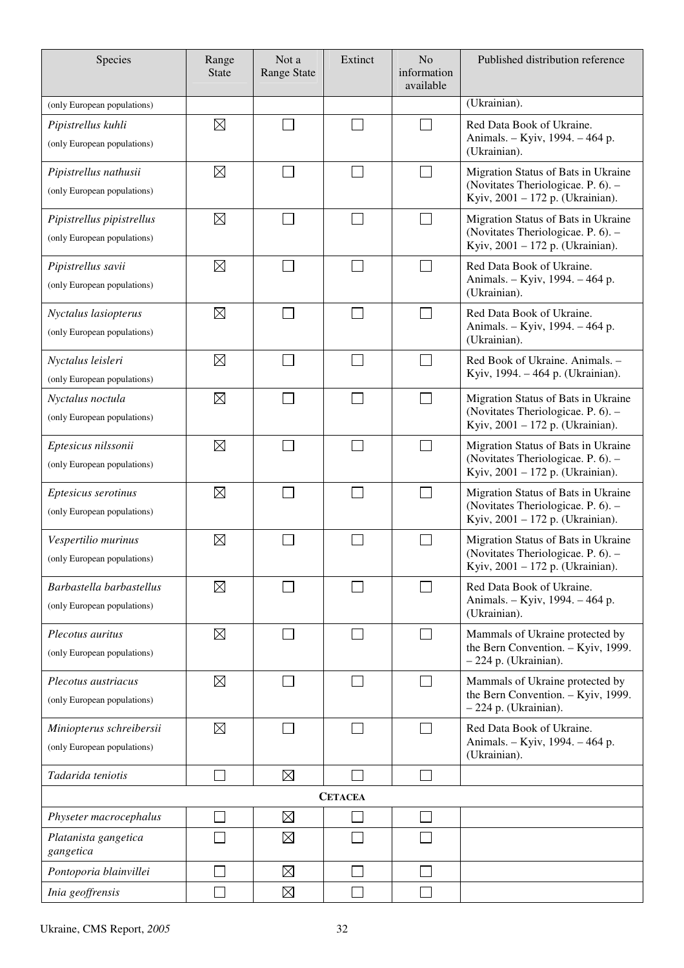| Species                                                  | Range<br><b>State</b> | Not a<br><b>Range State</b> | Extinct        | No<br>information<br>available | Published distribution reference                                                                              |
|----------------------------------------------------------|-----------------------|-----------------------------|----------------|--------------------------------|---------------------------------------------------------------------------------------------------------------|
| (only European populations)                              |                       |                             |                |                                | (Ukrainian).                                                                                                  |
| Pipistrellus kuhli<br>(only European populations)        | $\boxtimes$           |                             |                | J.                             | Red Data Book of Ukraine.<br>Animals. - Kyiv, 1994. - 464 p.<br>(Ukrainian).                                  |
| Pipistrellus nathusii<br>(only European populations)     | $\boxtimes$           |                             |                | $\sim$                         | Migration Status of Bats in Ukraine<br>(Novitates Theriologicae. P. 6). -<br>Kyiv, 2001 - 172 p. (Ukrainian). |
| Pipistrellus pipistrellus<br>(only European populations) | $\boxtimes$           |                             | $\sim$         | $\mathcal{L}_{\mathcal{A}}$    | Migration Status of Bats in Ukraine<br>(Novitates Theriologicae. P. 6). -<br>Kyiv, 2001 - 172 p. (Ukrainian). |
| Pipistrellus savii<br>(only European populations)        | $\boxtimes$           |                             | $\sim$         | $\sim$                         | Red Data Book of Ukraine.<br>Animals. - Kyiv, 1994. - 464 p.<br>(Ukrainian).                                  |
| Nyctalus lasiopterus<br>(only European populations)      | $\boxtimes$           |                             |                | $\mathcal{L}_{\mathcal{A}}$    | Red Data Book of Ukraine.<br>Animals. - Kyiv, 1994. - 464 p.<br>(Ukrainian).                                  |
| Nyctalus leisleri<br>(only European populations)         | $\boxtimes$           |                             | $\mathcal{L}$  | $\mathcal{L}_{\mathcal{A}}$    | Red Book of Ukraine. Animals. -<br>Kyiv, 1994. - 464 p. (Ukrainian).                                          |
| Nyctalus noctula<br>(only European populations)          | $\boxtimes$           |                             |                | $\Box$                         | Migration Status of Bats in Ukraine<br>(Novitates Theriologicae. P. 6). -<br>Kyiv, 2001 - 172 p. (Ukrainian). |
| Eptesicus nilssonii<br>(only European populations)       | $\boxtimes$           |                             | $\mathcal{L}$  | $\Box$                         | Migration Status of Bats in Ukraine<br>(Novitates Theriologicae. P. 6). -<br>Kyiv, 2001 - 172 p. (Ukrainian). |
| Eptesicus serotinus<br>(only European populations)       | $\boxtimes$           |                             |                | $\mathcal{L}$                  | Migration Status of Bats in Ukraine<br>(Novitates Theriologicae. P. 6). -<br>Kyiv, 2001 - 172 p. (Ukrainian). |
| Vespertilio murinus<br>(only European populations)       | $\boxtimes$           |                             |                |                                | Migration Status of Bats in Ukraine<br>(Novitates Theriologicae. P. 6). -<br>Kyiv, 2001 - 172 p. (Ukrainian). |
| Barbastella barbastellus<br>(only European populations)  | $\boxtimes$           |                             |                |                                | Red Data Book of Ukraine.<br>Animals. - Kyiv, 1994. - 464 p.<br>(Ukrainian).                                  |
| Plecotus auritus<br>(only European populations)          | $\boxtimes$           |                             |                | $\mathcal{L}_{\mathcal{A}}$    | Mammals of Ukraine protected by<br>the Bern Convention. - Kyiv, 1999.<br>$-224$ p. (Ukrainian).               |
| Plecotus austriacus<br>(only European populations)       | $\boxtimes$           |                             |                | $\sim$                         | Mammals of Ukraine protected by<br>the Bern Convention. - Kyiv, 1999.<br>- 224 p. (Ukrainian).                |
| Miniopterus schreibersii<br>(only European populations)  | $\boxtimes$           |                             |                | $\mathcal{L}_{\mathcal{A}}$    | Red Data Book of Ukraine.<br>Animals. - Kyiv, 1994. - 464 p.<br>(Ukrainian).                                  |
| Tadarida teniotis                                        |                       | $\boxtimes$                 |                | $\mathcal{L}$                  |                                                                                                               |
|                                                          |                       |                             | <b>CETACEA</b> |                                |                                                                                                               |
| Physeter macrocephalus                                   |                       | $\boxtimes$                 |                | $\mathcal{L}$                  |                                                                                                               |
| Platanista gangetica<br>gangetica                        |                       | $\boxtimes$                 |                |                                |                                                                                                               |
| Pontoporia blainvillei                                   |                       | $\boxtimes$                 |                |                                |                                                                                                               |
| Inia geoffrensis                                         |                       | $\boxtimes$                 |                |                                |                                                                                                               |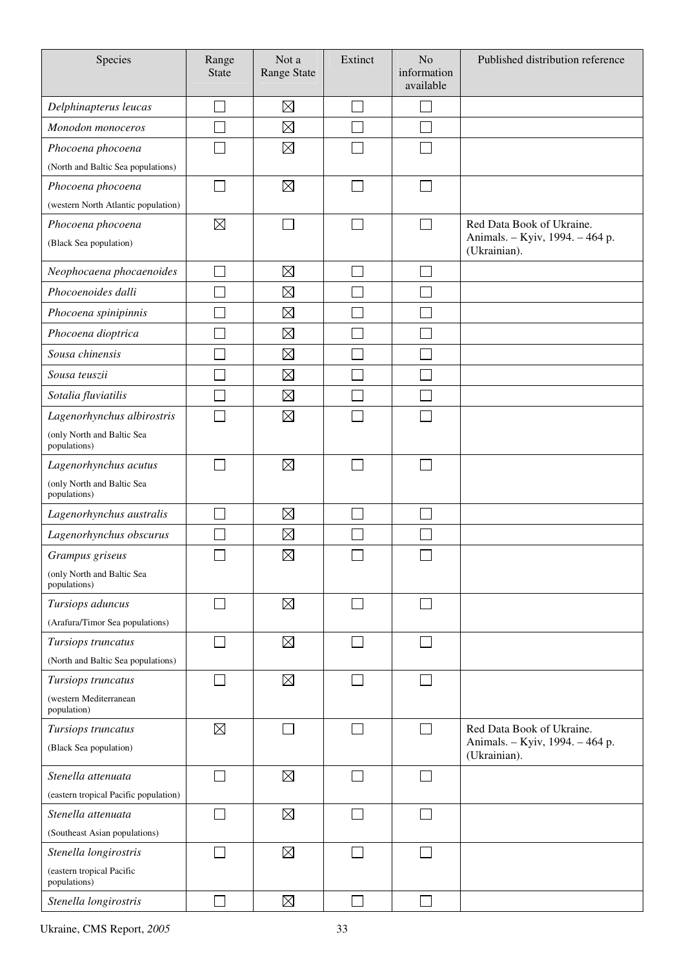| Species                                                     | Range<br><b>State</b> | Not a<br><b>Range State</b> | Extinct        | N <sub>o</sub><br>information<br>available | Published distribution reference                                             |
|-------------------------------------------------------------|-----------------------|-----------------------------|----------------|--------------------------------------------|------------------------------------------------------------------------------|
| Delphinapterus leucas                                       |                       | $\boxtimes$                 |                |                                            |                                                                              |
| Monodon monoceros                                           |                       | $\boxtimes$                 |                |                                            |                                                                              |
| Phocoena phocoena                                           |                       | $\boxtimes$                 |                |                                            |                                                                              |
| (North and Baltic Sea populations)                          |                       |                             |                |                                            |                                                                              |
| Phocoena phocoena                                           |                       | $\boxtimes$                 |                |                                            |                                                                              |
| (western North Atlantic population)                         |                       |                             |                |                                            |                                                                              |
| Phocoena phocoena<br>(Black Sea population)                 | $\boxtimes$           |                             |                |                                            | Red Data Book of Ukraine.<br>Animals. - Kyiv, 1994. - 464 p.<br>(Ukrainian). |
| Neophocaena phocaenoides                                    |                       | $\boxtimes$                 |                |                                            |                                                                              |
| Phocoenoides dalli                                          |                       | $\boxtimes$                 |                |                                            |                                                                              |
| Phocoena spinipinnis                                        |                       | $\boxtimes$                 |                |                                            |                                                                              |
| Phocoena dioptrica                                          |                       | $\boxtimes$                 |                |                                            |                                                                              |
| Sousa chinensis                                             |                       | $\boxtimes$                 |                |                                            |                                                                              |
|                                                             |                       |                             |                |                                            |                                                                              |
| Sousa teuszii                                               |                       | $\boxtimes$                 |                |                                            |                                                                              |
| Sotalia fluviatilis                                         |                       | $\boxtimes$                 |                |                                            |                                                                              |
| Lagenorhynchus albirostris                                  |                       | $\boxtimes$                 |                |                                            |                                                                              |
| (only North and Baltic Sea<br>populations)                  |                       |                             |                |                                            |                                                                              |
| Lagenorhynchus acutus                                       |                       | $\boxtimes$                 |                |                                            |                                                                              |
| (only North and Baltic Sea<br>populations)                  |                       |                             |                |                                            |                                                                              |
| Lagenorhynchus australis                                    |                       | $\boxtimes$                 |                |                                            |                                                                              |
| Lagenorhynchus obscurus                                     |                       | $\boxtimes$                 |                |                                            |                                                                              |
| Grampus griseus                                             |                       | $\boxtimes$                 |                |                                            |                                                                              |
| (only North and Baltic Sea<br>populations)                  |                       |                             |                |                                            |                                                                              |
| Tursiops aduncus                                            |                       | $\boxtimes$                 |                |                                            |                                                                              |
| (Arafura/Timor Sea populations)                             |                       |                             |                |                                            |                                                                              |
| Tursiops truncatus                                          | $\sim$                | $\boxtimes$                 |                | $\mathcal{L}_{\mathcal{A}}$                |                                                                              |
| (North and Baltic Sea populations)                          |                       |                             |                |                                            |                                                                              |
| Tursiops truncatus<br>(western Mediterranean<br>population) | $\Box$                | $\boxtimes$                 | $\blacksquare$ | П                                          |                                                                              |
| Tursiops truncatus                                          | $\boxtimes$           |                             |                |                                            | Red Data Book of Ukraine.                                                    |
| (Black Sea population)                                      |                       |                             |                |                                            | Animals. - Kyiv, 1994. - 464 p.<br>(Ukrainian).                              |
| Stenella attenuata                                          | $\mathcal{L}$         | $\boxtimes$                 |                | $\mathcal{L}$                              |                                                                              |
| (eastern tropical Pacific population)                       |                       |                             |                |                                            |                                                                              |
| Stenella attenuata                                          |                       | $\boxtimes$                 |                | J.                                         |                                                                              |
| (Southeast Asian populations)                               |                       |                             |                |                                            |                                                                              |
| Stenella longirostris                                       |                       | $\boxtimes$                 |                |                                            |                                                                              |
| (eastern tropical Pacific<br>populations)                   |                       |                             |                |                                            |                                                                              |
| Stenella longirostris                                       |                       | $\boxtimes$                 |                |                                            |                                                                              |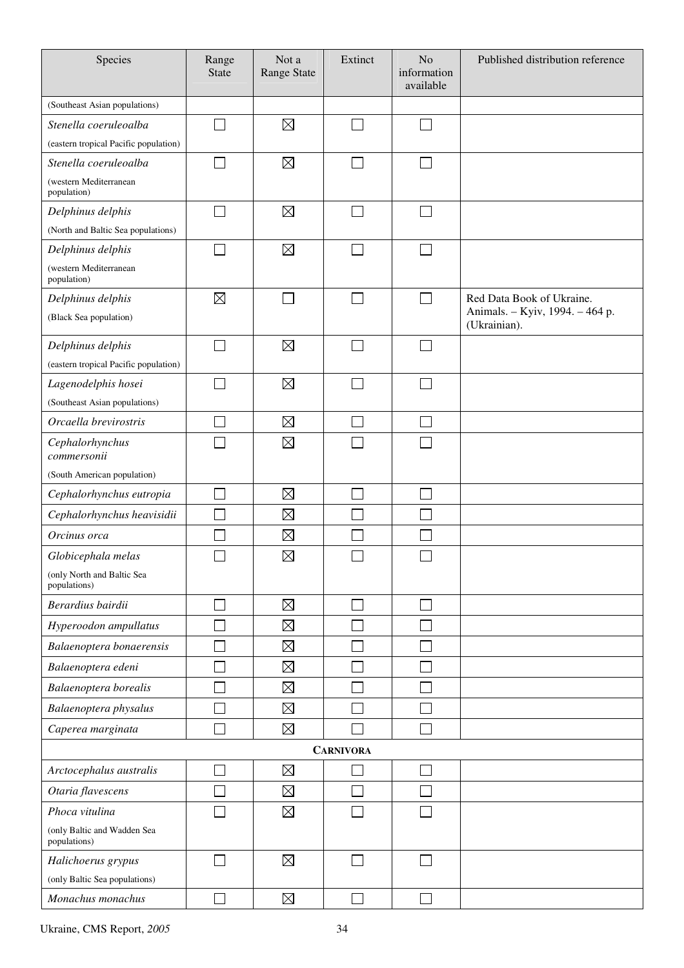| Species                                     | Range<br><b>State</b>       | Not a<br><b>Range State</b> | Extinct                     | N <sub>o</sub><br>information<br>available | Published distribution reference                |
|---------------------------------------------|-----------------------------|-----------------------------|-----------------------------|--------------------------------------------|-------------------------------------------------|
| (Southeast Asian populations)               |                             |                             |                             |                                            |                                                 |
| Stenella coeruleoalba                       |                             | $\boxtimes$                 |                             | J.                                         |                                                 |
| (eastern tropical Pacific population)       |                             |                             |                             |                                            |                                                 |
| Stenella coeruleoalba                       | $\mathcal{C}^{\mathcal{A}}$ | $\boxtimes$                 | $\mathcal{L}_{\mathcal{A}}$ | $\mathcal{L}_{\mathcal{A}}$                |                                                 |
| (western Mediterranean<br>population)       |                             |                             |                             |                                            |                                                 |
| Delphinus delphis                           |                             | $\boxtimes$                 |                             |                                            |                                                 |
| (North and Baltic Sea populations)          |                             |                             |                             |                                            |                                                 |
| Delphinus delphis                           |                             | $\boxtimes$                 |                             |                                            |                                                 |
| (western Mediterranean<br>population)       |                             |                             |                             |                                            |                                                 |
| Delphinus delphis                           | $\boxtimes$                 |                             |                             |                                            | Red Data Book of Ukraine.                       |
| (Black Sea population)                      |                             |                             |                             |                                            | Animals. - Kyiv, 1994. - 464 p.<br>(Ukrainian). |
| Delphinus delphis                           |                             | $\boxtimes$                 |                             |                                            |                                                 |
| (eastern tropical Pacific population)       |                             |                             |                             |                                            |                                                 |
| Lagenodelphis hosei                         | $\sim$                      | $\boxtimes$                 |                             | $\mathcal{L}$                              |                                                 |
| (Southeast Asian populations)               |                             |                             |                             |                                            |                                                 |
| Orcaella brevirostris                       |                             | $\boxtimes$                 |                             |                                            |                                                 |
| Cephalorhynchus<br>commersonii              |                             | $\boxtimes$                 |                             |                                            |                                                 |
| (South American population)                 |                             |                             |                             |                                            |                                                 |
| Cephalorhynchus eutropia                    |                             | $\boxtimes$                 |                             |                                            |                                                 |
| Cephalorhynchus heavisidii                  |                             | $\boxtimes$                 |                             |                                            |                                                 |
| Orcinus orca                                |                             | $\boxtimes$                 |                             |                                            |                                                 |
| Globicephala melas                          |                             | $\boxtimes$                 |                             |                                            |                                                 |
| (only North and Baltic Sea<br>populations)  |                             |                             |                             |                                            |                                                 |
| Berardius bairdii                           |                             | $\boxtimes$                 |                             |                                            |                                                 |
| Hyperoodon ampullatus                       |                             | $\boxtimes$                 |                             |                                            |                                                 |
| Balaenoptera bonaerensis                    |                             | $\boxtimes$                 |                             |                                            |                                                 |
| Balaenoptera edeni                          |                             | $\boxtimes$                 |                             |                                            |                                                 |
| Balaenoptera borealis                       |                             | $\boxtimes$                 |                             |                                            |                                                 |
| Balaenoptera physalus                       |                             | $\boxtimes$                 |                             |                                            |                                                 |
| Caperea marginata                           |                             | $\boxtimes$                 |                             |                                            |                                                 |
|                                             |                             |                             | <b>CARNIVORA</b>            |                                            |                                                 |
| Arctocephalus australis                     |                             | $\boxtimes$                 |                             |                                            |                                                 |
| Otaria flavescens                           |                             | $\boxtimes$                 |                             |                                            |                                                 |
| Phoca vitulina                              |                             | $\boxtimes$                 |                             |                                            |                                                 |
| (only Baltic and Wadden Sea<br>populations) |                             |                             |                             |                                            |                                                 |
| Halichoerus grypus                          |                             | $\boxtimes$                 |                             |                                            |                                                 |
| (only Baltic Sea populations)               |                             |                             |                             |                                            |                                                 |
| Monachus monachus                           |                             | $\boxtimes$                 |                             |                                            |                                                 |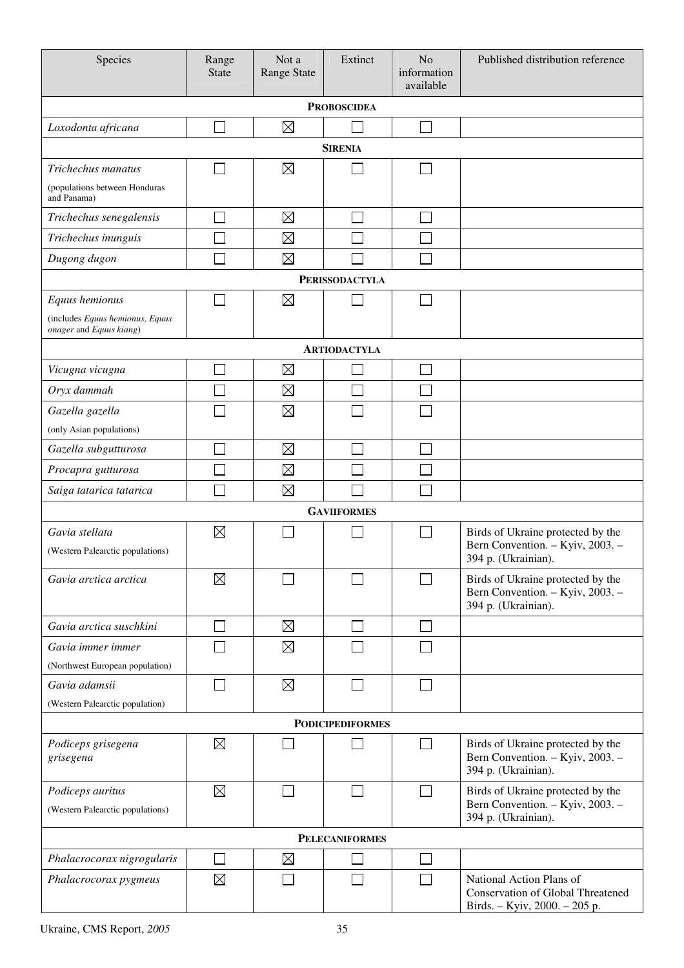| Species                                                    | Range<br><b>State</b> | Not a<br><b>Range State</b> | Extinct                 | N <sub>o</sub><br>information<br>available | Published distribution reference                                                                      |  |  |  |  |  |
|------------------------------------------------------------|-----------------------|-----------------------------|-------------------------|--------------------------------------------|-------------------------------------------------------------------------------------------------------|--|--|--|--|--|
| <b>PROBOSCIDEA</b>                                         |                       |                             |                         |                                            |                                                                                                       |  |  |  |  |  |
| Loxodonta africana                                         |                       | $\boxtimes$                 |                         |                                            |                                                                                                       |  |  |  |  |  |
| <b>SIRENIA</b>                                             |                       |                             |                         |                                            |                                                                                                       |  |  |  |  |  |
| Trichechus manatus                                         |                       | $\boxtimes$                 |                         |                                            |                                                                                                       |  |  |  |  |  |
| (populations between Honduras<br>and Panama)               |                       |                             |                         |                                            |                                                                                                       |  |  |  |  |  |
| Trichechus senegalensis                                    |                       | $\boxtimes$                 |                         |                                            |                                                                                                       |  |  |  |  |  |
| Trichechus inunguis                                        |                       | $\boxtimes$                 |                         |                                            |                                                                                                       |  |  |  |  |  |
| Dugong dugon                                               |                       | $\boxtimes$                 |                         |                                            |                                                                                                       |  |  |  |  |  |
|                                                            |                       |                             | <b>PERISSODACTYLA</b>   |                                            |                                                                                                       |  |  |  |  |  |
| Equus hemionus                                             |                       | $\boxtimes$                 |                         |                                            |                                                                                                       |  |  |  |  |  |
| (includes Equus hemionus, Equus<br>onager and Equus kiang) |                       |                             |                         |                                            |                                                                                                       |  |  |  |  |  |
|                                                            |                       |                             | <b>ARTIODACTYLA</b>     |                                            |                                                                                                       |  |  |  |  |  |
| Vicugna vicugna                                            |                       | $\boxtimes$                 |                         |                                            |                                                                                                       |  |  |  |  |  |
| Oryx dammah                                                |                       | $\boxtimes$                 |                         |                                            |                                                                                                       |  |  |  |  |  |
| Gazella gazella                                            |                       | $\boxtimes$                 |                         |                                            |                                                                                                       |  |  |  |  |  |
| (only Asian populations)                                   |                       |                             |                         |                                            |                                                                                                       |  |  |  |  |  |
| Gazella subgutturosa                                       |                       | $\boxtimes$                 |                         |                                            |                                                                                                       |  |  |  |  |  |
| Procapra gutturosa                                         |                       | $\boxtimes$                 |                         |                                            |                                                                                                       |  |  |  |  |  |
| Saiga tatarica tatarica                                    |                       | $\boxtimes$                 |                         |                                            |                                                                                                       |  |  |  |  |  |
|                                                            |                       |                             | <b>GAVIIFORMES</b>      |                                            |                                                                                                       |  |  |  |  |  |
| Gavia stellata<br>(Western Palearctic populations)         | $\boxtimes$           |                             |                         |                                            | Birds of Ukraine protected by the<br>Bern Convention. - Kyiv, 2003. -<br>394 p. (Ukrainian).          |  |  |  |  |  |
| Gavia arctica arctica                                      | $\boxtimes$           |                             |                         |                                            | Birds of Ukraine protected by the<br>Bern Convention. - Kyiv, 2003. -<br>394 p. (Ukrainian).          |  |  |  |  |  |
| Gavia arctica suschkini                                    |                       | $\boxtimes$                 |                         |                                            |                                                                                                       |  |  |  |  |  |
| Gavia immer immer                                          |                       | $\boxtimes$                 |                         |                                            |                                                                                                       |  |  |  |  |  |
| (Northwest European population)                            |                       |                             |                         |                                            |                                                                                                       |  |  |  |  |  |
| Gavia adamsii                                              |                       | $\boxtimes$                 |                         |                                            |                                                                                                       |  |  |  |  |  |
| (Western Palearctic population)                            |                       |                             |                         |                                            |                                                                                                       |  |  |  |  |  |
|                                                            |                       |                             | <b>PODICIPEDIFORMES</b> |                                            |                                                                                                       |  |  |  |  |  |
| Podiceps grisegena<br>grisegena                            | $\boxtimes$           |                             |                         |                                            | Birds of Ukraine protected by the<br>Bern Convention. - Kyiv, 2003. -<br>394 p. (Ukrainian).          |  |  |  |  |  |
| Podiceps auritus                                           | $\boxtimes$           |                             |                         |                                            | Birds of Ukraine protected by the                                                                     |  |  |  |  |  |
| (Western Palearctic populations)                           |                       |                             |                         |                                            | Bern Convention. - Kyiv, 2003. -<br>394 p. (Ukrainian).                                               |  |  |  |  |  |
|                                                            |                       |                             | <b>PELECANIFORMES</b>   |                                            |                                                                                                       |  |  |  |  |  |
| Phalacrocorax nigrogularis                                 |                       | $\boxtimes$                 |                         |                                            |                                                                                                       |  |  |  |  |  |
| Phalacrocorax pygmeus                                      | $\boxtimes$           |                             |                         |                                            | National Action Plans of<br><b>Conservation of Global Threatened</b><br>Birds. - Kyiv, 2000. - 205 p. |  |  |  |  |  |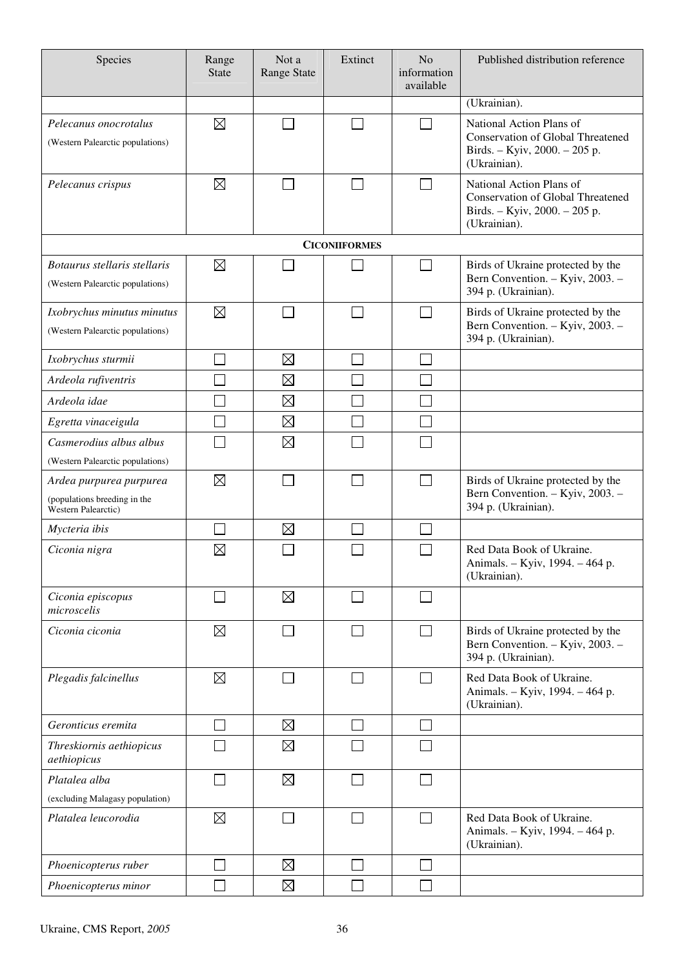| Species                                                                               | Range<br><b>State</b> | Not a<br><b>Range State</b> | Extinct                  | N <sub>o</sub><br>information<br>available | Published distribution reference                                                                                      |
|---------------------------------------------------------------------------------------|-----------------------|-----------------------------|--------------------------|--------------------------------------------|-----------------------------------------------------------------------------------------------------------------------|
|                                                                                       |                       |                             |                          |                                            | (Ukrainian).                                                                                                          |
| Pelecanus onocrotalus<br>(Western Palearctic populations)                             | $\boxtimes$           |                             |                          | $\overline{\phantom{a}}$                   | National Action Plans of<br><b>Conservation of Global Threatened</b><br>Birds. - Kyiv, 2000. - 205 p.<br>(Ukrainian). |
| Pelecanus crispus                                                                     | $\boxtimes$           |                             |                          | $\sim$                                     | National Action Plans of<br><b>Conservation of Global Threatened</b><br>Birds. - Kyiv, 2000. - 205 p.<br>(Ukrainian). |
|                                                                                       |                       |                             | <b>CICONIIFORMES</b>     |                                            |                                                                                                                       |
| Botaurus stellaris stellaris<br>(Western Palearctic populations)                      | $\boxtimes$           |                             |                          |                                            | Birds of Ukraine protected by the<br>Bern Convention. - Kyiv, 2003. -<br>394 p. (Ukrainian).                          |
| Ixobrychus minutus minutus<br>(Western Palearctic populations)                        | $\boxtimes$           |                             | $\sim$                   | $\sim$                                     | Birds of Ukraine protected by the<br>Bern Convention. - Kyiv, 2003. -<br>394 p. (Ukrainian).                          |
| Ixobrychus sturmii                                                                    |                       | $\boxtimes$                 |                          |                                            |                                                                                                                       |
| Ardeola rufiventris                                                                   |                       | $\boxtimes$                 |                          |                                            |                                                                                                                       |
| Ardeola idae                                                                          |                       | $\boxtimes$                 |                          |                                            |                                                                                                                       |
| Egretta vinaceigula                                                                   |                       | $\boxtimes$                 |                          |                                            |                                                                                                                       |
| Casmerodius albus albus<br>(Western Palearctic populations)                           |                       | $\boxtimes$                 |                          |                                            |                                                                                                                       |
| Ardea purpurea purpurea<br>(populations breeding in the<br><b>Western Palearctic)</b> | $\boxtimes$           |                             | $\sim$                   | $\sim$                                     | Birds of Ukraine protected by the<br>Bern Convention. - Kyiv, 2003. -<br>394 p. (Ukrainian).                          |
| Mycteria ibis                                                                         |                       | $\boxtimes$                 |                          |                                            |                                                                                                                       |
| Ciconia nigra                                                                         | $\boxtimes$           |                             |                          |                                            | Red Data Book of Ukraine.<br>Animals. - Kyiv, 1994. - 464 p.<br>(Ukrainian).                                          |
| Ciconia episcopus<br>microscelis                                                      | $\sim$                | $\boxtimes$                 |                          | $\sim$                                     |                                                                                                                       |
| Ciconia ciconia                                                                       | $\boxtimes$           |                             |                          |                                            | Birds of Ukraine protected by the<br>Bern Convention. - Kyiv, 2003. -<br>394 p. (Ukrainian).                          |
| Plegadis falcinellus                                                                  | $\boxtimes$           |                             | $\overline{\phantom{a}}$ | $\mathsf{L}$                               | Red Data Book of Ukraine.<br>Animals. - Kyiv, 1994. - 464 p.<br>(Ukrainian).                                          |
| Geronticus eremita                                                                    |                       | $\boxtimes$                 |                          | $\sim$                                     |                                                                                                                       |
| Threskiornis aethiopicus<br>aethiopicus                                               |                       | $\boxtimes$                 |                          |                                            |                                                                                                                       |
| Platalea alba                                                                         | $\blacksquare$        | $\boxtimes$                 |                          | ┓                                          |                                                                                                                       |
| (excluding Malagasy population)                                                       |                       |                             |                          |                                            |                                                                                                                       |
| Platalea leucorodia                                                                   | $\boxtimes$           |                             | $\overline{\phantom{0}}$ | $\Box$                                     | Red Data Book of Ukraine.<br>Animals. - Kyiv, 1994. - 464 p.<br>(Ukrainian).                                          |
| Phoenicopterus ruber                                                                  |                       | $\boxtimes$                 |                          |                                            |                                                                                                                       |
| Phoenicopterus minor                                                                  |                       | $\boxtimes$                 |                          |                                            |                                                                                                                       |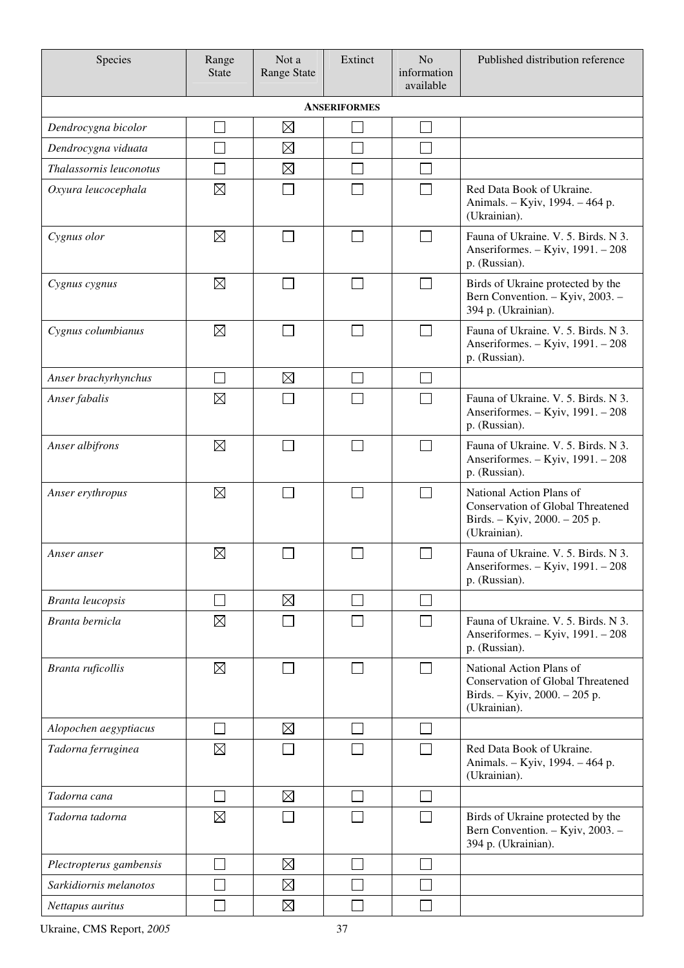| Species                 | Range<br><b>State</b>       | Not a<br>Range State | Extinct                     | N <sub>o</sub><br>information<br>available | Published distribution reference                                                                                      |  |  |  |  |  |
|-------------------------|-----------------------------|----------------------|-----------------------------|--------------------------------------------|-----------------------------------------------------------------------------------------------------------------------|--|--|--|--|--|
| <b>ANSERIFORMES</b>     |                             |                      |                             |                                            |                                                                                                                       |  |  |  |  |  |
| Dendrocygna bicolor     | $\Box$                      | $\boxtimes$          |                             | $\Box$                                     |                                                                                                                       |  |  |  |  |  |
| Dendrocygna viduata     | $\mathcal{L}_{\mathcal{A}}$ | $\boxtimes$          |                             | Π                                          |                                                                                                                       |  |  |  |  |  |
| Thalassornis leuconotus | $\Box$                      | $\boxtimes$          |                             | Π                                          |                                                                                                                       |  |  |  |  |  |
| Oxyura leucocephala     | $\boxtimes$                 |                      |                             | $\mathcal{L}$                              | Red Data Book of Ukraine.<br>Animals. - Kyiv, 1994. - 464 p.<br>(Ukrainian).                                          |  |  |  |  |  |
| Cygnus olor             | $\boxtimes$                 |                      |                             |                                            | Fauna of Ukraine. V. 5. Birds. N 3.<br>Anseriformes. - Kyiv, 1991. - 208<br>p. (Russian).                             |  |  |  |  |  |
| Cygnus cygnus           | $\boxtimes$                 |                      |                             | П                                          | Birds of Ukraine protected by the<br>Bern Convention. - Kyiv, 2003. -<br>394 p. (Ukrainian).                          |  |  |  |  |  |
| Cygnus columbianus      | $\boxtimes$                 |                      |                             | $\sim$                                     | Fauna of Ukraine. V. 5. Birds. N 3.<br>Anseriformes. - Kyiv, 1991. - 208<br>p. (Russian).                             |  |  |  |  |  |
| Anser brachyrhynchus    | $\mathcal{L}_{\mathcal{A}}$ | $\boxtimes$          |                             |                                            |                                                                                                                       |  |  |  |  |  |
| Anser fabalis           | $\boxtimes$                 |                      |                             |                                            | Fauna of Ukraine. V. 5. Birds. N 3.<br>Anseriformes. - Kyiv, 1991. - 208<br>p. (Russian).                             |  |  |  |  |  |
| Anser albifrons         | $\boxtimes$                 |                      |                             | $\sim$                                     | Fauna of Ukraine. V. 5. Birds. N 3.<br>Anseriformes. - Kyiv, 1991. - 208<br>p. (Russian).                             |  |  |  |  |  |
| Anser erythropus        | $\boxtimes$                 |                      | $\sim$                      | $\mathcal{L}$                              | National Action Plans of<br><b>Conservation of Global Threatened</b><br>Birds. - Kyiv, 2000. - 205 p.<br>(Ukrainian). |  |  |  |  |  |
| Anser anser             | $\boxtimes$                 |                      |                             |                                            | Fauna of Ukraine. V. 5. Birds. N 3.<br>Anseriformes. $-$ Kyiv, $1991. - 208$<br>p. (Russian).                         |  |  |  |  |  |
| <b>Branta leucopsis</b> |                             | $\boxtimes$          |                             |                                            |                                                                                                                       |  |  |  |  |  |
| Branta bernicla         | $\boxtimes$                 |                      |                             |                                            | Fauna of Ukraine. V. 5. Birds. N 3.<br>Anseriformes. - Kyiv, 1991. - 208<br>p. (Russian).                             |  |  |  |  |  |
| Branta ruficollis       | $\boxtimes$                 |                      |                             | $\sim$                                     | National Action Plans of<br><b>Conservation of Global Threatened</b><br>Birds. - Kyiv, 2000. - 205 p.<br>(Ukrainian). |  |  |  |  |  |
| Alopochen aegyptiacus   | $\vert \ \ \vert$           | $\boxtimes$          | $\blacksquare$              | $\sim$                                     |                                                                                                                       |  |  |  |  |  |
| Tadorna ferruginea      | $\boxtimes$                 |                      |                             | $\Box$                                     | Red Data Book of Ukraine.<br>Animals. - Kyiv, 1994. - 464 p.<br>(Ukrainian).                                          |  |  |  |  |  |
| Tadorna cana            | $\Box$                      | $\boxtimes$          | $\mathcal{L}_{\mathcal{A}}$ |                                            |                                                                                                                       |  |  |  |  |  |
| Tadorna tadorna         | $\boxtimes$                 |                      |                             | $\Box$                                     | Birds of Ukraine protected by the<br>Bern Convention. - Kyiv, 2003. -<br>394 p. (Ukrainian).                          |  |  |  |  |  |
| Plectropterus gambensis |                             | $\boxtimes$          |                             | $\sim$                                     |                                                                                                                       |  |  |  |  |  |
| Sarkidiornis melanotos  |                             | $\boxtimes$          |                             |                                            |                                                                                                                       |  |  |  |  |  |
| Nettapus auritus        |                             | $\boxtimes$          |                             |                                            |                                                                                                                       |  |  |  |  |  |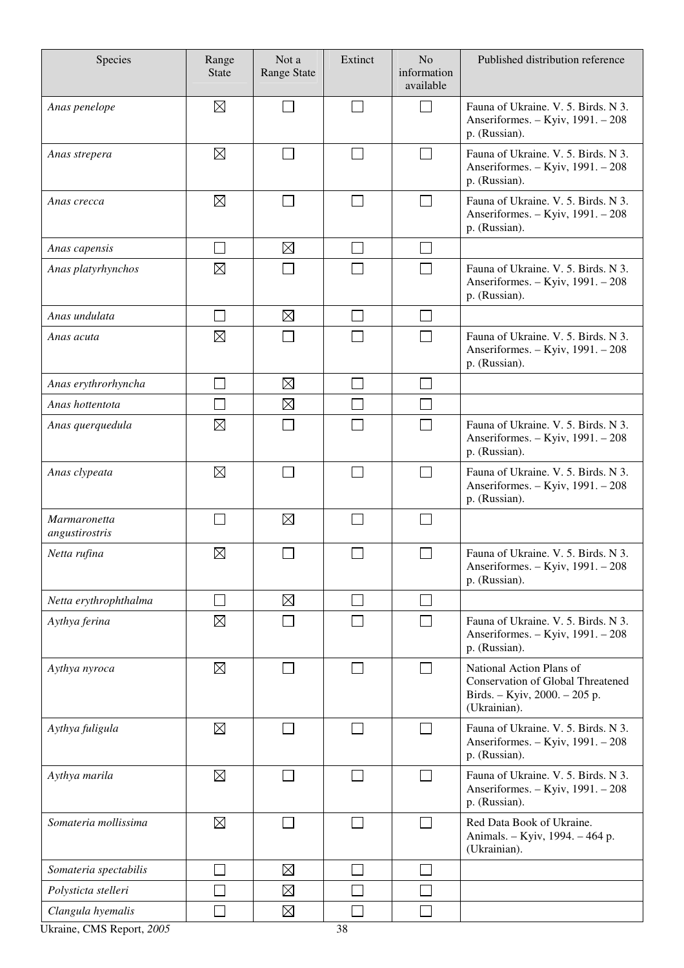| Species                        | Range<br><b>State</b> | Not a<br><b>Range State</b> | Extinct                     | N <sub>o</sub><br>information<br>available | Published distribution reference                                                                                      |
|--------------------------------|-----------------------|-----------------------------|-----------------------------|--------------------------------------------|-----------------------------------------------------------------------------------------------------------------------|
| Anas penelope                  | $\boxtimes$           |                             | $\Box$                      | $\sim$                                     | Fauna of Ukraine. V. 5. Birds. N 3.<br>Anseriformes. - Kyiv, 1991. - 208<br>p. (Russian).                             |
| Anas strepera                  | $\boxtimes$           |                             | $\Box$                      |                                            | Fauna of Ukraine. V. 5. Birds. N 3.<br>Anseriformes. - Kyiv, 1991. - 208<br>p. (Russian).                             |
| Anas crecca                    | $\boxtimes$           |                             |                             |                                            | Fauna of Ukraine. V. 5. Birds. N 3.<br>Anseriformes. - Kyiv, 1991. - 208<br>p. (Russian).                             |
| Anas capensis                  |                       | $\boxtimes$                 | $\mathcal{L}_{\mathcal{A}}$ |                                            |                                                                                                                       |
| Anas platyrhynchos             | $\boxtimes$           |                             |                             |                                            | Fauna of Ukraine. V. 5. Birds. N 3.<br>Anseriformes. - Kyiv, 1991. - 208<br>p. (Russian).                             |
| Anas undulata                  | l.                    | $\boxtimes$                 | $\Box$                      | $\sim$                                     |                                                                                                                       |
| Anas acuta                     | $\boxtimes$           |                             |                             |                                            | Fauna of Ukraine. V. 5. Birds. N 3.<br>Anseriformes. - Kyiv, 1991. - 208<br>p. (Russian).                             |
| Anas erythrorhyncha            |                       | $\boxtimes$                 | $\Box$                      |                                            |                                                                                                                       |
| Anas hottentota                |                       | $\boxtimes$                 | $\Box$                      |                                            |                                                                                                                       |
| Anas querquedula               | $\boxtimes$           |                             |                             |                                            | Fauna of Ukraine. V. 5. Birds. N 3.<br>Anseriformes. - Kyiv, 1991. - 208<br>p. (Russian).                             |
| Anas clypeata                  | $\boxtimes$           |                             |                             |                                            | Fauna of Ukraine. V. 5. Birds. N 3.<br>Anseriformes. - Kyiv, 1991. - 208<br>p. (Russian).                             |
| Marmaronetta<br>angustirostris |                       | $\boxtimes$                 |                             |                                            |                                                                                                                       |
| Netta rufina                   | $\boxtimes$           |                             |                             |                                            | Fauna of Ukraine. V. 5. Birds. N 3.<br>Anseriformes. - Kyiv, 1991. - 208<br>p. (Russian).                             |
| Netta erythrophthalma          |                       | $\boxtimes$                 | $\mathcal{L}_{\mathcal{A}}$ |                                            |                                                                                                                       |
| Aythya ferina                  | $\boxtimes$           |                             |                             |                                            | Fauna of Ukraine. V. 5. Birds. N 3.<br>Anseriformes. - Kyiv, 1991. - 208<br>p. (Russian).                             |
| Aythya nyroca                  | $\boxtimes$           | $\overline{\phantom{0}}$    | $\Box$                      |                                            | National Action Plans of<br><b>Conservation of Global Threatened</b><br>Birds. - Kyiv, 2000. - 205 p.<br>(Ukrainian). |
| Aythya fuligula                | $\boxtimes$           |                             |                             |                                            | Fauna of Ukraine. V. 5. Birds. N 3.<br>Anseriformes. - Kyiv, 1991. - 208<br>p. (Russian).                             |
| Aythya marila                  | $\boxtimes$           |                             | $\mathsf{L}$                | $\sim$                                     | Fauna of Ukraine. V. 5. Birds. N 3.<br>Anseriformes. - Kyiv, 1991. - 208<br>p. (Russian).                             |
| Somateria mollissima           | $\boxtimes$           |                             | $\Box$                      |                                            | Red Data Book of Ukraine.<br>Animals. - Kyiv, 1994. - 464 p.<br>(Ukrainian).                                          |
| Somateria spectabilis          |                       | $\boxtimes$                 |                             |                                            |                                                                                                                       |
| Polysticta stelleri            |                       | $\boxtimes$                 |                             |                                            |                                                                                                                       |
| Clangula hyemalis              |                       | $\boxtimes$                 |                             |                                            |                                                                                                                       |

Ukraine, CMS Report, 2005 38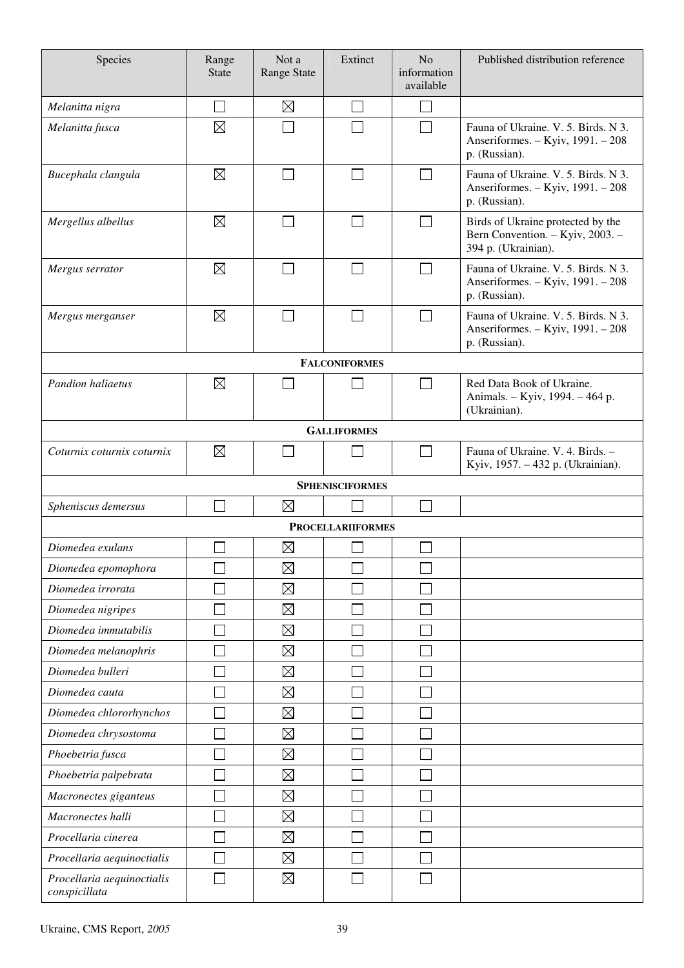| Species                                     | Range<br><b>State</b> | Not a<br>Range State | Extinct                     | N <sub>o</sub><br>information<br>available | Published distribution reference                                                             |  |  |  |  |  |
|---------------------------------------------|-----------------------|----------------------|-----------------------------|--------------------------------------------|----------------------------------------------------------------------------------------------|--|--|--|--|--|
| Melanitta nigra                             | $\Box$                | $\boxtimes$          | $\mathcal{L}_{\mathcal{A}}$ | $\Box$                                     |                                                                                              |  |  |  |  |  |
| Melanitta fusca                             | $\boxtimes$           |                      |                             | $\sim$                                     | Fauna of Ukraine. V. 5. Birds. N 3.<br>Anseriformes. - Kyiv, 1991. - 208<br>p. (Russian).    |  |  |  |  |  |
| Bucephala clangula                          | $\boxtimes$           |                      |                             | $\mathsf{L}$                               | Fauna of Ukraine. V. 5. Birds. N 3.<br>Anseriformes. - Kyiv, 1991. - 208<br>p. (Russian).    |  |  |  |  |  |
| Mergellus albellus                          | $\boxtimes$           |                      |                             |                                            | Birds of Ukraine protected by the<br>Bern Convention. - Kyiv, 2003. -<br>394 p. (Ukrainian). |  |  |  |  |  |
| Mergus serrator                             | $\boxtimes$           |                      |                             | П                                          | Fauna of Ukraine. V. 5. Birds. N 3.<br>Anseriformes. - Kyiv, 1991. - 208<br>p. (Russian).    |  |  |  |  |  |
| Mergus merganser                            | $\boxtimes$           |                      |                             |                                            | Fauna of Ukraine. V. 5. Birds. N 3.<br>Anseriformes. - Kyiv, 1991. - 208<br>p. (Russian).    |  |  |  |  |  |
|                                             |                       |                      | <b>FALCONIFORMES</b>        |                                            |                                                                                              |  |  |  |  |  |
| <b>Pandion haliaetus</b>                    | $\boxtimes$           |                      |                             | $\Box$                                     | Red Data Book of Ukraine.<br>Animals. - Kyiv, 1994. - 464 p.<br>(Ukrainian).                 |  |  |  |  |  |
|                                             | <b>GALLIFORMES</b>    |                      |                             |                                            |                                                                                              |  |  |  |  |  |
| Coturnix coturnix coturnix                  | $\boxtimes$           |                      |                             | П                                          | Fauna of Ukraine. V. 4. Birds. -<br>Kyiv, 1957. - 432 p. (Ukrainian).                        |  |  |  |  |  |
|                                             |                       |                      | <b>SPHENISCIFORMES</b>      |                                            |                                                                                              |  |  |  |  |  |
| Spheniscus demersus                         | $\Box$                | $\boxtimes$          |                             | $\mathcal{L}$                              |                                                                                              |  |  |  |  |  |
|                                             |                       |                      | <b>PROCELLARIIFORMES</b>    |                                            |                                                                                              |  |  |  |  |  |
| Diomedea exulans                            |                       | $\boxtimes$          |                             |                                            |                                                                                              |  |  |  |  |  |
| Diomedea epomophora                         |                       | $\boxtimes$          |                             |                                            |                                                                                              |  |  |  |  |  |
| Diomedea irrorata                           |                       | $\boxtimes$          |                             |                                            |                                                                                              |  |  |  |  |  |
| Diomedea nigripes                           |                       | $\boxtimes$          |                             |                                            |                                                                                              |  |  |  |  |  |
| Diomedea immutabilis                        |                       | $\boxtimes$          |                             |                                            |                                                                                              |  |  |  |  |  |
| Diomedea melanophris                        |                       | $\boxtimes$          |                             |                                            |                                                                                              |  |  |  |  |  |
| Diomedea bulleri                            |                       | $\boxtimes$          |                             |                                            |                                                                                              |  |  |  |  |  |
| Diomedea cauta                              |                       | $\boxtimes$          |                             |                                            |                                                                                              |  |  |  |  |  |
| Diomedea chlororhynchos                     |                       | $\boxtimes$          |                             |                                            |                                                                                              |  |  |  |  |  |
| Diomedea chrysostoma                        |                       | $\boxtimes$          |                             |                                            |                                                                                              |  |  |  |  |  |
| Phoebetria fusca                            |                       | $\boxtimes$          |                             |                                            |                                                                                              |  |  |  |  |  |
| Phoebetria palpebrata                       |                       | $\boxtimes$          |                             |                                            |                                                                                              |  |  |  |  |  |
| Macronectes giganteus                       |                       | $\boxtimes$          |                             |                                            |                                                                                              |  |  |  |  |  |
| Macronectes halli                           |                       | $\boxtimes$          |                             |                                            |                                                                                              |  |  |  |  |  |
| Procellaria cinerea                         |                       | $\boxtimes$          |                             |                                            |                                                                                              |  |  |  |  |  |
| Procellaria aequinoctialis                  |                       | $\boxtimes$          |                             |                                            |                                                                                              |  |  |  |  |  |
| Procellaria aequinoctialis<br>conspicillata |                       | $\boxtimes$          |                             |                                            |                                                                                              |  |  |  |  |  |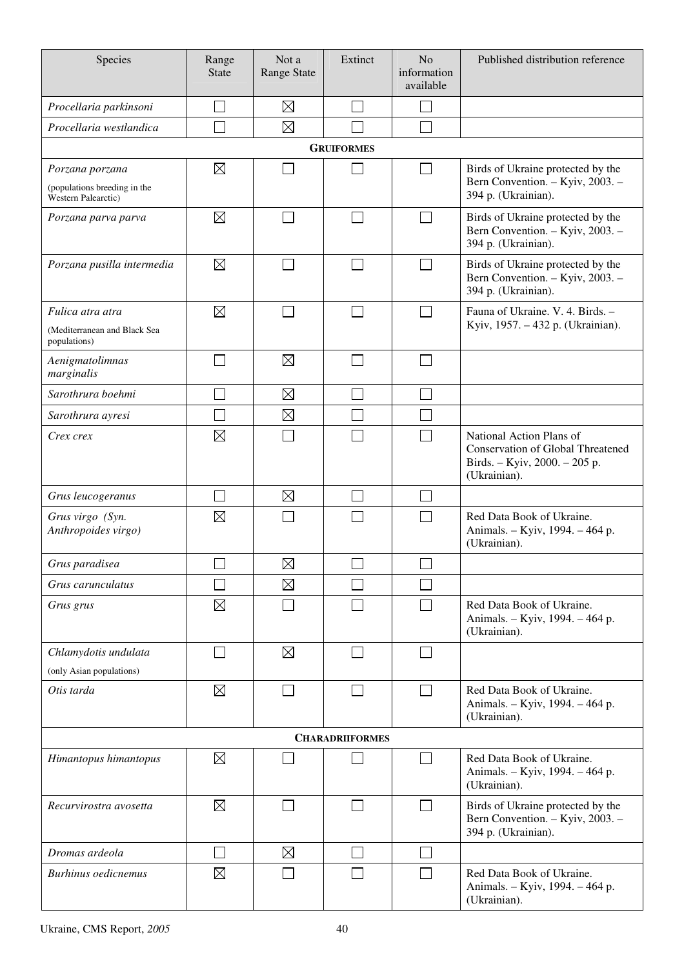| Species                                                                | Range<br><b>State</b> | Not a<br><b>Range State</b> | Extinct                | N <sub>o</sub><br>information<br>available | Published distribution reference                                                                                      |
|------------------------------------------------------------------------|-----------------------|-----------------------------|------------------------|--------------------------------------------|-----------------------------------------------------------------------------------------------------------------------|
| Procellaria parkinsoni                                                 |                       | $\boxtimes$                 |                        | $\Box$                                     |                                                                                                                       |
| Procellaria westlandica                                                |                       | $\boxtimes$                 |                        | $\Box$                                     |                                                                                                                       |
|                                                                        |                       |                             | <b>GRUIFORMES</b>      |                                            |                                                                                                                       |
| Porzana porzana<br>(populations breeding in the<br>Western Palearctic) | $\boxtimes$           |                             |                        | $\Box$                                     | Birds of Ukraine protected by the<br>Bern Convention. - Kyiv, 2003. -<br>394 p. (Ukrainian).                          |
| Porzana parva parva                                                    | $\boxtimes$           |                             | $\sim$                 | П                                          | Birds of Ukraine protected by the<br>Bern Convention. - Kyiv, 2003. -<br>394 p. (Ukrainian).                          |
| Porzana pusilla intermedia                                             | $\boxtimes$           |                             |                        | $\mathbf{I}$                               | Birds of Ukraine protected by the<br>Bern Convention. - Kyiv, 2003. -<br>394 p. (Ukrainian).                          |
| Fulica atra atra<br>(Mediterranean and Black Sea<br>populations)       | $\boxtimes$           |                             |                        | П                                          | Fauna of Ukraine. V. 4. Birds. -<br>Kyiv, 1957. - 432 p. (Ukrainian).                                                 |
| Aenigmatolimnas<br>marginalis                                          |                       | $\boxtimes$                 |                        | $\Box$                                     |                                                                                                                       |
| Sarothrura boehmi                                                      |                       | $\boxtimes$                 |                        | $\Box$                                     |                                                                                                                       |
| Sarothrura ayresi                                                      |                       | $\boxtimes$                 |                        | I.                                         |                                                                                                                       |
| Crex crex                                                              | $\boxtimes$           |                             |                        | $\Box$                                     | National Action Plans of<br><b>Conservation of Global Threatened</b><br>Birds. - Kyiv, 2000. - 205 p.<br>(Ukrainian). |
| Grus leucogeranus                                                      |                       | $\boxtimes$                 |                        |                                            |                                                                                                                       |
| Grus virgo (Syn.<br>Anthropoides virgo)                                | $\boxtimes$           |                             |                        |                                            | Red Data Book of Ukraine.<br>Animals. - Kyiv, 1994. - 464 p.<br>(Ukrainian).                                          |
| Grus paradisea                                                         | $\Box$                | $\boxtimes$                 | $\Box$                 | $\Box$                                     |                                                                                                                       |
| Grus carunculatus                                                      |                       | $\boxtimes$                 |                        | $\Box$                                     |                                                                                                                       |
| Grus grus                                                              | $\boxtimes$           |                             |                        | $\Box$                                     | Red Data Book of Ukraine.<br>Animals. - Kyiv, 1994. - 464 p.<br>(Ukrainian).                                          |
| Chlamydotis undulata<br>(only Asian populations)                       |                       | $\boxtimes$                 | $\blacksquare$         | M                                          |                                                                                                                       |
| Otis tarda                                                             | $\boxtimes$           |                             |                        | $\Box$                                     | Red Data Book of Ukraine.<br>Animals. - Kyiv, 1994. - 464 p.<br>(Ukrainian).                                          |
|                                                                        |                       |                             | <b>CHARADRIIFORMES</b> |                                            |                                                                                                                       |
| Himantopus himantopus                                                  | $\boxtimes$           |                             |                        | $\Box$                                     | Red Data Book of Ukraine.<br>Animals. - Kyiv, 1994. - 464 p.<br>(Ukrainian).                                          |
| Recurvirostra avosetta                                                 | $\boxtimes$           |                             |                        | П                                          | Birds of Ukraine protected by the<br>Bern Convention. - Kyiv, 2003. -<br>394 p. (Ukrainian).                          |
| Dromas ardeola                                                         |                       | $\boxtimes$                 |                        | $\mathbf{I}$                               |                                                                                                                       |
| <b>Burhinus</b> oedicnemus                                             | $\boxtimes$           |                             |                        | П                                          | Red Data Book of Ukraine.<br>Animals. - Kyiv, 1994. - 464 p.<br>(Ukrainian).                                          |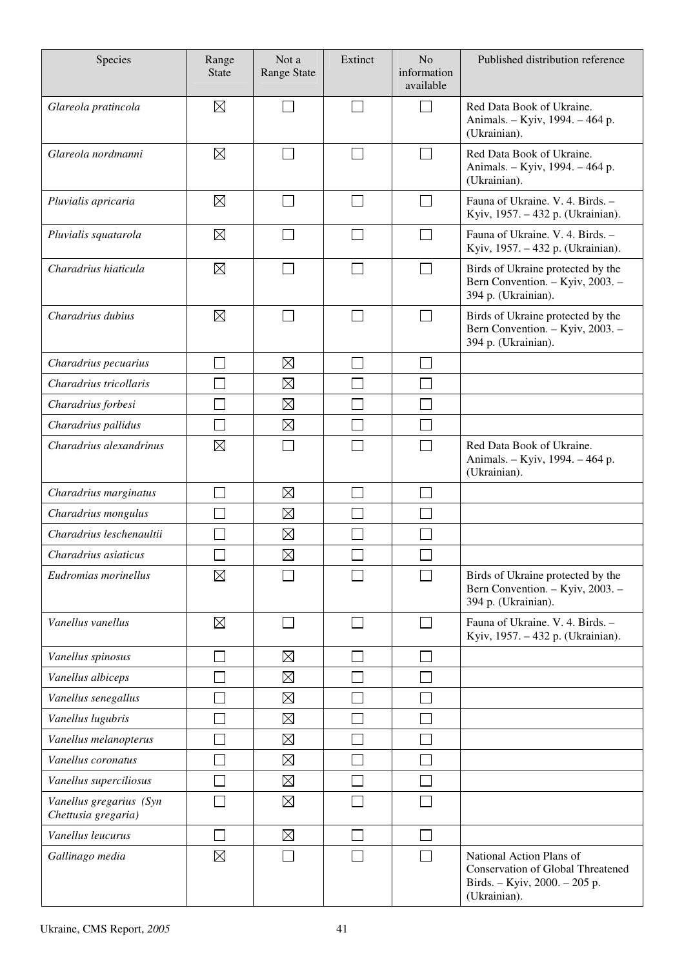| Species                                        | Range<br><b>State</b> | Not a<br>Range State        | Extinct        | N <sub>o</sub><br>information<br>available | Published distribution reference                                                                                      |
|------------------------------------------------|-----------------------|-----------------------------|----------------|--------------------------------------------|-----------------------------------------------------------------------------------------------------------------------|
| Glareola pratincola                            | $\boxtimes$           |                             |                | $\sim$                                     | Red Data Book of Ukraine.<br>Animals. - Kyiv, 1994. - 464 p.<br>(Ukrainian).                                          |
| Glareola nordmanni                             | $\boxtimes$           |                             | $\blacksquare$ |                                            | Red Data Book of Ukraine.<br>Animals. - Kyiv, 1994. - 464 p.<br>(Ukrainian).                                          |
| Pluvialis apricaria                            | $\boxtimes$           |                             |                | $\Box$                                     | Fauna of Ukraine. V. 4. Birds. -<br>Kyiv, 1957. - 432 p. (Ukrainian).                                                 |
| Pluvialis squatarola                           | $\boxtimes$           |                             |                | $\Box$                                     | Fauna of Ukraine. V. 4. Birds. -<br>Kyiv, 1957. - 432 p. (Ukrainian).                                                 |
| Charadrius hiaticula                           | $\boxtimes$           |                             |                | J.                                         | Birds of Ukraine protected by the<br>Bern Convention. - Kyiv, 2003. -<br>394 p. (Ukrainian).                          |
| Charadrius dubius                              | $\boxtimes$           | $\mathcal{L}_{\mathcal{A}}$ | $\sim$         | $\mathcal{L}_{\mathcal{A}}$                | Birds of Ukraine protected by the<br>Bern Convention. - Kyiv, 2003. -<br>394 p. (Ukrainian).                          |
| Charadrius pecuarius                           |                       | $\boxtimes$                 |                | $\sim$                                     |                                                                                                                       |
| Charadrius tricollaris                         |                       | $\boxtimes$                 |                |                                            |                                                                                                                       |
| Charadrius forbesi                             |                       | $\boxtimes$                 |                |                                            |                                                                                                                       |
| Charadrius pallidus                            |                       | $\boxtimes$                 |                |                                            |                                                                                                                       |
| Charadrius alexandrinus                        | $\boxtimes$           |                             |                | $\mathcal{L}_{\mathcal{A}}$                | Red Data Book of Ukraine.<br>Animals. - Kyiv, 1994. - 464 p.<br>(Ukrainian).                                          |
| Charadrius marginatus                          |                       | $\boxtimes$                 |                | $\mathcal{L}$                              |                                                                                                                       |
| Charadrius mongulus                            |                       | $\boxtimes$                 |                |                                            |                                                                                                                       |
| Charadrius leschenaultii                       |                       | $\boxtimes$                 |                |                                            |                                                                                                                       |
| Charadrius asiaticus                           |                       | $\boxtimes$                 |                |                                            |                                                                                                                       |
| Eudromias morinellus                           | $\boxtimes$           |                             |                |                                            | Birds of Ukraine protected by the<br>Bern Convention. - Kyiv, 2003. -<br>394 p. (Ukrainian).                          |
| Vanellus vanellus                              | $\boxtimes$           | l.                          |                | $\overline{\phantom{a}}$                   | Fauna of Ukraine. V. 4. Birds. -<br>Kyiv, 1957. - 432 p. (Ukrainian).                                                 |
| Vanellus spinosus                              |                       | $\boxtimes$                 |                |                                            |                                                                                                                       |
| Vanellus albiceps                              |                       | $\boxtimes$                 |                |                                            |                                                                                                                       |
| Vanellus senegallus                            |                       | $\boxtimes$                 |                |                                            |                                                                                                                       |
| Vanellus lugubris                              |                       | $\boxtimes$                 |                |                                            |                                                                                                                       |
| Vanellus melanopterus                          |                       | $\boxtimes$                 |                |                                            |                                                                                                                       |
| Vanellus coronatus                             |                       | $\boxtimes$                 |                |                                            |                                                                                                                       |
| Vanellus superciliosus                         |                       | $\boxtimes$                 |                | $\mathcal{L}$                              |                                                                                                                       |
| Vanellus gregarius (Syn<br>Chettusia gregaria) |                       | $\boxtimes$                 |                |                                            |                                                                                                                       |
| Vanellus leucurus                              |                       | $\boxtimes$                 |                |                                            |                                                                                                                       |
| Gallinago media                                | $\boxtimes$           |                             |                |                                            | National Action Plans of<br><b>Conservation of Global Threatened</b><br>Birds. - Kyiv, 2000. - 205 p.<br>(Ukrainian). |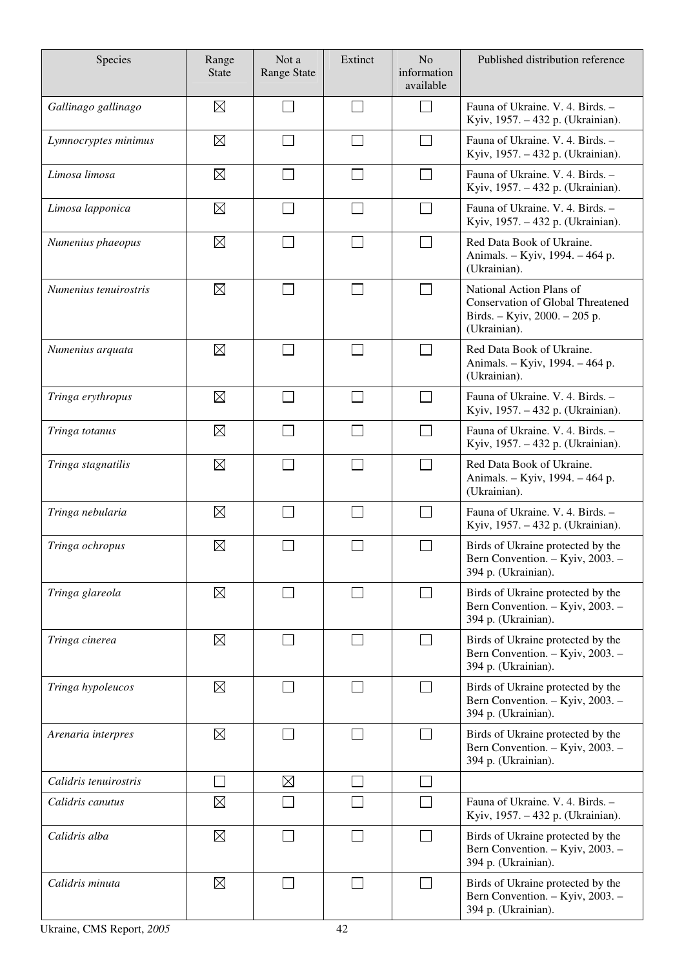| Species               | Range<br><b>State</b> | Not a<br><b>Range State</b> | Extinct                     | N <sub>o</sub><br>information<br>available | Published distribution reference                                                                               |
|-----------------------|-----------------------|-----------------------------|-----------------------------|--------------------------------------------|----------------------------------------------------------------------------------------------------------------|
| Gallinago gallinago   | $\boxtimes$           |                             | $\blacksquare$              | $\sim$                                     | Fauna of Ukraine. V. 4. Birds. -<br>Kyiv, 1957. – 432 p. (Ukrainian).                                          |
| Lymnocryptes minimus  | $\boxtimes$           |                             |                             |                                            | Fauna of Ukraine. V. 4. Birds. -<br>Kyiv, 1957. – 432 p. (Ukrainian).                                          |
| Limosa limosa         | $\boxtimes$           | L                           | $\overline{\phantom{a}}$    | $\Box$                                     | Fauna of Ukraine. V. 4. Birds. -<br>Kyiv, 1957. - 432 p. (Ukrainian).                                          |
| Limosa lapponica      | $\boxtimes$           |                             | $\blacksquare$              | $\sim$                                     | Fauna of Ukraine. V. 4. Birds. -<br>Kyiv, 1957. – 432 p. (Ukrainian).                                          |
| Numenius phaeopus     | $\boxtimes$           |                             |                             | $\Box$                                     | Red Data Book of Ukraine.<br>Animals. - Kyiv, 1994. - 464 p.<br>(Ukrainian).                                   |
| Numenius tenuirostris | $\boxtimes$           |                             |                             | $\sim$                                     | National Action Plans of<br>Conservation of Global Threatened<br>Birds. - Kyiv, 2000. - 205 p.<br>(Ukrainian). |
| Numenius arquata      | $\boxtimes$           |                             | $\blacksquare$              | $\sim$                                     | Red Data Book of Ukraine.<br>Animals. - Kyiv, 1994. - 464 p.<br>(Ukrainian).                                   |
| Tringa erythropus     | $\boxtimes$           |                             | $\blacksquare$              | $\mathcal{L}_{\mathcal{A}}$                | Fauna of Ukraine. V. 4. Birds. -<br>Kyiv, 1957. - 432 p. (Ukrainian).                                          |
| Tringa totanus        | $\boxtimes$           |                             | $\sim$                      | $\sim$                                     | Fauna of Ukraine. V. 4. Birds. -<br>Kyiv, 1957. - 432 p. (Ukrainian).                                          |
| Tringa stagnatilis    | $\boxtimes$           |                             |                             | $\Box$                                     | Red Data Book of Ukraine.<br>Animals. - Kyiv, 1994. - 464 p.<br>(Ukrainian).                                   |
| Tringa nebularia      | $\boxtimes$           |                             |                             |                                            | Fauna of Ukraine. V. 4. Birds. -<br>Kyiv, 1957. – 432 p. (Ukrainian).                                          |
| Tringa ochropus       | $\boxtimes$           |                             |                             |                                            | Birds of Ukraine protected by the<br>Bern Convention. - Kyiv, 2003. -<br>394 p. (Ukrainian).                   |
| Tringa glareola       | $\boxtimes$           |                             |                             |                                            | Birds of Ukraine protected by the<br>Bern Convention. - Kyiv, 2003. -<br>394 p. (Ukrainian).                   |
| Tringa cinerea        | $\boxtimes$           |                             | $\mathcal{L}_{\mathcal{A}}$ | $\Box$                                     | Birds of Ukraine protected by the<br>Bern Convention. - Kyiv, 2003. -<br>394 p. (Ukrainian).                   |
| Tringa hypoleucos     | $\boxtimes$           |                             |                             |                                            | Birds of Ukraine protected by the<br>Bern Convention. - Kyiv, 2003. -<br>394 p. (Ukrainian).                   |
| Arenaria interpres    | $\boxtimes$           |                             | $\sim$                      | $\sim$                                     | Birds of Ukraine protected by the<br>Bern Convention. - Kyiv, 2003. -<br>394 p. (Ukrainian).                   |
| Calidris tenuirostris |                       | $\boxtimes$                 |                             |                                            |                                                                                                                |
| Calidris canutus      | $\boxtimes$           |                             |                             |                                            | Fauna of Ukraine. V. 4. Birds. -<br>Kyiv, 1957. - 432 p. (Ukrainian).                                          |
| Calidris alba         | $\boxtimes$           |                             |                             |                                            | Birds of Ukraine protected by the<br>Bern Convention. - Kyiv, 2003. -<br>394 p. (Ukrainian).                   |
| Calidris minuta       | $\boxtimes$           |                             |                             | $\mathcal{L}_{\mathcal{A}}$                | Birds of Ukraine protected by the<br>Bern Convention. - Kyiv, 2003. -<br>394 p. (Ukrainian).                   |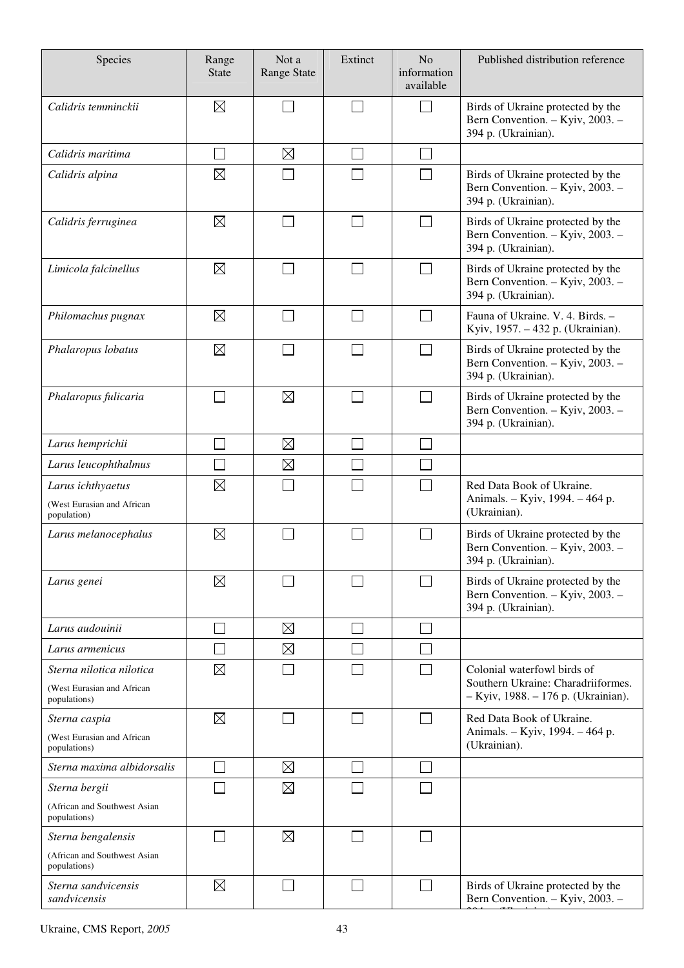| Species                                                                | Range<br><b>State</b>       | Not a<br><b>Range State</b> | Extinct                     | N <sub>o</sub><br>information<br>available | Published distribution reference                                                                         |
|------------------------------------------------------------------------|-----------------------------|-----------------------------|-----------------------------|--------------------------------------------|----------------------------------------------------------------------------------------------------------|
| Calidris temminckii                                                    | $\boxtimes$                 |                             | $\sim$                      | $\sim$                                     | Birds of Ukraine protected by the<br>Bern Convention. - Kyiv, 2003. -<br>394 p. (Ukrainian).             |
| Calidris maritima                                                      |                             | $\boxtimes$                 |                             |                                            |                                                                                                          |
| Calidris alpina                                                        | $\boxtimes$                 |                             |                             |                                            | Birds of Ukraine protected by the<br>Bern Convention. - Kyiv, 2003. -<br>394 p. (Ukrainian).             |
| Calidris ferruginea                                                    | $\boxtimes$                 |                             |                             |                                            | Birds of Ukraine protected by the<br>Bern Convention. - Kyiv, 2003. -<br>394 p. (Ukrainian).             |
| Limicola falcinellus                                                   | $\boxtimes$                 |                             |                             |                                            | Birds of Ukraine protected by the<br>Bern Convention. - Kyiv, 2003. -<br>394 p. (Ukrainian).             |
| Philomachus pugnax                                                     | $\boxtimes$                 |                             |                             | $\sim$                                     | Fauna of Ukraine. V. 4. Birds. -<br>Kyiv, 1957. - 432 p. (Ukrainian).                                    |
| Phalaropus lobatus                                                     | $\boxtimes$                 |                             |                             |                                            | Birds of Ukraine protected by the<br>Bern Convention. - Kyiv, 2003. -<br>394 p. (Ukrainian).             |
| Phalaropus fulicaria                                                   | $\mathcal{L}_{\mathcal{A}}$ | $\boxtimes$                 | $\mathcal{L}_{\mathcal{A}}$ | $\mathcal{L}_{\mathcal{A}}$                | Birds of Ukraine protected by the<br>Bern Convention. - Kyiv, 2003. -<br>394 p. (Ukrainian).             |
| Larus hemprichii                                                       |                             | $\boxtimes$                 |                             |                                            |                                                                                                          |
| Larus leucophthalmus                                                   |                             | $\boxtimes$                 |                             |                                            |                                                                                                          |
| Larus ichthyaetus<br>(West Eurasian and African<br>population)         | $\boxtimes$                 |                             |                             |                                            | Red Data Book of Ukraine.<br>Animals. - Kyiv, 1994. - 464 p.<br>(Ukrainian).                             |
| Larus melanocephalus                                                   | $\boxtimes$                 |                             |                             | $\sim$                                     | Birds of Ukraine protected by the<br>Bern Convention. - Kyiv, 2003. -<br>394 p. (Ukrainian).             |
| Larus genei                                                            | $\boxtimes$                 |                             |                             |                                            | Birds of Ukraine protected by the<br>Bern Convention. - Kyiv, 2003. -<br>394 p. (Ukrainian).             |
| Larus audouinii                                                        |                             | $\boxtimes$                 |                             |                                            |                                                                                                          |
| Larus armenicus                                                        |                             | $\boxtimes$                 |                             |                                            |                                                                                                          |
| Sterna nilotica nilotica<br>(West Eurasian and African<br>populations) | $\boxtimes$                 |                             |                             |                                            | Colonial waterfowl birds of<br>Southern Ukraine: Charadriiformes.<br>- Kyiv, 1988. - 176 p. (Ukrainian). |
| Sterna caspia<br>(West Eurasian and African                            | $\boxtimes$                 |                             |                             |                                            | Red Data Book of Ukraine.<br>Animals. - Kyiv, 1994. - 464 p.<br>(Ukrainian).                             |
| populations)                                                           |                             |                             |                             |                                            |                                                                                                          |
| Sterna maxima albidorsalis                                             |                             | $\boxtimes$<br>$\boxtimes$  |                             |                                            |                                                                                                          |
| Sterna bergii<br>(African and Southwest Asian<br>populations)          |                             |                             |                             |                                            |                                                                                                          |
| Sterna bengalensis<br>(African and Southwest Asian<br>populations)     |                             | $\boxtimes$                 |                             |                                            |                                                                                                          |
| Sterna sandvicensis<br>sandvicensis                                    | $\boxtimes$                 |                             |                             | $\sim$                                     | Birds of Ukraine protected by the<br>Bern Convention. - Kyiv, 2003. -                                    |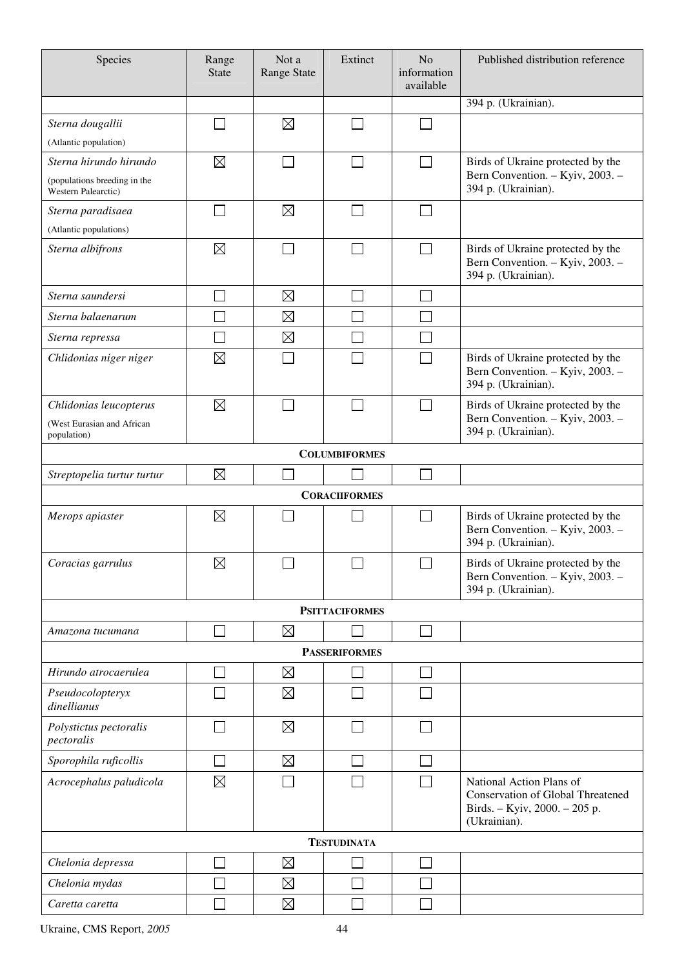| Species                                                                       | Range<br><b>State</b> | Not a<br><b>Range State</b> | Extinct                     | N <sub>o</sub><br>information<br>available | Published distribution reference                                                                                      |
|-------------------------------------------------------------------------------|-----------------------|-----------------------------|-----------------------------|--------------------------------------------|-----------------------------------------------------------------------------------------------------------------------|
|                                                                               |                       |                             |                             |                                            | 394 p. (Ukrainian).                                                                                                   |
| Sterna dougallii<br>(Atlantic population)                                     |                       | $\boxtimes$                 | $\Box$                      | J.                                         |                                                                                                                       |
| Sterna hirundo hirundo<br>(populations breeding in the<br>Western Palearctic) | $\boxtimes$           |                             | $\mathcal{L}_{\mathcal{A}}$ | $\mathcal{L}$                              | Birds of Ukraine protected by the<br>Bern Convention. - Kyiv, 2003. -<br>394 p. (Ukrainian).                          |
| Sterna paradisaea<br>(Atlantic populations)                                   | $\sim$                | $\boxtimes$                 | $\overline{\phantom{0}}$    |                                            |                                                                                                                       |
| Sterna albifrons                                                              | $\boxtimes$           |                             |                             |                                            | Birds of Ukraine protected by the<br>Bern Convention. - Kyiv, 2003. -<br>394 p. (Ukrainian).                          |
| Sterna saundersi                                                              |                       | $\boxtimes$                 | $\Box$                      |                                            |                                                                                                                       |
| Sterna balaenarum                                                             |                       | $\boxtimes$                 |                             |                                            |                                                                                                                       |
| Sterna repressa                                                               |                       | $\boxtimes$                 |                             |                                            |                                                                                                                       |
| Chlidonias niger niger                                                        | $\boxtimes$           |                             |                             |                                            | Birds of Ukraine protected by the<br>Bern Convention. - Kyiv, 2003. -<br>394 p. (Ukrainian).                          |
| Chlidonias leucopterus<br>(West Eurasian and African<br>population)           | $\boxtimes$           | $\sim$                      | $\Box$                      | $\sim$                                     | Birds of Ukraine protected by the<br>Bern Convention. - Kyiv, 2003. -<br>394 p. (Ukrainian).                          |
|                                                                               |                       |                             | <b>COLUMBIFORMES</b>        |                                            |                                                                                                                       |
| Streptopelia turtur turtur                                                    | $\boxtimes$           |                             |                             | $\mathcal{L}$                              |                                                                                                                       |
|                                                                               |                       |                             | <b>CORACIIFORMES</b>        |                                            |                                                                                                                       |
| Merops apiaster                                                               | $\boxtimes$           |                             |                             | $\mathcal{L}_{\mathcal{A}}$                | Birds of Ukraine protected by the<br>Bern Convention. - Kyiv, 2003. -<br>394 p. (Ukrainian).                          |
| Coracias garrulus                                                             | $\boxtimes$           |                             |                             | $\Box$                                     | Birds of Ukraine protected by the<br>Bern Convention. - Kyiv, 2003. -<br>394 p. (Ukrainian).                          |
|                                                                               |                       |                             | <b>PSITTACIFORMES</b>       |                                            |                                                                                                                       |
| Amazona tucumana                                                              |                       | $\boxtimes$                 |                             | $\sim$                                     |                                                                                                                       |
|                                                                               |                       |                             | <b>PASSERIFORMES</b>        |                                            |                                                                                                                       |
| Hirundo atrocaerulea                                                          |                       | $\boxtimes$                 |                             | $\sim$                                     |                                                                                                                       |
| Pseudocolopteryx<br>dinellianus                                               |                       | $\boxtimes$                 |                             |                                            |                                                                                                                       |
| Polystictus pectoralis<br>pectoralis                                          |                       | $\boxtimes$                 |                             |                                            |                                                                                                                       |
| Sporophila ruficollis                                                         |                       | $\boxtimes$                 |                             |                                            |                                                                                                                       |
| Acrocephalus paludicola                                                       | $\boxtimes$           |                             |                             |                                            | National Action Plans of<br><b>Conservation of Global Threatened</b><br>Birds. - Kyiv, 2000. - 205 p.<br>(Ukrainian). |
|                                                                               |                       |                             | <b>TESTUDINATA</b>          |                                            |                                                                                                                       |
| Chelonia depressa                                                             |                       | $\boxtimes$                 |                             |                                            |                                                                                                                       |
| Chelonia mydas                                                                |                       | $\boxtimes$                 |                             |                                            |                                                                                                                       |
| Caretta caretta                                                               |                       | $\boxtimes$                 |                             |                                            |                                                                                                                       |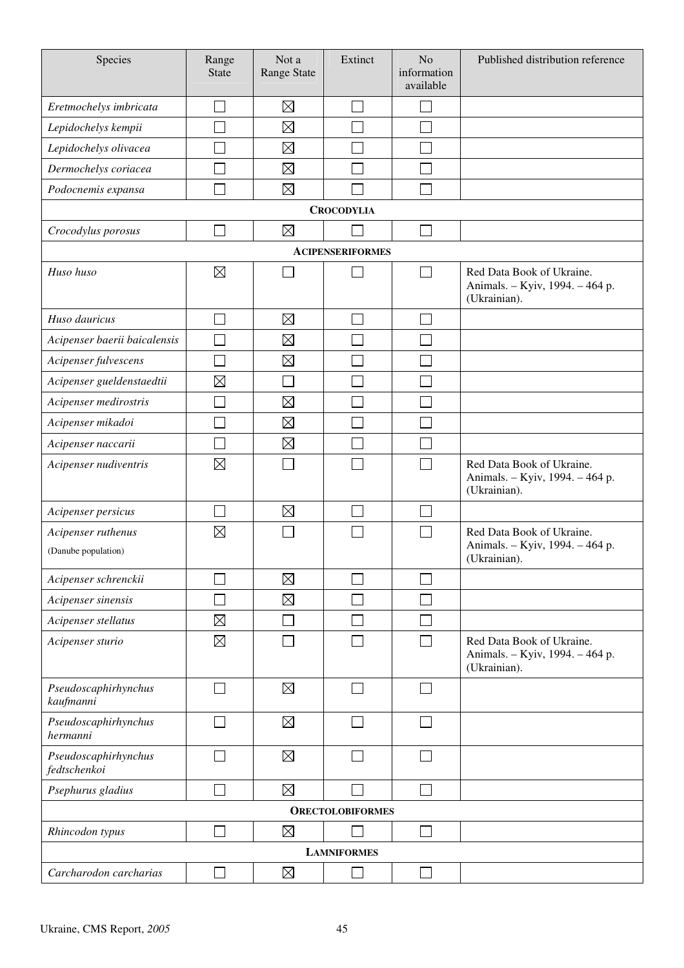| Species                                   | Range<br><b>State</b>       | Not a<br>Range State        | Extinct                 | N <sub>o</sub><br>information<br>available | Published distribution reference                                             |
|-------------------------------------------|-----------------------------|-----------------------------|-------------------------|--------------------------------------------|------------------------------------------------------------------------------|
| Eretmochelys imbricata                    | $\mathcal{L}_{\mathcal{A}}$ | $\boxtimes$                 | ×.                      |                                            |                                                                              |
| Lepidochelys kempii                       |                             | $\boxtimes$                 |                         |                                            |                                                                              |
| Lepidochelys olivacea                     |                             | $\boxtimes$                 |                         |                                            |                                                                              |
| Dermochelys coriacea                      |                             | $\boxtimes$                 |                         |                                            |                                                                              |
| Podocnemis expansa                        |                             | $\boxtimes$                 |                         |                                            |                                                                              |
|                                           |                             |                             | <b>CROCODYLIA</b>       |                                            |                                                                              |
| Crocodylus porosus                        | $\mathcal{L}$               | $\boxtimes$                 |                         | $\overline{\phantom{0}}$                   |                                                                              |
|                                           |                             |                             | <b>ACIPENSERIFORMES</b> |                                            |                                                                              |
| Huso huso                                 | $\boxtimes$                 |                             |                         | $\Box$                                     | Red Data Book of Ukraine.<br>Animals. - Kyiv, 1994. - 464 p.<br>(Ukrainian). |
| Huso dauricus                             | $\mathcal{L}_{\mathcal{A}}$ | $\boxtimes$                 |                         |                                            |                                                                              |
| Acipenser baerii baicalensis              | $\mathcal{L}_{\mathcal{A}}$ | $\boxtimes$                 |                         |                                            |                                                                              |
| Acipenser fulvescens                      | $\mathcal{L}_{\mathcal{A}}$ | $\boxtimes$                 |                         |                                            |                                                                              |
| Acipenser gueldenstaedtii                 | $\boxtimes$                 | $\mathcal{L}_{\mathcal{A}}$ |                         |                                            |                                                                              |
| Acipenser medirostris                     | $\mathcal{L}_{\mathcal{A}}$ | $\boxtimes$                 |                         |                                            |                                                                              |
| Acipenser mikadoi                         | $\mathbb{R}^n$              | $\boxtimes$                 |                         |                                            |                                                                              |
| Acipenser naccarii                        | $\mathcal{L}_{\mathcal{A}}$ | $\boxtimes$                 |                         |                                            |                                                                              |
| Acipenser nudiventris                     | $\boxtimes$                 |                             |                         |                                            | Red Data Book of Ukraine.<br>Animals. - Kyiv, 1994. - 464 p.<br>(Ukrainian). |
| Acipenser persicus                        |                             | $\boxtimes$                 |                         |                                            |                                                                              |
| Acipenser ruthenus<br>(Danube population) | $\boxtimes$                 |                             |                         |                                            | Red Data Book of Ukraine.<br>Animals. - Kyiv, 1994. - 464 p.<br>(Ukrainian). |
| Acipenser schrenckii                      |                             | $\boxtimes$                 |                         |                                            |                                                                              |
| Acipenser sinensis                        |                             | $\boxtimes$                 |                         |                                            |                                                                              |
| Acipenser stellatus                       | $\boxtimes$                 |                             |                         |                                            |                                                                              |
| Acipenser sturio                          | $\boxtimes$                 |                             |                         |                                            | Red Data Book of Ukraine.<br>Animals. - Kyiv, 1994. - 464 p.<br>(Ukrainian). |
| Pseudoscaphirhynchus<br>kaufmanni         | $\mathcal{L}_{\mathcal{A}}$ | $\boxtimes$                 | $\blacksquare$          |                                            |                                                                              |
| Pseudoscaphirhynchus<br>hermanni          |                             | $\boxtimes$                 | □                       |                                            |                                                                              |
| Pseudoscaphirhynchus<br>fedtschenkoi      |                             | $\boxtimes$                 | $\mathsf{L}$            |                                            |                                                                              |
| Psephurus gladius                         |                             | $\boxtimes$                 |                         |                                            |                                                                              |
|                                           |                             |                             | <b>ORECTOLOBIFORMES</b> |                                            |                                                                              |
| Rhincodon typus                           |                             | $\boxtimes$                 |                         |                                            |                                                                              |
|                                           |                             |                             | <b>LAMNIFORMES</b>      |                                            |                                                                              |
| Carcharodon carcharias                    |                             | $\boxtimes$                 |                         |                                            |                                                                              |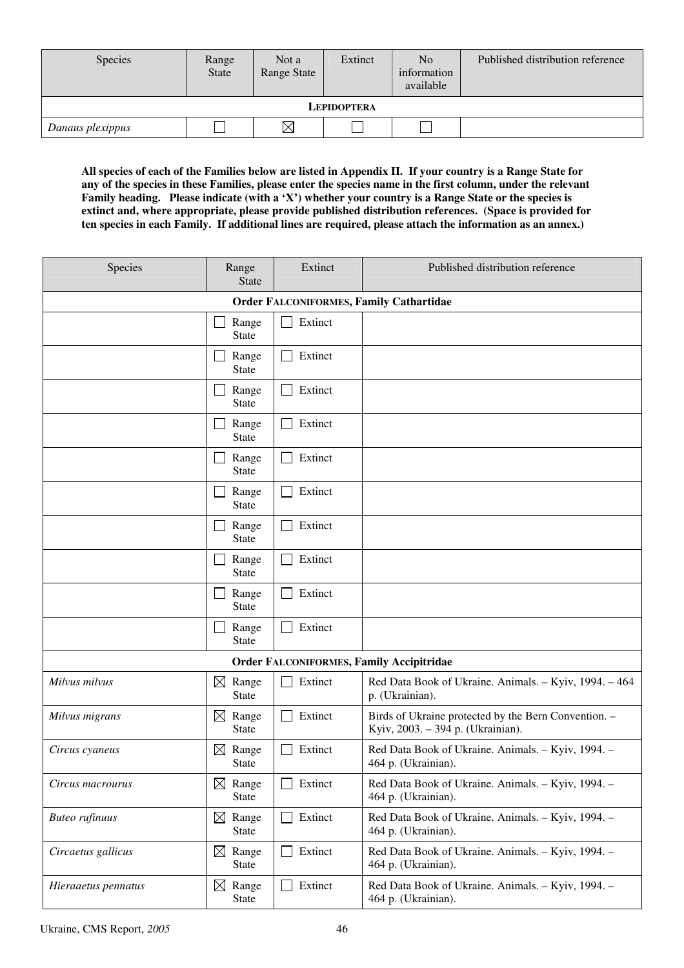| <b>Species</b>     | Range<br>State | Not a<br>Range State | Extinct | N <sub>o</sub><br>information<br>available | Published distribution reference |  |  |
|--------------------|----------------|----------------------|---------|--------------------------------------------|----------------------------------|--|--|
| <b>LEPIDOPTERA</b> |                |                      |         |                                            |                                  |  |  |
| Danaus plexippus   |                | $\boxtimes$          |         |                                            |                                  |  |  |

**All species of each of the Families below are listed in Appendix II. If your country is a Range State for any of the species in these Families, please enter the species name in the first column, under the relevant Family heading. Please indicate (with a 'X') whether your country is a Range State or the species is extinct and, where appropriate, please provide published distribution references. (Space is provided for ten species in each Family. If additional lines are required, please attach the information as an annex.)** 

| Species               | Range<br><b>State</b>                | Extinct | Published distribution reference                                                          |
|-----------------------|--------------------------------------|---------|-------------------------------------------------------------------------------------------|
|                       |                                      |         | <b>Order FALCONIFORMES, Family Cathartidae</b>                                            |
|                       | Range<br><b>State</b>                | Extinct |                                                                                           |
|                       | Range<br><b>State</b>                | Extinct |                                                                                           |
|                       | Range<br><b>State</b>                | Extinct |                                                                                           |
|                       | Range<br><b>State</b>                | Extinct |                                                                                           |
|                       | Range<br><b>State</b>                | Extinct |                                                                                           |
|                       | Range<br><b>State</b>                | Extinct |                                                                                           |
|                       | Range<br><b>State</b>                | Extinct |                                                                                           |
|                       | Range<br><b>State</b>                | Extinct |                                                                                           |
|                       | Range<br><b>State</b>                | Extinct |                                                                                           |
|                       | Range<br><b>State</b>                | Extinct |                                                                                           |
|                       |                                      |         | <b>Order FALCONIFORMES, Family Accipitridae</b>                                           |
| Milvus milvus         | Range<br>$\boxtimes$<br><b>State</b> | Extinct | Red Data Book of Ukraine. Animals. - Kyiv, 1994. - 464<br>p. (Ukrainian).                 |
| Milvus migrans        | $\boxtimes$<br>Range<br><b>State</b> | Extinct | Birds of Ukraine protected by the Bern Convention. -<br>Kyiv, 2003. - 394 p. (Ukrainian). |
| Circus cyaneus        | $\boxtimes$<br>Range<br><b>State</b> | Extinct | Red Data Book of Ukraine. Animals. - Kyiv, 1994. -<br>464 p. (Ukrainian).                 |
| Circus macrourus      | $\boxtimes$ Range<br><b>State</b>    | Extinct | Red Data Book of Ukraine. Animals. - Kyiv, 1994. -<br>464 p. (Ukrainian).                 |
| <b>Buteo</b> rufinuus | $\boxtimes$<br>Range<br><b>State</b> | Extinct | Red Data Book of Ukraine. Animals. - Kyiv, 1994. -<br>464 p. (Ukrainian).                 |
| Circaetus gallicus    | $\boxtimes$<br>Range<br><b>State</b> | Extinct | Red Data Book of Ukraine. Animals. - Kyiv, 1994. -<br>464 p. (Ukrainian).                 |
| Hieraaetus pennatus   | Range<br>$\boxtimes$<br><b>State</b> | Extinct | Red Data Book of Ukraine. Animals. - Kyiv, 1994. -<br>464 p. (Ukrainian).                 |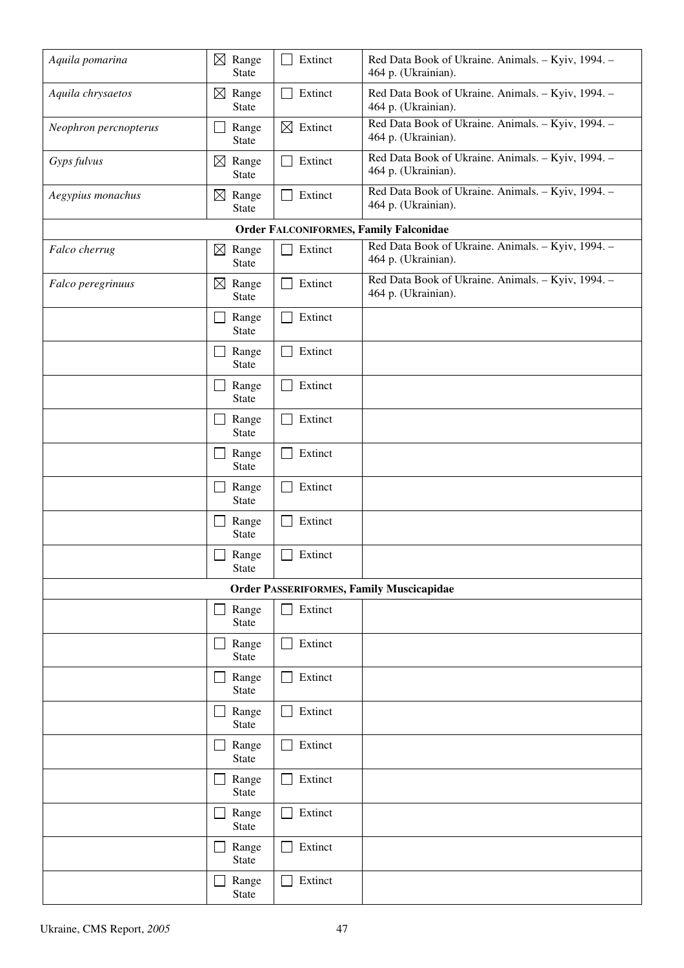| Aquila pomarina       | $\boxtimes$ Range<br><b>State</b>      | Extinct                 | Red Data Book of Ukraine. Animals. - Kyiv, 1994. -<br>464 p. (Ukrainian). |
|-----------------------|----------------------------------------|-------------------------|---------------------------------------------------------------------------|
| Aquila chrysaetos     | $\boxtimes$ Range<br><b>State</b>      | Extinct<br>$\mathsf{L}$ | Red Data Book of Ukraine. Animals. - Kyiv, 1994. -<br>464 p. (Ukrainian). |
| Neophron percnopterus | Range<br><b>State</b>                  | $\boxtimes$ Extinct     | Red Data Book of Ukraine. Animals. - Kyiv, 1994. -<br>464 p. (Ukrainian). |
| Gyps fulvus           | $\boxtimes$ Range<br><b>State</b>      | Extinct<br>$\mathbf{I}$ | Red Data Book of Ukraine. Animals. - Kyiv, 1994. -<br>464 p. (Ukrainian). |
| Aegypius monachus     | $\boxtimes$<br>Range<br><b>State</b>   | Extinct                 | Red Data Book of Ukraine. Animals. - Kyiv, 1994. -<br>464 p. (Ukrainian). |
|                       |                                        |                         | <b>Order FALCONIFORMES, Family Falconidae</b>                             |
| Falco cherrug         | Range<br>$\boxtimes$<br><b>State</b>   | Extinct                 | Red Data Book of Ukraine. Animals. - Kyiv, 1994. -<br>464 p. (Ukrainian). |
| Falco peregrinuus     | Range<br>$\boxtimes$<br><b>State</b>   | Extinct                 | Red Data Book of Ukraine. Animals. - Kyiv, 1994. -<br>464 p. (Ukrainian). |
|                       | Range<br><b>State</b>                  | Extinct                 |                                                                           |
|                       | Range<br><b>State</b>                  | Extinct                 |                                                                           |
|                       | Range<br><b>State</b>                  | Extinct<br>$\mathbf{I}$ |                                                                           |
|                       | Range<br><b>State</b>                  | Extinct                 |                                                                           |
|                       | Range<br><b>State</b>                  | Extinct<br>l I          |                                                                           |
|                       | Range<br>$\mathcal{A}$<br><b>State</b> | Extinct                 |                                                                           |
|                       | Range<br><b>State</b>                  | Extinct                 |                                                                           |
|                       | Range<br><b>State</b>                  | Extinct                 |                                                                           |
|                       |                                        |                         | <b>Order PASSERIFORMES, Family Muscicapidae</b>                           |
|                       | Range<br>State                         | Extinct                 |                                                                           |
|                       | Range<br>State                         | Extinct                 |                                                                           |
|                       | Range<br>State                         | Extinct                 |                                                                           |
|                       | Range<br>State                         | Extinct<br>l a          |                                                                           |
|                       | Range<br>State                         | Extinct                 |                                                                           |
|                       | Range<br>State                         | Extinct                 |                                                                           |
|                       | Range<br>State                         | Extinct                 |                                                                           |
|                       | Range<br>State                         | Extinct<br>$\mathsf{L}$ |                                                                           |
|                       | Range<br>State                         | Extinct                 |                                                                           |